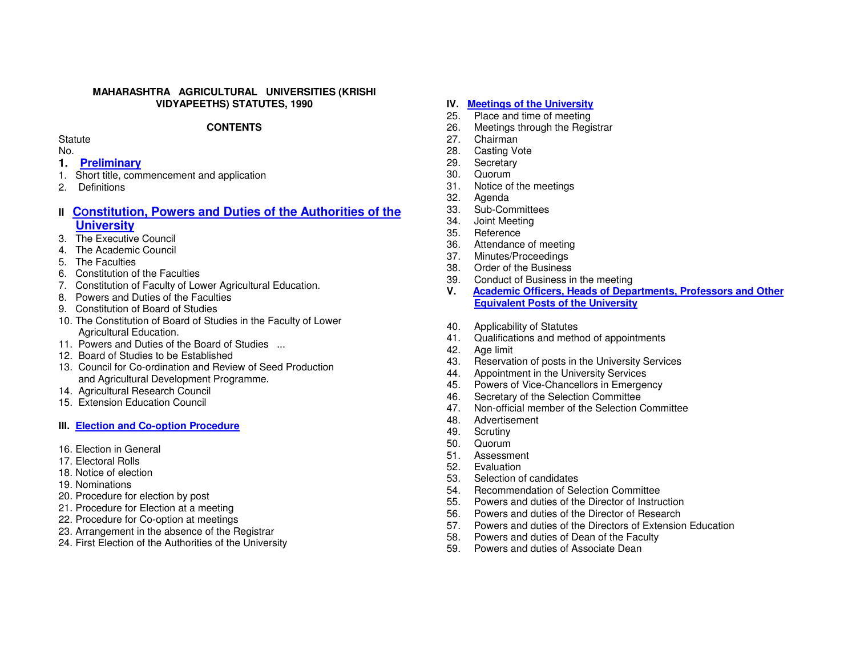#### **MAHARASHTRA AGRICULTURAL UNIVERSITIES (KRISHI VIDYAPEETHS) STATUTES, 1990**

#### **CONTENTS**

#### **Statute**

No.

- **1. Preliminary**
- 1. Short title, commencement and application
- 2. Definitions

# **II** Constitution, Powers and Duties of the Authorities of the  **University**

- 3. The Executive Council
- 4. The Academic Council
- 5. The Faculties
- 6. Constitution of the Faculties
- 7. Constitution of Faculty of Lower Agricultural Education.
- 8. Powers and Duties of the Faculties
- 9. Constitution of Board of Studies
- 10. The Constitution of Board of Studies in the Faculty of Lower Agricultural Education.
- 11. Powers and Duties of the Board of Studies ...
- 12. Board of Studies to be Established
- 13. Council for Co-ordination and Review of Seed Production and Agricultural Development Programme.
- 14. Agricultural Research Council
- 15. Extension Education Council

## **III. Election and Co-option Procedure**

- 16. Election in General
- 17. Electoral Rolls
- 18. Notice of election
- 19. Nominations
- 20. Procedure for election by post
- 21. Procedure for Election at a meeting
- 22. Procedure for Co-option at meetings
- 23. Arrangement in the absence of the Registrar
- 24. First Election of the Authorities of the University

#### **IV. Meetings of the University**

- 25. Place and time of meeting
- 26. Meetings through the Registrar
- 27. Chairman
- 28. Casting Vote
- 29. Secretary
- 30. Quorum
- 31. Notice of the meetings
- 32. Agenda
- 33. Sub-Committees
- 34. Joint Meeting
- 35. Reference
- 36. Attendance of meeting
- 37. Minutes/Proceedings
- 38. Order of the Business
- 39. Conduct of Business in the meeting
- **V. Academic Officers, Heads of Departments, Professors and Other Equivalent Posts of the University**
- 40. Applicability of Statutes
- 41. Qualifications and method of appointments
- 42. Age limit
- 43. Reservation of posts in the University Services
- 44. Appointment in the University Services
- 45. Powers of Vice-Chancellors in Emergency
- 46. Secretary of the Selection Committee
- 47. Non-official member of the Selection Committee
- 48. Advertisement
- 49. Scrutiny
- 50. Quorum
- 51. Assessment
- 52. Evaluation
- 53. Selection of candidates
- 54. Recommendation of Selection Committee
- 55. Powers and duties of the Director of Instruction
- 56. Powers and duties of the Director of Research
- 57. Powers and duties of the Directors of Extension Education
- 58. Powers and duties of Dean of the Faculty
- 59. Powers and duties of Associate Dean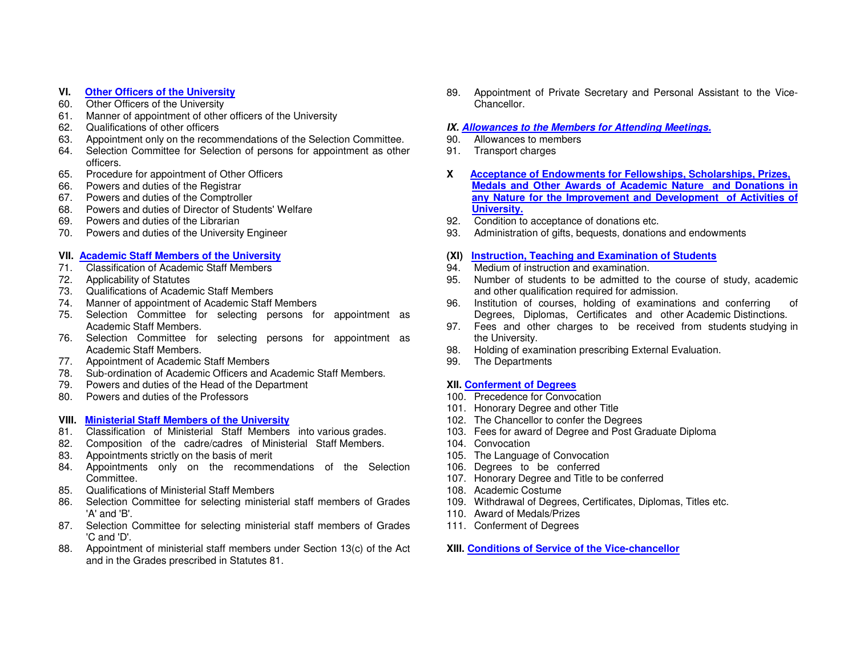#### **VI. Other Officers of the University**

- 60. Other Officers of the University
- 61. Manner of appointment of other officers of the University
- 62. Qualifications of other officers
- 63. Appointment only on the recommendations of the Selection Committee.
- 64. Selection Committee for Selection of persons for appointment as other officers.
- 65. Procedure for appointment of Other Officers
- 66. Powers and duties of the Registrar
- 67. Powers and duties of the Comptroller
- 68. Powers and duties of Director of Students' Welfare
- 69. Powers and duties of the Librarian
- 70. Powers and duties of the University Engineer

#### **VII. Academic Staff Members of the University**

- 71. Classification of Academic Staff Members
- 72. Applicability of Statutes
- 73. Qualifications of Academic Staff Members
- 74. Manner of appointment of Academic Staff Members
- 75. Selection Committee for selecting persons for appointment as Academic Staff Members.
- 76. Selection Committee for selecting persons for appointment as Academic Staff Members.
- 77. Appointment of Academic Staff Members
- 78. Sub-ordination of Academic Officers and Academic Staff Members.
- 79. Powers and duties of the Head of the Department
- 80. Powers and duties of the Professors

#### **VIII. Ministerial Staff Members of the University**

- 81. Classification of Ministerial Staff Members into various grades.
- 82. Composition of the cadre/cadres of Ministerial Staff Members.
- 83. Appointments strictly on the basis of merit
- 84. Appointments only on the recommendations of the Selection Committee.
- 85. Qualifications of Ministerial Staff Members
- 86. Selection Committee for selecting ministerial staff members of Grades 'A' and 'B'.
- 87. Selection Committee for selecting ministerial staff members of Grades 'C and 'D'.
- 88. Appointment of ministerial staff members under Section 13(c) of the Act and in the Grades prescribed in Statutes 81.

89. Appointment of Private Secretary and Personal Assistant to the Vice-Chancellor.

## **IX. Allowances to the Members for Attending Meetings.**

- 90. Allowances to members
- 91. Transport charges
- **X Acceptance of Endowments for Fellowships, Scholarships, Prizes, Medals and Other Awards of Academic Nature and Donations in any Nature for the Improvement and Development of Activities of University.**
- 92. Condition to acceptance of donations etc.
- 93. Administration of gifts, bequests, donations and endowments

#### **(XI) Instruction, Teaching and Examination of Students**

- 94. Medium of instruction and examination.
- 95. Number of students to be admitted to the course of study, academic and other qualification required for admission.
- 96. Institution of courses, holding of examinations and conferring of Degrees, Diplomas, Certificates and other Academic Distinctions.
- 97. Fees and other charges to be received from students studying in the University.
- 98. Holding of examination prescribing External Evaluation.
- 99. The Departments

#### **XII. Conferment of Degrees**

- 100. Precedence for Convocation
- 101. Honorary Degree and other Title
- 102. The Chancellor to confer the Degrees
- 103. Fees for award of Degree and Post Graduate Diploma
- 104. Convocation
- 105. The Language of Convocation
- 106. Degrees to be conferred
- 107. Honorary Degree and Title to be conferred
- 108. Academic Costume
- 109. Withdrawal of Degrees, Certificates, Diplomas, Titles etc.
- 110. Award of Medals/Prizes
- 111. Conferment of Degrees

**XIII. Conditions of Service of the Vice-chancellor**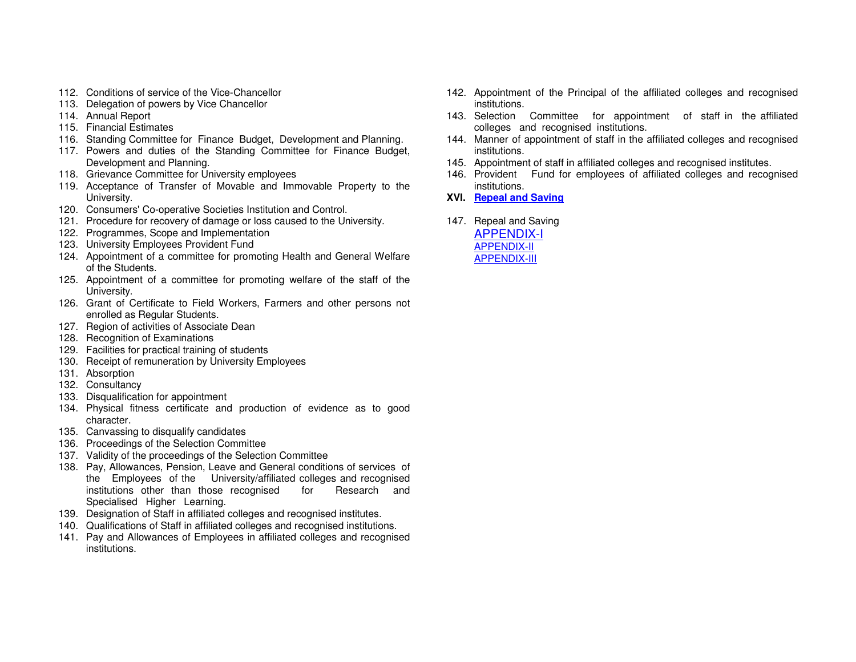- 112. Conditions of service of the Vice-Chancellor
- 113. Delegation of powers by Vice Chancellor
- 114. Annual Report
- 115. Financial Estimates
- 116. Standing Committee for Finance Budget, Development and Planning.
- 117. Powers and duties of the Standing Committee for Finance Budget, Development and Planning.
- 118. Grievance Committee for University employees
- 119. Acceptance of Transfer of Movable and Immovable Property to the University.
- 120. Consumers' Co-operative Societies Institution and Control.
- 121. Procedure for recovery of damage or loss caused to the University.
- 122. Programmes, Scope and Implementation
- 123. University Employees Provident Fund
- 124. Appointment of a committee for promoting Health and General Welfare of the Students.
- 125. Appointment of a committee for promoting welfare of the staff of the University.
- 126. Grant of Certificate to Field Workers, Farmers and other persons not enrolled as Regular Students.
- 127. Region of activities of Associate Dean
- 128. Recognition of Examinations
- 129. Facilities for practical training of students
- 130. Receipt of remuneration by University Employees
- 131. Absorption
- 132. Consultancy
- 133. Disqualification for appointment
- 134. Physical fitness certificate and production of evidence as to good character.
- 135. Canvassing to disqualify candidates
- 136. Proceedings of the Selection Committee
- 137. Validity of the proceedings of the Selection Committee
- 138. Pay, Allowances, Pension, Leave and General conditions of services of the Employees of the University/affiliated colleges and recognised Research and institutions other than those recognised for Specialised Higher Learning.
- 139. Designation of Staff in affiliated colleges and recognised institutes.
- 140. Qualifications of Staff in affiliated colleges and recognised institutions.
- 141. Pay and Allowances of Employees in affiliated colleges and recognised institutions.
- 142. Appointment of the Principal of the affiliated colleges and recognised institutions.
- 143. Selection Committee for appointment of staff in the affiliated colleges and recognised institutions.
- 144. Manner of appointment of staff in the affiliated colleges and recognised institutions.
- 145. Appointment of staff in affiliated colleges and recognised institutes.
- 146. Provident Fund for employees of affiliated colleges and recognised institutions.
- **XVI. Repeal and Saving**
- 147. Repeal and Saving APPENDIX-IAPPENDIX-IIAPPENDIX-III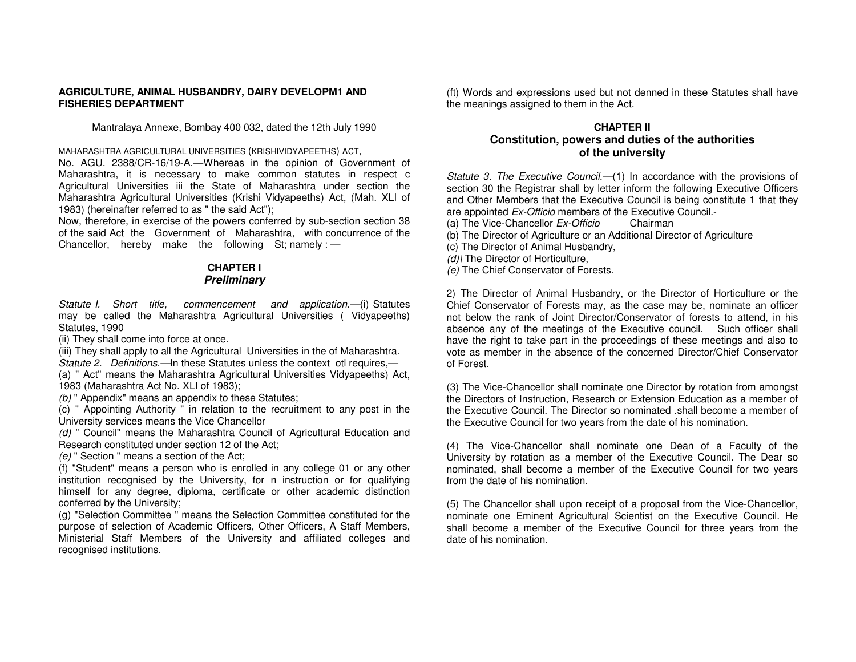#### **AGRICULTURE, ANIMAL HUSBANDRY, DAIRY DEVELOPM1 AND FISHERIES DEPARTMENT**

Mantralaya Annexe, Bombay 400 032, dated the 12th July 1990

MAHARASHTRA AGRICULTURAL UNIVERSITIES (KRISHIVIDYAPEETHS) ACT,

 No. AGU. 2388/CR-16/19-A.—Whereas in the opinion of Government of Maharashtra, it is necessary to make common statutes in respect c Agricultural Universities iii the State of Maharashtra under section the Maharashtra Agricultural Universities (Krishi Vidyapeeths) Act, (Mah. XLI of 1983) (hereinafter referred to as " the said Act");

 Now, therefore, in exercise of the powers conferred by sub-section section 38 of the said Act the Government of Maharashtra, with concurrence of the Chancellor, hereby make the following St; namely :  $-$ 

#### **CHAPTER I Preliminary**

Statute I. Short title, commencement and application.—(i) Statutes may be called the Maharashtra Agricultural Universities ( Vidyapeeths) Statutes, 1990

(ii) They shall come into force at once.

 (iii) They shall apply to all the Agricultural Universities in the of Maharashtra. Statute 2. Definitions.—In these Statutes unless the context otl requires,— (a) " Act" means the Maharashtra Agricultural Universities Vidyapeeths) Act,

1983 (Maharashtra Act No. XLI of 1983);

(b) " Appendix" means an appendix to these Statutes;

 (c) " Appointing Authority " in relation to the recruitment to any post in the University services means the Vice Chancellor

 (d) " Council" means the Maharashtra Council of Agricultural Education and Research constituted under section 12 of the Act;

(e) " Section " means a section of the Act;

 (f) "Student" means a person who is enrolled in any college 01 or any other institution recognised by the University, for n instruction or for qualifying himself for any degree, diploma, certificate or other academic distinction conferred by the University;

 (g) "Selection Committee " means the Selection Committee constituted for the purpose of selection of Academic Officers, Other Officers, A Staff Members, Ministerial Staff Members of the University and affiliated colleges and recognised institutions.

(ft) Words and expressions used but not denned in these Statutes shall have the meanings assigned to them in the Act.

## **CHAPTER II Constitution, powers and duties of the authorities of the university**

Statute 3. The Executive Council.—(1) In accordance with the provisions of section 30 the Registrar shall by letter inform the following Executive Officers and Other Members that the Executive Council is being constitute 1 that they are appointed Ex-Officio members of the Executive Council.-

(a) The Vice-Chancellor Ex-Officio Chairman

(b) The Director of Agriculture or an Additional Director of Agriculture

(c) The Director of Animal Husbandry,

(d)) The Director of Horticulture,

(e) The Chief Conservator of Forests.

2) The Director of Animal Husbandry, or the Director of Horticulture or the Chief Conservator of Forests may, as the case may be, nominate an officer not below the rank of Joint Director/Conservator of forests to attend, in his absence any of the meetings of the Executive council. Such officer shall have the right to take part in the proceedings of these meetings and also to vote as member in the absence of the concerned Director/Chief Conservator of Forest.

(3) The Vice-Chancellor shall nominate one Director by rotation from amongst the Directors of Instruction, Research or Extension Education as a member of the Executive Council. The Director so nominated .shall become a member of the Executive Council for two years from the date of his nomination.

(4) The Vice-Chancellor shall nominate one Dean of a Faculty of the University by rotation as a member of the Executive Council. The Dear so nominated, shall become a member of the Executive Council for two years from the date of his nomination.

(5) The Chancellor shall upon receipt of a proposal from the Vice-Chancellor, nominate one Eminent Agricultural Scientist on the Executive Council. He shall become a member of the Executive Council for three years from the date of his nomination.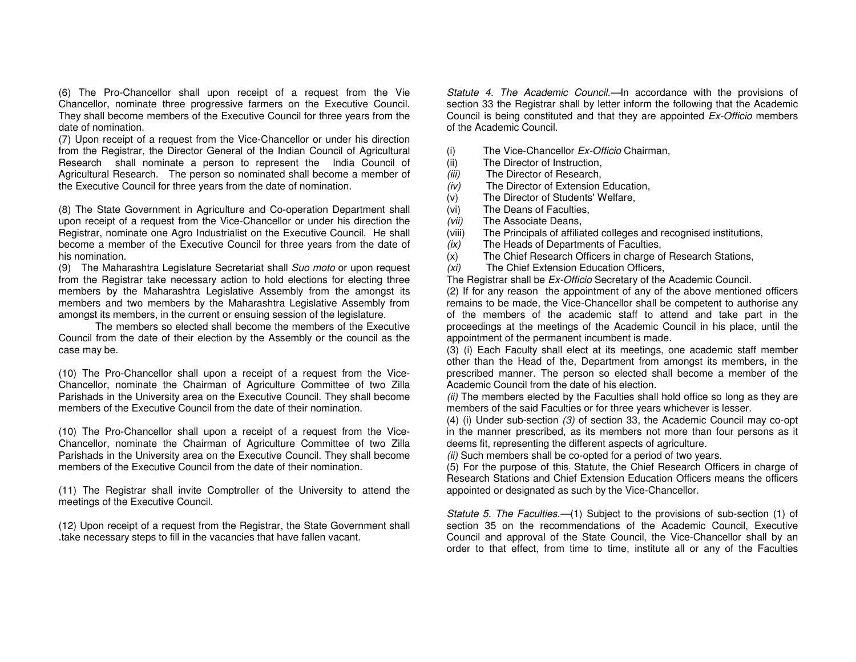(6) The Pro-Chancellor shall upon receipt of a request from the Vie Chancellor, nominate three progressive farmers on the Executive Council. They shall become members of the Executive Council for three years from the date of nomination.

 (7) Upon receipt of a request from the Vice-Chancellor or under his direction from the Registrar, the Director General of the Indian Council of Agricultural Research shall nominate a person to represent the India Council of Agricultural Research. The person so nominated shall become a member of the Executive Council for three years from the date of nomination.

(8) The State Government in Agriculture and Co-operation Department shall upon receipt of a request from the Vice-Chancellor or under his direction the Registrar, nominate one Agro Industrialist on the Executive Council. He shall become a member of the Executive Council for three years from the date of his nomination.

(9) The Maharashtra Legislature Secretariat shall Suo moto or upon request from the Registrar take necessary action to hold elections for electing three members by the Maharashtra Legislative Assembly from the amongst its members and two members by the Maharashtra Legislative Assembly from amongst its members, in the current or ensuing session of the legislature.

 The members so elected shall become the members of the Executive Council from the date of their election by the Assembly or the council as the case may be.

(10) The Pro-Chancellor shall upon a receipt of a request from the Vice-Chancellor, nominate the Chairman of Agriculture Committee of two Zilla Parishads in the University area on the Executive Council. They shall become members of the Executive Council from the date of their nomination.

(10) The Pro-Chancellor shall upon a receipt of a request from the Vice-Chancellor, nominate the Chairman of Agriculture Committee of two Zilla Parishads in the University area on the Executive Council. They shall become members of the Executive Council from the date of their nomination.

(11) The Registrar shall invite Comptroller of the University to attend the meetings of the Executive Council.

(12) Upon receipt of a request from the Registrar, the State Government shall .take necessary steps to fill in the vacancies that have fallen vacant.

Statute 4. The Academic Council.—In accordance with the provisions of section 33 the Registrar shall by letter inform the following that the Academic Council is being constituted and that they are appointed Ex-Officio members of the Academic Council.

- $(i)$  The Vice-Chancellor  $Ex$ -Officio Chairman,
- (ii) The Director of Instruction,
- (iii) The Director of Research,
- (iv) The Director of Extension Education,
- (v) The Director of Students' Welfare,
- (vi) The Deans of Faculties,
- (vii) The Associate Deans,
- (viii) The Principals of affiliated colleges and recognised institutions,
- (ix) The Heads of Departments of Faculties,
- (x) The Chief Research Officers in charge of Research Stations,
- (xi) The Chief Extension Education Officers,

The Registrar shall be Ex-Officio Secretary of the Academic Council.

 (2) If for any reason the appointment of any of the above mentioned officers remains to be made, the Vice-Chancellor shall be competent to authorise any of the members of the academic staff to attend and take part in the proceedings at the meetings of the Academic Council in his place, until the appointment of the permanent incumbent is made.

 (3) (i) Each Faculty shall elect at its meetings, one academic staff member other than the Head of the, Department from amongst its members, in the prescribed manner. The person so elected shall become a member of the Academic Council from the date of his election.

(ii) The members elected by the Faculties shall hold office so long as they are members of the said Faculties or for three years whichever is lesser.

 (4) (i) Under sub-section (3) of section 33, the Academic Council may co-opt in the manner prescribed, as its members not more than four persons as it deems fit, representing the different aspects of agriculture.

(ii) Such members shall be co-opted for a period of two years.

 (5) For the purpose of this: Statute, the Chief Research Officers in charge of Research Stations and Chief Extension Education Officers means the officers appointed or designated as such by the Vice-Chancellor.

Statute 5. The Faculties.—(1) Subject to the provisions of sub-section (1) of section 35 on the recommendations of the Academic Council, Executive Council and approval of the State Council, the Vice-Chancellor shall by an order to that effect, from time to time, institute all or any of the Faculties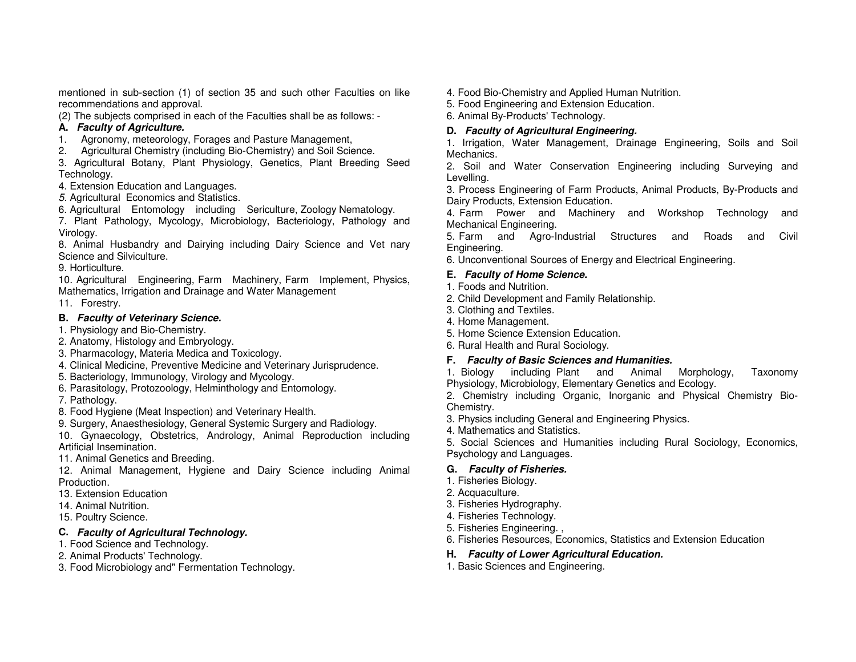mentioned in sub-section (1) of section 35 and such other Faculties on like recommendations and approval.

(2) The subjects comprised in each of the Faculties shall be as follows: -

# **A. Faculty of Agriculture.**

- 1. Agronomy, meteorology, Forages and Pasture Management,
- 2. Agricultural Chemistry (including Bio-Chemistry) and Soil Science.

 3. Agricultural Botany, Plant Physiology, Genetics, Plant Breeding Seed Technology.

4. Extension Education and Languages.

5. Agricultural Economics and Statistics.

6. Agricultural Entomology including Sericulture, Zoology Nematology.

 7. Plant Pathology, Mycology, Microbiology, Bacteriology, Pathology and Virology.

 8. Animal Husbandry and Dairying including Dairy Science and Vet nary Science and Silviculture.

9. Horticulture.

 10. Agricultural Engineering, Farm Machinery, Farm Implement, Physics, Mathematics, Irrigation and Drainage and Water Management

11. Forestry.

# **B. Faculty of Veterinary Science.**

1. Physiology and Bio-Chemistry.

2. Anatomy, Histology and Embryology.

- 3. Pharmacology, Materia Medica and Toxicology.
- 4. Clinical Medicine, Preventive Medicine and Veterinary Jurisprudence.
- 5. Bacteriology, Immunology, Virology and Mycology.
- 6. Parasitology, Protozoology, Helminthology and Entomology.

7. Pathology.

8. Food Hygiene (Meat Inspection) and Veterinary Health.

9. Surgery, Anaesthesiology, General Systemic Surgery and Radiology.

 10. Gynaecology, Obstetrics, Andrology, Animal Reproduction including Artificial Insemination.

11. Animal Genetics and Breeding.

 12. Animal Management, Hygiene and Dairy Science including Animal Production.

13. Extension Education

14. Animal Nutrition.

15. Poultry Science.

# **C. Faculty of Agricultural Technology.**

- 1. Food Science and Technology.
- 2. Animal Products' Technology.
- 3. Food Microbiology and" Fermentation Technology.
- 4. Food Bio-Chemistry and Applied Human Nutrition.
- 5. Food Engineering and Extension Education.
- 6. Animal By-Products' Technology.

# **D. Faculty of Agricultural Engineering.**

 1. Irrigation, Water Management, Drainage Engineering, Soils and Soil Mechanics.

 2. Soil and Water Conservation Engineering including Surveying and Levelling.

 3. Process Engineering of Farm Products, Animal Products, By-Products and Dairy Products, Extension Education.

 4. Farm Power and Machinery and Workshop Technology and Mechanical Engineering.

 5. Farm and Agro-Industrial Structures and Roads and Civil Engineering.

6. Unconventional Sources of Energy and Electrical Engineering.

# **E. Faculty of Home Science.**

- 1. Foods and Nutrition.
- 2. Child Development and Family Relationship.
- 3. Clothing and Textiles.
- 4. Home Management.
- 5. Home Science Extension Education.
- 6. Rural Health and Rural Sociology.

# **F. Faculty of Basic Sciences and Humanities.**

1. Biology including Plant and Animal Morphology, Taxonomy Physiology, Microbiology, Elementary Genetics and Ecology.

 2. Chemistry including Organic, Inorganic and Physical Chemistry Bio-Chemistry.

- 3. Physics including General and Engineering Physics.
- 4. Mathematics and Statistics.
- 5. Social Sciences and Humanities including Rural Sociology, Economics, Psychology and Languages.

# **G. Faculty of Fisheries.**

- 1. Fisheries Biology.
- 2. Acquaculture.
- 3. Fisheries Hydrography.
- 4. Fisheries Technology.
- 5. Fisheries Engineering. ,
- 6. Fisheries Resources, Economics, Statistics and Extension Education

# **H. Faculty of Lower Agricultural Education.**

1. Basic Sciences and Engineering.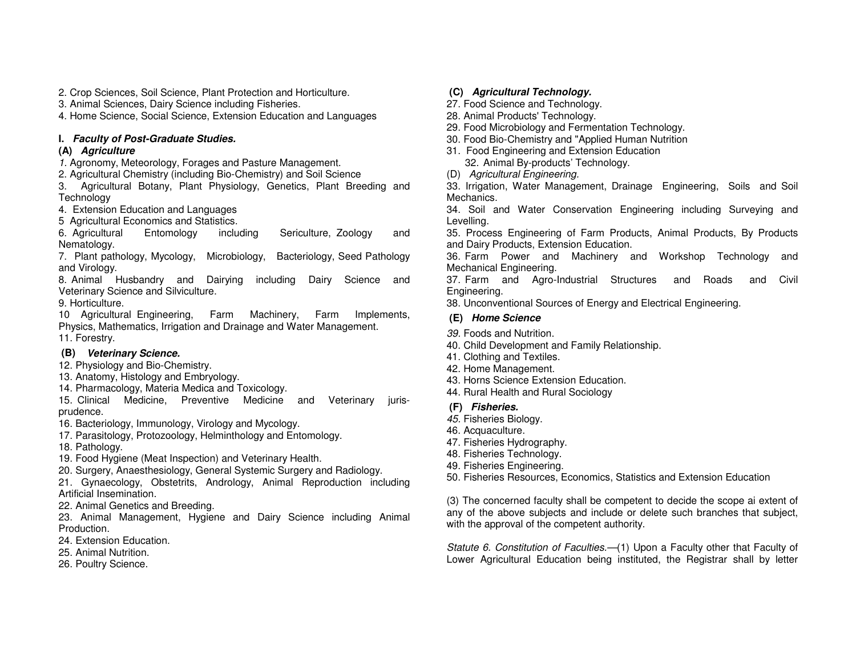2. Crop Sciences, Soil Science, Plant Protection and Horticulture.

3. Animal Sciences, Dairy Science including Fisheries.

4. Home Science, Social Science, Extension Education and Languages

## **I. Faculty of Post-Graduate Studies.**

## **(A) Agriculture**

1. Agronomy, Meteorology, Forages and Pasture Management.

2. Agricultural Chemistry (including Bio-Chemistry) and Soil Science

 3. Agricultural Botany, Plant Physiology, Genetics, Plant Breeding and **Technology** 

4. Extension Education and Languages

5 Agricultural Economics and Statistics.

including 6. Agricultural Entomology including Sericulture, Zoology and Nematology.

 7. Plant pathology, Mycology, Microbiology, Bacteriology, Seed Pathology and Virology.

 8. Animal Husbandry and Dairying including Dairy Science and Veterinary Science and Silviculture.

9. Horticulture.

 10 Agricultural Engineering, Farm Machinery, Farm Implements, Physics, Mathematics, Irrigation and Drainage and Water Management. 11. Forestry.

## **(B) Veterinary Science.**

- 12. Physiology and Bio-Chemistry.
- 13. Anatomy, Histology and Embryology.
- 14. Pharmacology, Materia Medica and Toxicology.

 15. Clinical Medicine, Preventive Medicine and Veterinary jurisprudence.

16. Bacteriology, Immunology, Virology and Mycology.

17. Parasitology, Protozoology, Helminthology and Entomology.

18. Pathology.

19. Food Hygiene (Meat Inspection) and Veterinary Health.

20. Surgery, Anaesthesiology, General Systemic Surgery and Radiology.

- 21. Gynaecology, Obstetrits, Andrology, Animal Reproduction including Artificial Insemination.
- 22. Animal Genetics and Breeding.

 23. Animal Management, Hygiene and Dairy Science including Animal Production.

- 24. Extension Education.
- 25. Animal Nutrition.
- 26. Poultry Science.

## **(C) Agricultural Technology.**

- 27. Food Science and Technology.
- 28. Animal Products' Technology.
- 29. Food Microbiology and Fermentation Technology.
- 30. Food Bio-Chemistry and "Applied Human Nutrition
- 31. Food Engineering and Extension Education
	- 32. Animal By-products' Technology.
- (D) Agricultural Engineering.
- 33. Irrigation, Water Management, Drainage Engineering, Soils and Soil Mechanics.

 34. Soil and Water Conservation Engineering including Surveying and Levelling.

 35. Process Engineering of Farm Products, Animal Products, By Products and Dairy Products, Extension Education.

 36. Farm Power and Machinery and Workshop Technology and Mechanical Engineering.

 37. Farm and Agro-Industrial Structures and Roads and Civil Engineering.

38. Unconventional Sources of Energy and Electrical Engineering.

## **(E) Home Science**

- 39. Foods and Nutrition.
- 40. Child Development and Family Relationship.
- 41. Clothing and Textiles.
- 42. Home Management.
- 43. Horns Science Extension Education.
- 44. Rural Health and Rural Sociology

#### **(F) Fisheries.**

- 45. Fisheries Biology.
- 46. Acquaculture.
- 47. Fisheries Hydrography.
- 48. Fisheries Technology.
- 49. Fisheries Engineering.

50. Fisheries Resources, Economics, Statistics and Extension Education

(3) The concerned faculty shall be competent to decide the scope ai extent of any of the above subjects and include or delete such branches that subject, with the approval of the competent authority.

Statute 6. Constitution of Faculties.—(1) Upon a Faculty other that Faculty of Lower Agricultural Education being instituted, the Registrar shall by letter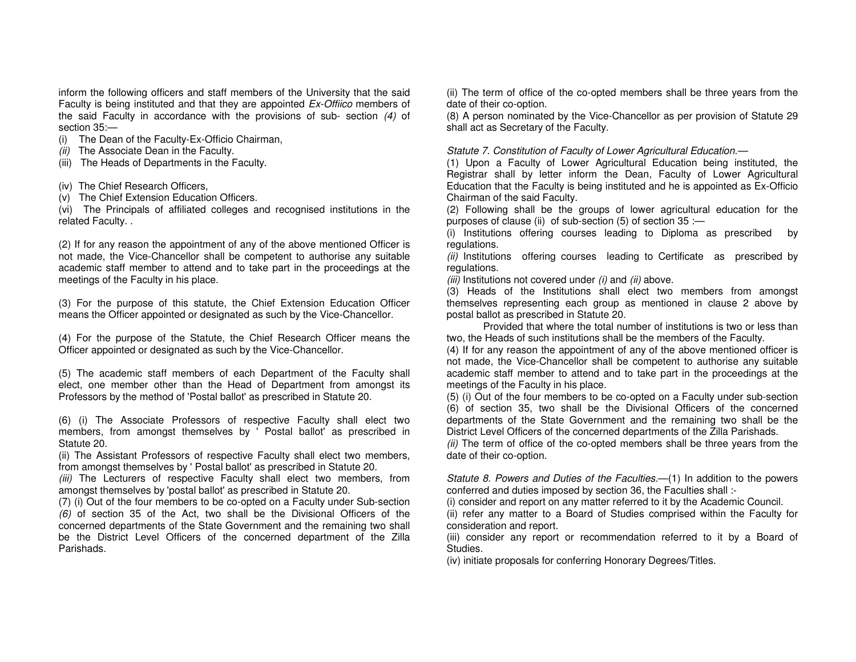inform the following officers and staff members of the University that the said Faculty is being instituted and that they are appointed Ex-Offiico members of the said Faculty in accordance with the provisions of sub- section (4) of section 35:—

- (i) The Dean of the Faculty-Ex-Officio Chairman,
- (ii) The Associate Dean in the Faculty.
- (iii) The Heads of Departments in the Faculty.
- (iv) The Chief Research Officers,
- (v) The Chief Extension Education Officers.

 (vi) The Principals of affiliated colleges and recognised institutions in the related Faculty. .

(2) If for any reason the appointment of any of the above mentioned Officer is not made, the Vice-Chancellor shall be competent to authorise any suitable academic staff member to attend and to take part in the proceedings at the meetings of the Faculty in his place.

(3) For the purpose of this statute, the Chief Extension Education Officer means the Officer appointed or designated as such by the Vice-Chancellor.

(4) For the purpose of the Statute, the Chief Research Officer means the Officer appointed or designated as such by the Vice-Chancellor.

(5) The academic staff members of each Department of the Faculty shall elect, one member other than the Head of Department from amongst its Professors by the method of 'Postal ballot' as prescribed in Statute 20.

(6) (i) The Associate Professors of respective Faculty shall elect two members, from amongst themselves by ' Postal ballot' as prescribed in Statute 20.

 (ii) The Assistant Professors of respective Faculty shall elect two members, from amongst themselves by ' Postal ballot' as prescribed in Statute 20.

(iii) The Lecturers of respective Faculty shall elect two members, from amongst themselves by 'postal ballot' as prescribed in Statute 20.

 (7) (i) Out of the four members to be co-opted on a Faculty under Sub-section (6) of section 35 of the Act, two shall be the Divisional Officers of the concerned departments of the State Government and the remaining two shall be the District Level Officers of the concerned department of the Zilla Parishads.

(ii) The term of office of the co-opted members shall be three years from the date of their co-option.

 (8) A person nominated by the Vice-Chancellor as per provision of Statute 29 shall act as Secretary of the Faculty.

#### Statute 7. Constitution of Faculty of Lower Agricultural Education.—

 (1) Upon a Faculty of Lower Agricultural Education being instituted, the Registrar shall by letter inform the Dean, Faculty of Lower Agricultural Education that the Faculty is being instituted and he is appointed as Ex-Officio Chairman of the said Faculty.

 (2) Following shall be the groups of lower agricultural education for the purposes of clause (ii) of sub-section (5) of section 35 :—

 (i) Institutions offering courses leading to Diploma as prescribed by regulations.

(ii) Institutions offering courses leading to Certificate as prescribed by regulations.

(iii) Institutions not covered under  $(i)$  and  $(ii)$  above.

 (3) Heads of the Institutions shall elect two members from amongst themselves representing each group as mentioned in clause 2 above by postal ballot as prescribed in Statute 20.

 Provided that where the total number of institutions is two or less than two, the Heads of such institutions shall be the members of the Faculty.

 (4) If for any reason the appointment of any of the above mentioned officer is not made, the Vice-Chancellor shall be competent to authorise any suitable academic staff member to attend and to take part in the proceedings at the meetings of the Faculty in his place.

 (5) (i) Out of the four members to be co-opted on a Faculty under sub-section (6) of section 35, two shall be the Divisional Officers of the concerned departments of the State Government and the remaining two shall be the District Level Officers of the concerned departments of the Zilla Parishads.

(ii) The term of office of the co-opted members shall be three years from the date of their co-option.

Statute 8. Powers and Duties of the Faculties.—(1) In addition to the powers conferred and duties imposed by section 36, the Faculties shall :-

(i) consider and report on any matter referred to it by the Academic Council.

 (ii) refer any matter to a Board of Studies comprised within the Faculty for consideration and report.

 (iii) consider any report or recommendation referred to it by a Board of Studies.

(iv) initiate proposals for conferring Honorary Degrees/Titles.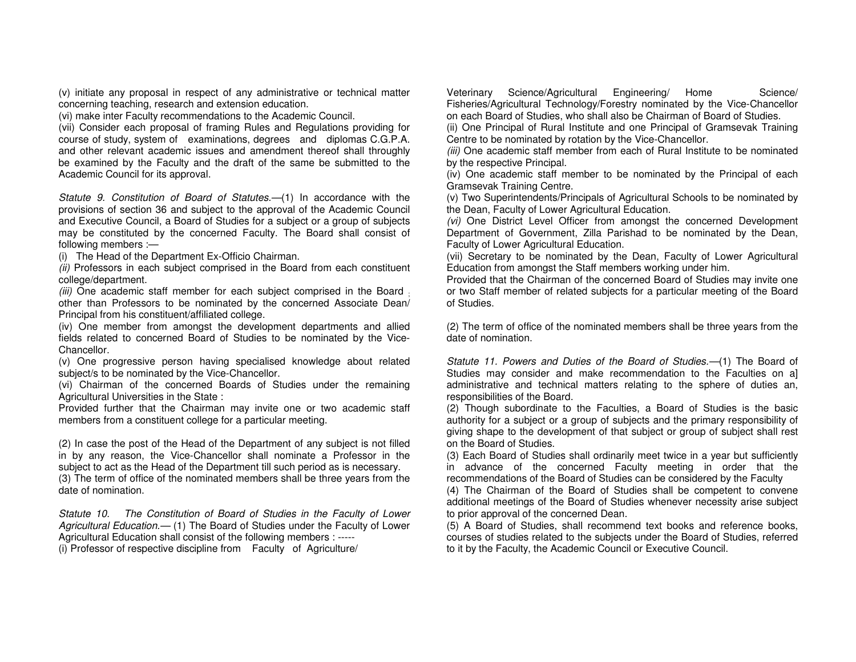(v) initiate any proposal in respect of any administrative or technical matter concerning teaching, research and extension education.

(vi) make inter Faculty recommendations to the Academic Council.

 (vii) Consider each proposal of framing Rules and Regulations providing for course of study, system of examinations, degrees and diplomas C.G.P.A. and other relevant academic issues and amendment thereof shall throughly be examined by the Faculty and the draft of the same be submitted to the Academic Council for its approval.

Statute 9. Constitution of Board of Statutes.—(1) In accordance with the provisions of section 36 and subject to the approval of the Academic Council and Executive Council, a Board of Studies for a subject or a group of subjects may be constituted by the concerned Faculty. The Board shall consist of following members :—

(i) The Head of the Department Ex-Officio Chairman.

(ii) Professors in each subject comprised in the Board from each constituent college/department.

(iii) One academic staff member for each subject comprised in the Board ; other than Professors to be nominated by the concerned Associate Dean/ Principal from his constituent/affiliated college.

 (iv) One member from amongst the development departments and allied fields related to concerned Board of Studies to be nominated by the Vice-Chancellor.

 (v) One progressive person having specialised knowledge about related subject/s to be nominated by the Vice-Chancellor.

 (vi) Chairman of the concerned Boards of Studies under the remaining Agricultural Universities in the State :

 Provided further that the Chairman may invite one or two academic staff members from a constituent college for a particular meeting.

(2) In case the post of the Head of the Department of any subject is not filled in by any reason, the Vice-Chancellor shall nominate a Professor in the subject to act as the Head of the Department till such period as is necessary. (3) The term of office of the nominated members shall be three years from the date of nomination.

Statute 10. The Constitution of Board of Studies in the Faculty of Lower Agricultural Education.- (1) The Board of Studies under the Faculty of Lower Agricultural Education shall consist of the following members : ----- (i) Professor of respective discipline from Faculty of Agriculture/

Veterinary Science/Agricultural Engineering/ Home Science/ Fisheries/Agricultural Technology/Forestry nominated by the Vice-Chancellor on each Board of Studies, who shall also be Chairman of Board of Studies.

 (ii) One Principal of Rural Institute and one Principal of Gramsevak Training Centre to be nominated by rotation by the Vice-Chancellor.

(iii) One academic staff member from each of Rural Institute to be nominated by the respective Principal.

 (iv) One academic staff member to be nominated by the Principal of each Gramsevak Training Centre.

 (v) Two Superintendents/Principals of Agricultural Schools to be nominated by the Dean, Faculty of Lower Agricultural Education.

(vi) One District Level Officer from amongst the concerned Development Department of Government, Zilla Parishad to be nominated by the Dean, Faculty of Lower Agricultural Education.

 (vii) Secretary to be nominated by the Dean, Faculty of Lower Agricultural Education from amongst the Staff members working under him.

 Provided that the Chairman of the concerned Board of Studies may invite one or two Staff member of related subjects for a particular meeting of the Board of Studies.

(2) The term of office of the nominated members shall be three years from the date of nomination.

Statute 11. Powers and Duties of the Board of Studies.—(1) The Board of Studies may consider and make recommendation to the Faculties on a] administrative and technical matters relating to the sphere of duties an, responsibilities of the Board.

 (2) Though subordinate to the Faculties, a Board of Studies is the basic authority for a subject or a group of subjects and the primary responsibility of giving shape to the development of that subject or group of subject shall rest on the Board of Studies.

 (3) Each Board of Studies shall ordinarily meet twice in a year but sufficiently in advance of the concerned Faculty meeting in order that the recommendations of the Board of Studies can be considered by the Faculty

 (4) The Chairman of the Board of Studies shall be competent to convene additional meetings of the Board of Studies whenever necessity arise subject to prior approval of the concerned Dean.

 (5) A Board of Studies, shall recommend text books and reference books, courses of studies related to the subjects under the Board of Studies, referred to it by the Faculty, the Academic Council or Executive Council.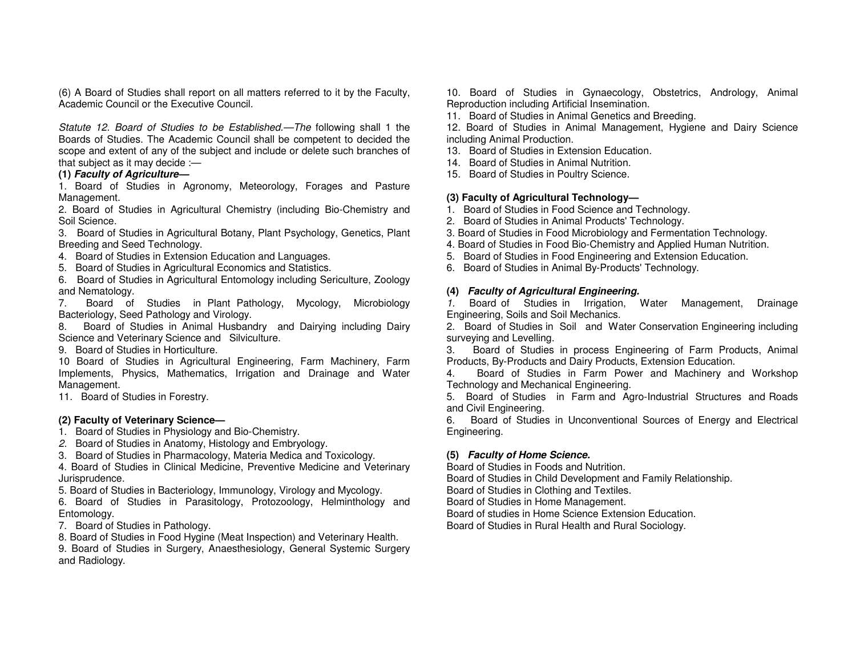(6) A Board of Studies shall report on all matters referred to it by the Faculty, Academic Council or the Executive Council.

Statute 12. Board of Studies to be Established.—The following shall 1 the Boards of Studies. The Academic Council shall be competent to decided the scope and extent of any of the subject and include or delete such branches of that subject as it may decide :—

#### **(1) Faculty of Agriculture—**

 1. Board of Studies in Agronomy, Meteorology, Forages and Pasture Management.

 2. Board of Studies in Agricultural Chemistry (including Bio-Chemistry and Soil Science.

 3. Board of Studies in Agricultural Botany, Plant Psychology, Genetics, Plant Breeding and Seed Technology.

4. Board of Studies in Extension Education and Languages.

5. Board of Studies in Agricultural Economics and Statistics.

 6. Board of Studies in Agricultural Entomology including Sericulture, Zoology and Nematology.

 7. Board of Studies in Plant Pathology, Mycology, Microbiology Bacteriology, Seed Pathology and Virology.

 8. Board of Studies in Animal Husbandry and Dairying including Dairy Science and Veterinary Science and Silviculture.

9. Board of Studies in Horticulture.

 10 Board of Studies in Agricultural Engineering, Farm Machinery, Farm Implements, Physics, Mathematics, Irrigation and Drainage and Water Management.

11. Board of Studies in Forestry.

#### **(2) Faculty of Veterinary Science—**

- 1. Board of Studies in Physiology and Bio-Chemistry.
- 2. Board of Studies in Anatomy, Histology and Embryology.
- 3. Board of Studies in Pharmacology, Materia Medica and Toxicology.

 4. Board of Studies in Clinical Medicine, Preventive Medicine and Veterinary Jurisprudence.

5. Board of Studies in Bacteriology, Immunology, Virology and Mycology.

 6. Board of Studies in Parasitology, Protozoology, Helminthology and Entomology.

7. Board of Studies in Pathology.

8. Board of Studies in Food Hygine (Meat Inspection) and Veterinary Health.

 9. Board of Studies in Surgery, Anaesthesiology, General Systemic Surgery and Radiology.

10. Board of Studies in Gynaecology, Obstetrics, Andrology, Animal Reproduction including Artificial Insemination.

11. Board of Studies in Animal Genetics and Breeding.

 12. Board of Studies in Animal Management, Hygiene and Dairy Science including Animal Production.

- 13. Board of Studies in Extension Education.
- 14. Board of Studies in Animal Nutrition.

15. Board of Studies in Poultry Science.

#### **(3) Faculty of Agricultural Technology—**

- 1. Board of Studies in Food Science and Technology.
- 2. Board of Studies in Animal Products' Technology.
- 3. Board of Studies in Food Microbiology and Fermentation Technology.
- 4. Board of Studies in Food Bio-Chemistry and Applied Human Nutrition.
- 5. Board of Studies in Food Engineering and Extension Education.
- 6. Board of Studies in Animal By-Products' Technology.

#### **(4) Faculty of Agricultural Engineering.**

 1. Board of Studies in Irrigation, Water Management, Drainage Engineering, Soils and Soil Mechanics.

 2. Board of Studies in Soil and Water Conservation Engineering including surveying and Levelling.

 3. Board of Studies in process Engineering of Farm Products, Animal Products, By-Products and Dairy Products, Extension Education.

 4. Board of Studies in Farm Power and Machinery and Workshop Technology and Mechanical Engineering.

 5. Board of Studies in Farm and Agro-Industrial Structures and Roads and Civil Engineering.

 6. Board of Studies in Unconventional Sources of Energy and Electrical Engineering.

#### **(5) Faculty of Home Science.**

Board of Studies in Foods and Nutrition.

Board of Studies in Child Development and Family Relationship.

Board of Studies in Clothing and Textiles.

Board of Studies in Home Management.

Board of studies in Home Science Extension Education.

Board of Studies in Rural Health and Rural Sociology.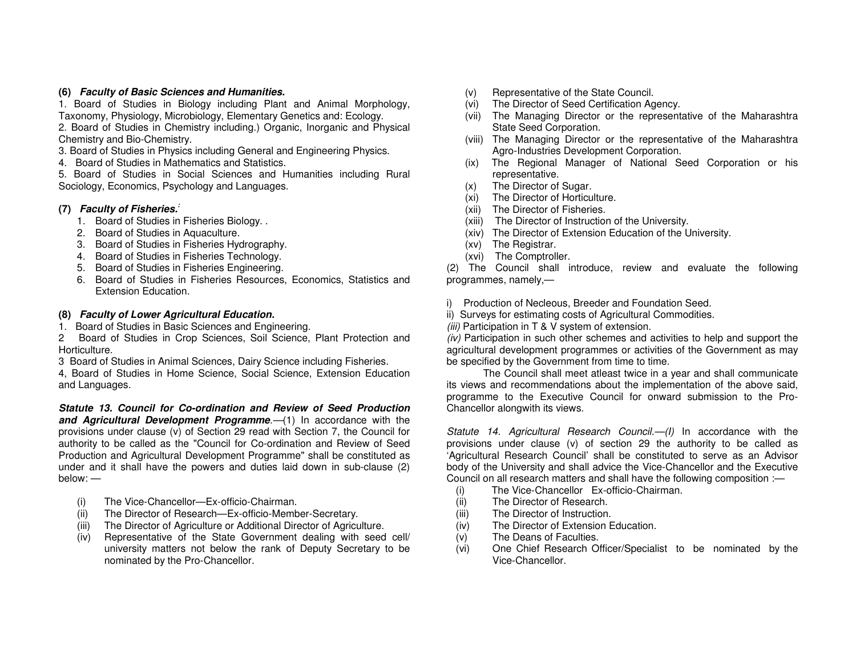#### **(6) Faculty of Basic Sciences and Humanities.**

 1. Board of Studies in Biology including Plant and Animal Morphology, Taxonomy, Physiology, Microbiology, Elementary Genetics and: Ecology.

 2. Board of Studies in Chemistry including.) Organic, Inorganic and Physical Chemistry and Bio-Chemistry.

3. Board of Studies in Physics including General and Engineering Physics.

4. Board of Studies in Mathematics and Statistics.

 5. Board of Studies in Social Sciences and Humanities including Rural Sociology, Economics, Psychology and Languages.

## **(7) Faculty of Fisheries.:**

- 1. Board of Studies in Fisheries Biology. .
- 2. Board of Studies in Aquaculture.
- 3. Board of Studies in Fisheries Hydrography.
- 4. Board of Studies in Fisheries Technology.
- 5. Board of Studies in Fisheries Engineering.
- 6. Board of Studies in Fisheries Resources, Economics, Statistics and Extension Education.

#### **(8) Faculty of Lower Agricultural Education.**

1. Board of Studies in Basic Sciences and Engineering.

 2 Board of Studies in Crop Sciences, Soil Science, Plant Protection and Horticulture.

3 Board of Studies in Animal Sciences, Dairy Science including Fisheries.

 4, Board of Studies in Home Science, Social Science, Extension Education and Languages.

**Statute 13. Council for Co-ordination and Review of Seed Production and Agricultural Development Programme**.—(1) In accordance with the provisions under clause (v) of Section 29 read with Section 7, the Council for authority to be called as the "Council for Co-ordination and Review of Seed Production and Agricultural Development Programme" shall be constituted as under and it shall have the powers and duties laid down in sub-clause (2) below: —

- (i) The Vice-Chancellor—Ex-officio-Chairman.
- (ii) The Director of Research—Ex-officio-Member-Secretary.
- (iii) The Director of Agriculture or Additional Director of Agriculture.
- (iv) Representative of the State Government dealing with seed cell/ university matters not below the rank of Deputy Secretary to be nominated by the Pro-Chancellor.
- (v) Representative of the State Council.
- (vi) The Director of Seed Certification Agency.
- (vii) The Managing Director or the representative of the Maharashtra State Seed Corporation.
- (viii) The Managing Director or the representative of the Maharashtra Agro-Industries Development Corporation.
- (ix) The Regional Manager of National Seed Corporation or his representative.
- (x) The Director of Sugar.
- (xi) The Director of Horticulture.
- (xii) The Director of Fisheries.
- (xiii) The Director of Instruction of the University.
- (xiv) The Director of Extension Education of the University.
- (xv) The Registrar.
- (xvi) The Comptroller.

 (2) The Council shall introduce, review and evaluate the following programmes, namely,—

- i) Production of Necleous, Breeder and Foundation Seed.
- ii) Surveys for estimating costs of Agricultural Commodities.

 $(iii)$  Participation in T & V system of extension.

 (iv) Participation in such other schemes and activities to help and support the agricultural development programmes or activities of the Government as may be specified by the Government from time to time.

 The Council shall meet atleast twice in a year and shall communicate its views and recommendations about the implementation of the above said, programme to the Executive Council for onward submission to the Pro-Chancellor alongwith its views.

Statute 14. Agricultural Research Council.—(I) In accordance with the provisions under clause (v) of section 29 the authority to be called as 'Agricultural Research Council' shall be constituted to serve as an Advisor body of the University and shall advice the Vice-Chancellor and the Executive Council on all research matters and shall have the following composition :—

- (i) The Vice-Chancellor Ex-officio-Chairman.
- (ii) The Director of Research.
- (iii) The Director of Instruction.
- (iv) The Director of Extension Education.
- (v) The Deans of Faculties.
- (vi) One Chief Research Officer/Specialist to be nominated by the Vice-Chancellor.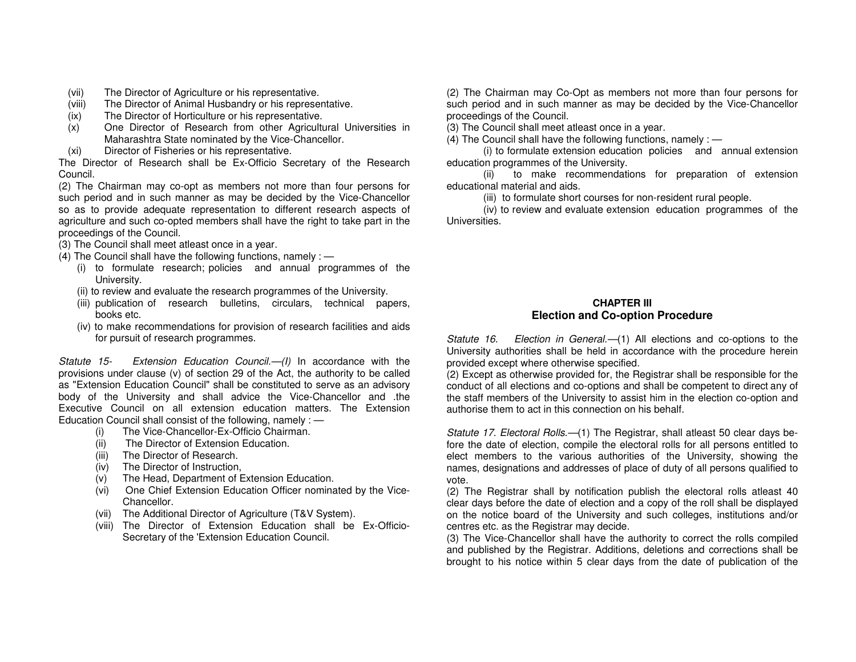- (vii) The Director of Agriculture or his representative.
- (viii) The Director of Animal Husbandry or his representative.
- (ix) The Director of Horticulture or his representative.
- (x) One Director of Research from other Agricultural Universities in Maharashtra State nominated by the Vice-Chancellor.
- (xi) Director of Fisheries or his representative.

 The Director of Research shall be Ex-Officio Secretary of the Research Council.

 (2) The Chairman may co-opt as members not more than four persons for such period and in such manner as may be decided by the Vice-Chancellor so as to provide adequate representation to different research aspects of agriculture and such co-opted members shall have the right to take part in the proceedings of the Council.

(3) The Council shall meet atleast once in a year.

- (4) The Council shall have the following functions, namely :
	- (i) to formulate research; policies and annual programmes of the University.
	- (ii) to review and evaluate the research programmes of the University.
	- (iii) publication of research bulletins, circulars, technical papers, books etc.
	- (iv) to make recommendations for provision of research facilities and aids for pursuit of research programmes.

Statute 15- Extension Education Council.—(I) In accordance with the provisions under clause (v) of section 29 of the Act, the authority to be called as "Extension Education Council" shall be constituted to serve as an advisory body of the University and shall advice the Vice-Chancellor and .the Executive Council on all extension education matters. The Extension Education Council shall consist of the following, namely : —

- (i) The Vice-Chancellor-Ex-Officio Chairman.
- (ii) The Director of Extension Education.
- (iii) The Director of Research.
- (iv) The Director of Instruction,
- (v) The Head, Department of Extension Education.
- (vi) One Chief Extension Education Officer nominated by the Vice-Chancellor.
- (vii) The Additional Director of Agriculture (T&V System).
- (viii) The Director of Extension Education shall be Ex-Officio-Secretary of the 'Extension Education Council.

(2) The Chairman may Co-Opt as members not more than four persons for such period and in such manner as may be decided by the Vice-Chancellor proceedings of the Council.

(3) The Council shall meet atleast once in a year.

(4) The Council shall have the following functions, namely : —

 (i) to formulate extension education policies and annual extension education programmes of the University.

 (ii) to make recommendations for preparation of extension educational material and aids.

(iii) to formulate short courses for non-resident rural people.

 (iv) to review and evaluate extension education programmes of the Universities.

## **CHAPTER III Election and Co-option Procedure**

Statute 16. Election in General.—(1) All elections and co-options to the University authorities shall be held in accordance with the procedure herein provided except where otherwise specified.

 (2) Except as otherwise provided for, the Registrar shall be responsible for the conduct of all elections and co-options and shall be competent to direct any of the staff members of the University to assist him in the election co-option and authorise them to act in this connection on his behalf.

Statute 17. Electoral Rolls.—(1) The Registrar, shall atleast 50 clear days before the date of election, compile the electoral rolls for all persons entitled to elect members to the various authorities of the University, showing the names, designations and addresses of place of duty of all persons qualified to vote.

 (2) The Registrar shall by notification publish the electoral rolls atleast 40 clear days before the date of election and a copy of the roll shall be displayed on the notice board of the University and such colleges, institutions and/or centres etc. as the Registrar may decide.

 (3) The Vice-Chancellor shall have the authority to correct the rolls compiled and published by the Registrar. Additions, deletions and corrections shall be brought to his notice within 5 clear days from the date of publication of the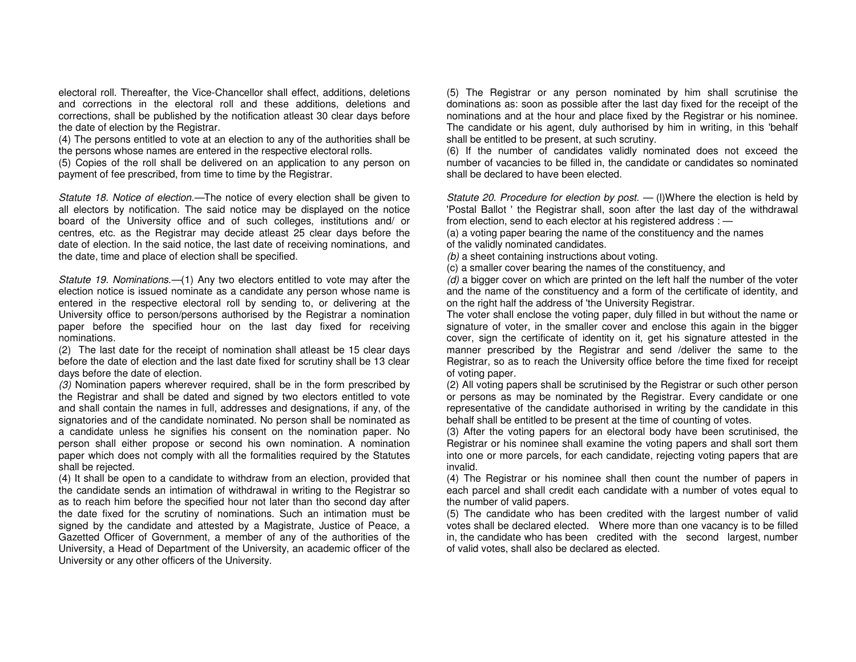electoral roll. Thereafter, the Vice-Chancellor shall effect, additions, deletions and corrections in the electoral roll and these additions, deletions and corrections, shall be published by the notification atleast 30 clear days before the date of election by the Registrar.

 (4) The persons entitled to vote at an election to any of the authorities shall be the persons whose names are entered in the respective electoral rolls.

 (5) Copies of the roll shall be delivered on an application to any person on payment of fee prescribed, from time to time by the Registrar.

Statute 18. Notice of election.—The notice of every election shall be given to all electors by notification. The said notice may be displayed on the notice board of the University office and of such colleges, institutions and/ or centres, etc. as the Registrar may decide atleast 25 clear days before the date of election. In the said notice, the last date of receiving nominations, and the date, time and place of election shall be specified.

Statute 19. Nominations.—(1) Any two electors entitled to vote may after the election notice is issued nominate as a candidate any person whose name is entered in the respective electoral roll by sending to, or delivering at the University office to person/persons authorised by the Registrar a nomination paper before the specified hour on the last day fixed for receiving nominations.

 (2) The last date for the receipt of nomination shall atleast be 15 clear days before the date of election and the last date fixed for scrutiny shall be 13 clear days before the date of election.

 (3) Nomination papers wherever required, shall be in the form prescribed by the Registrar and shall be dated and signed by two electors entitled to vote and shall contain the names in full, addresses and designations, if any, of the signatories and of the candidate nominated. No person shall be nominated as a candidate unless he signifies his consent on the nomination paper. No person shall either propose or second his own nomination. A nomination paper which does not comply with all the formalities required by the Statutes shall be rejected.

 (4) It shall be open to a candidate to withdraw from an election, provided that the candidate sends an intimation of withdrawal in writing to the Registrar so as to reach him before the specified hour not later than tho second day after the date fixed for the scrutiny of nominations. Such an intimation must be signed by the candidate and attested by a Magistrate, Justice of Peace, a Gazetted Officer of Government, a member of any of the authorities of the University, a Head of Department of the University, an academic officer of the University or any other officers of the University.

(5) The Registrar or any person nominated by him shall scrutinise the dominations as: soon as possible after the last day fixed for the receipt of the nominations and at the hour and place fixed by the Registrar or his nominee. The candidate or his agent, duly authorised by him in writing, in this 'behalf shall be entitled to be present, at such scrutiny.

 (6) If the number of candidates validly nominated does not exceed the number of vacancies to be filled in, the candidate or candidates so nominated shall be declared to have been elected.

Statute 20. Procedure for election by post.  $-$  (I)Where the election is held by 'Postal Ballot ' the Registrar shall, soon after the last day of the withdrawal from election, send to each elector at his registered address : —

 (a) a voting paper bearing the name of the constituency and the names of the validly nominated candidates.

(b) a sheet containing instructions about voting.

(c) a smaller cover bearing the names of the constituency, and

(d) a bigger cover on which are printed on the left half the number of the voter and the name of the constituency and a form of the certificate of identity, and on the right half the address of 'the University Registrar.

 The voter shall enclose the voting paper, duly filled in but without the name or signature of voter, in the smaller cover and enclose this again in the bigger cover, sign the certificate of identity on it, get his signature attested in the manner prescribed by the Registrar and send /deliver the same to the Registrar, so as to reach the University office before the time fixed for receipt of voting paper.

 (2) All voting papers shall be scrutinised by the Registrar or such other person or persons as may be nominated by the Registrar. Every candidate or one representative of the candidate authorised in writing by the candidate in this behalf shall be entitled to be present at the time of counting of votes.

 (3) After the voting papers for an electoral body have been scrutinised, the Registrar or his nominee shall examine the voting papers and shall sort them into one or more parcels, for each candidate, rejecting voting papers that are invalid.

 (4) The Registrar or his nominee shall then count the number of papers in each parcel and shall credit each candidate with a number of votes equal to the number of valid papers.

 (5) The candidate who has been credited with the largest number of valid votes shall be declared elected. Where more than one vacancy is to be filled in, the candidate who has been credited with the second largest, number of valid votes, shall also be declared as elected.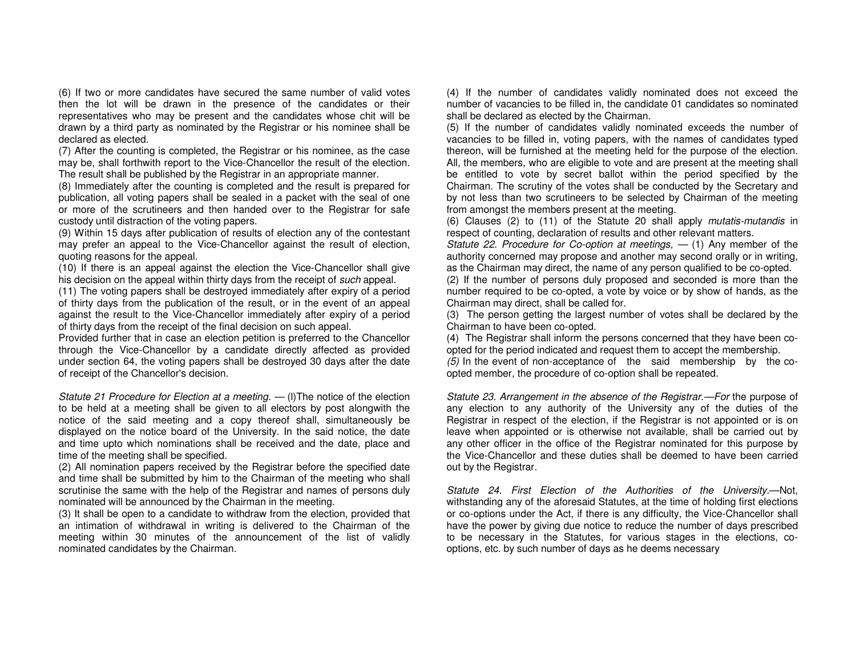(6) If two or more candidates have secured the same number of valid votes then the lot will be drawn in the presence of the candidates or their representatives who may be present and the candidates whose chit will be drawn by a third party as nominated by the Registrar or his nominee shall be declared as elected.

 (7) After the counting is completed, the Registrar or his nominee, as the case may be, shall forthwith report to the Vice-Chancellor the result of the election. The result shall be published by the Registrar in an appropriate manner.

 (8) Immediately after the counting is completed and the result is prepared for publication, all voting papers shall be sealed in a packet with the seal of one or more of the scrutineers and then handed over to the Registrar for safe custody until distraction of the voting papers.

 (9) Within 15 days after publication of results of election any of the contestant may prefer an appeal to the Vice-Chancellor against the result of election, quoting reasons for the appeal.

 (10) If there is an appeal against the election the Vice-Chancellor shall give his decision on the appeal within thirty days from the receipt of such appeal.

 (11) The voting papers shall be destroyed immediately after expiry of a period of thirty days from the publication of the result, or in the event of an appeal against the result to the Vice-Chancellor immediately after expiry of a period of thirty days from the receipt of the final decision on such appeal.

 Provided further that in case an election petition is preferred to the Chancellor through the Vice-Chancellor by a candidate directly affected as provided under section 64, the voting papers shall be destroyed 30 days after the date of receipt of the Chancellor's decision.

Statute 21 Procedure for Election at a meeting.  $-$  (I) The notice of the election to be held at a meeting shall be given to all electors by post alongwith the notice of the said meeting and a copy thereof shall, simultaneously be displayed on the notice board of the University. In the said notice, the date and time upto which nominations shall be received and the date, place and time of the meeting shall be specified.

 (2) All nomination papers received by the Registrar before the specified date and time shall be submitted by him to the Chairman of the meeting who shall scrutinise the same with the help of the Registrar and names of persons duly nominated will be announced by the Chairman in the meeting.

 (3) It shall be open to a candidate to withdraw from the election, provided that an intimation of withdrawal in writing is delivered to the Chairman of the meeting within 30 minutes of the announcement of the list of validly nominated candidates by the Chairman.

(4) If the number of candidates validly nominated does not exceed the number of vacancies to be filled in, the candidate 01 candidates so nominated shall be declared as elected by the Chairman.

 (5) If the number of candidates validly nominated exceeds the number of vacancies to be filled in, voting papers, with the names of candidates typed thereon, will be furnished at the meeting held for the purpose of the election. All, the members, who are eligible to vote and are present at the meeting shall be entitled to vote by secret ballot within the period specified by the Chairman. The scrutiny of the votes shall be conducted by the Secretary and by not less than two scrutineers to be selected by Chairman of the meeting from amongst the members present at the meeting.

(6) Clauses (2) to (11) of the Statute 20 shall apply mutatis-mutandis in respect of counting, declaration of results and other relevant matters.

Statute 22. Procedure for Co-option at meetings,  $-$  (1) Any member of the authority concerned may propose and another may second orally or in writing, as the Chairman may direct, the name of any person qualified to be co-opted.

 (2) If the number of persons duly proposed and seconded is more than the number required to be co-opted, a vote by voice or by show of hands, as the Chairman may direct, shall be called for.

 (3) The person getting the largest number of votes shall be declared by the Chairman to have been co-opted.

 (4) The Registrar shall inform the persons concerned that they have been coopted for the period indicated and request them to accept the membership.

 (5) In the event of non-acceptance of the said membership by the coopted member, the procedure of co-option shall be repeated.

Statute 23. Arrangement in the absence of the Registrar.—For the purpose of any election to any authority of the University any of the duties of the Registrar in respect of the election, if the Registrar is not appointed or is on leave when appointed or is otherwise not available, shall be carried out by any other officer in the office of the Registrar nominated for this purpose by the Vice-Chancellor and these duties shall be deemed to have been carried out by the Registrar.

Statute 24. First Election of the Authorities of the University.—Not, withstanding any of the aforesaid Statutes, at the time of holding first elections or co-options under the Act, if there is any difficulty, the Vice-Chancellor shall have the power by giving due notice to reduce the number of days prescribed to be necessary in the Statutes, for various stages in the elections, cooptions, etc. by such number of days as he deems necessary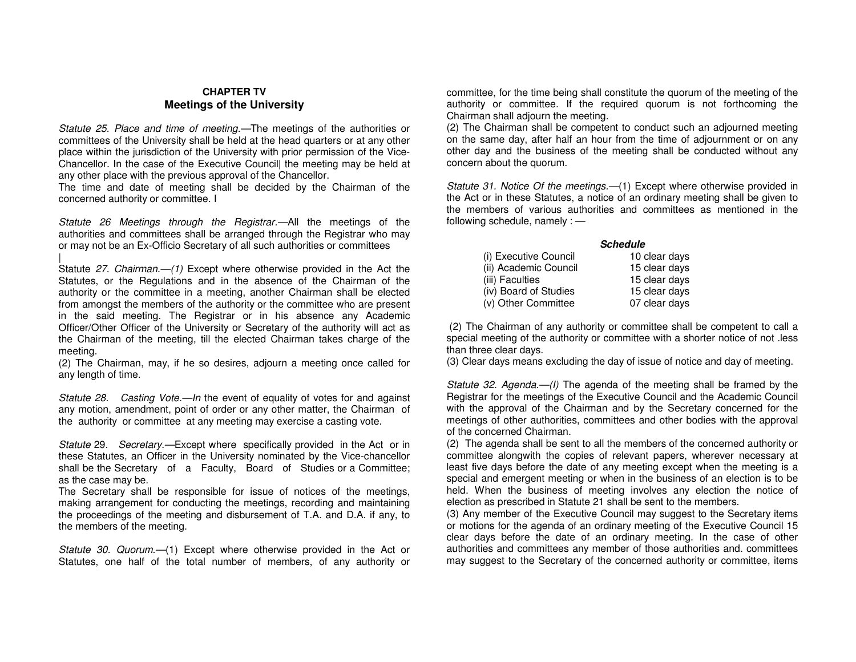#### **CHAPTER TV Meetings of the University**

Statute 25. Place and time of meeting.—The meetings of the authorities or committees of the University shall be held at the head quarters or at any other place within the jurisdiction of the University with prior permission of the Vice-Chancellor. In the case of the Executive Council| the meeting may be held at any other place with the previous approval of the Chancellor.

 The time and date of meeting shall be decided by the Chairman of the concerned authority or committee. I

Statute 26 Meetings through the Registrar.—All the meetings of the authorities and committees shall be arranged through the Registrar who may or may not be an Ex-Officio Secretary of all such authorities or committees

Statute 27. Chairman.-(1) Except where otherwise provided in the Act the Statutes, or the Regulations and in the absence of the Chairman of the authority or the committee in a meeting, another Chairman shall be elected from amongst the members of the authority or the committee who are present in the said meeting. The Registrar or in his absence any Academic Officer/Other Officer of the University or Secretary of the authority will act as the Chairman of the meeting, till the elected Chairman takes charge of the meeting.

 (2) The Chairman, may, if he so desires, adjourn a meeting once called for any length of time.

Statute 28. Casting Vote.—In the event of equality of votes for and against any motion, amendment, point of order or any other matter, the Chairman of the authority or committee at any meeting may exercise a casting vote.

Statute 29. Secretary.—Except where specifically provided in the Act or in these Statutes, an Officer in the University nominated by the Vice-chancellor shall be the Secretary of a Faculty, Board of Studies or a Committee; as the case may be.

 The Secretary shall be responsible for issue of notices of the meetings, making arrangement for conducting the meetings, recording and maintaining the proceedings of the meeting and disbursement of T.A. and D.A. if any, to the members of the meeting.

Statute 30. Quorum.—(1) Except where otherwise provided in the Act or Statutes, one half of the total number of members, of any authority or committee, for the time being shall constitute the quorum of the meeting of the authority or committee. If the required quorum is not forthcoming the Chairman shall adjourn the meeting.

 (2) The Chairman shall be competent to conduct such an adjourned meeting on the same day, after half an hour from the time of adjournment or on any other day and the business of the meeting shall be conducted without any concern about the quorum.

Statute 31. Notice Of the meetings.—(1) Except where otherwise provided in the Act or in these Statutes, a notice of an ordinary meeting shall be given to the members of various authorities and committees as mentioned in the following schedule, namely : —

#### **Schedule**

| (i) Executive Council | 10 clear days |
|-----------------------|---------------|
| (ii) Academic Council | 15 clear days |
| (iii) Faculties       | 15 clear days |
| (iv) Board of Studies | 15 clear days |
| (v) Other Committee   | 07 clear days |

 (2) The Chairman of any authority or committee shall be competent to call a special meeting of the authority or committee with a shorter notice of not .less than three clear days.

(3) Clear days means excluding the day of issue of notice and day of meeting.

Statute 32. Agenda.—(I) The agenda of the meeting shall be framed by the Registrar for the meetings of the Executive Council and the Academic Council with the approval of the Chairman and by the Secretary concerned for the meetings of other authorities, committees and other bodies with the approval of the concerned Chairman.

 (2) The agenda shall be sent to all the members of the concerned authority or committee alongwith the copies of relevant papers, wherever necessary at least five days before the date of any meeting except when the meeting is a special and emergent meeting or when in the business of an election is to be held. When the business of meeting involves any election the notice of election as prescribed in Statute 21 shall be sent to the members.

 (3) Any member of the Executive Council may suggest to the Secretary items or motions for the agenda of an ordinary meeting of the Executive Council 15 clear days before the date of an ordinary meeting. In the case of other authorities and committees any member of those authorities and. committees may suggest to the Secretary of the concerned authority or committee, items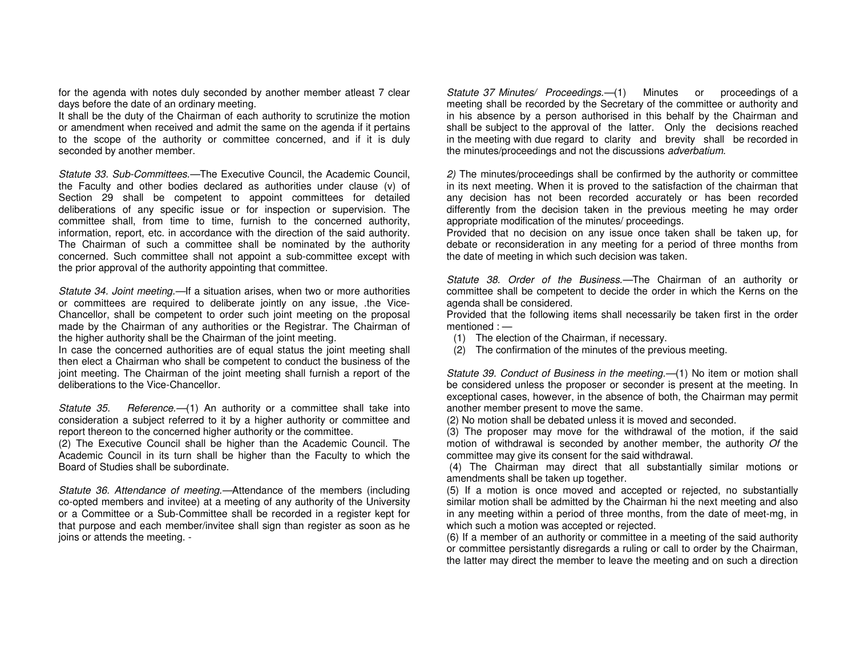for the agenda with notes duly seconded by another member atleast 7 clear days before the date of an ordinary meeting.

 It shall be the duty of the Chairman of each authority to scrutinize the motion or amendment when received and admit the same on the agenda if it pertains to the scope of the authority or committee concerned, and if it is duly seconded by another member.

Statute 33. Sub-Committees.—The Executive Council, the Academic Council, the Faculty and other bodies declared as authorities under clause (v) of Section 29 shall be competent to appoint committees for detailed deliberations of any specific issue or for inspection or supervision. The committee shall, from time to time, furnish to the concerned authority, information, report, etc. in accordance with the direction of the said authority. The Chairman of such a committee shall be nominated by the authority concerned. Such committee shall not appoint a sub-committee except with the prior approval of the authority appointing that committee.

Statute 34. Joint meeting.—If a situation arises, when two or more authorities or committees are required to deliberate jointly on any issue, .the Vice-Chancellor, shall be competent to order such joint meeting on the proposal made by the Chairman of any authorities or the Registrar. The Chairman of the higher authority shall be the Chairman of the joint meeting.

 In case the concerned authorities are of equal status the joint meeting shall then elect a Chairman who shall be competent to conduct the business of the joint meeting. The Chairman of the joint meeting shall furnish a report of the deliberations to the Vice-Chancellor.

Statute 35. Reference.—(1) An authority or a committee shall take into consideration a subject referred to it by a higher authority or committee and report thereon to the concerned higher authority or the committee.

 (2) The Executive Council shall be higher than the Academic Council. The Academic Council in its turn shall be higher than the Faculty to which the Board of Studies shall be subordinate.

Statute 36. Attendance of meeting.—Attendance of the members (including co-opted members and invitee) at a meeting of any authority of the University or a Committee or a Sub-Committee shall be recorded in a register kept for that purpose and each member/invitee shall sign than register as soon as he joins or attends the meeting. -

Statute 37 Minutes/ Proceedings.- (1) Minutes or proceedings of a meeting shall be recorded by the Secretary of the committee or authority and in his absence by a person authorised in this behalf by the Chairman and shall be subject to the approval of the latter. Only the decisions reached in the meeting with due regard to clarity and brevity shall be recorded in the minutes/proceedings and not the discussions adverbatium.

2) The minutes/proceedings shall be confirmed by the authority or committee in its next meeting. When it is proved to the satisfaction of the chairman that any decision has not been recorded accurately or has been recorded differently from the decision taken in the previous meeting he may order appropriate modification of the minutes/ proceedings.

 Provided that no decision on any issue once taken shall be taken up, for debate or reconsideration in any meeting for a period of three months from the date of meeting in which such decision was taken.

Statute 38. Order of the Business.—The Chairman of an authority or committee shall be competent to decide the order in which the Kerns on the agenda shall be considered.

 Provided that the following items shall necessarily be taken first in the order mentioned : —

- (1) The election of the Chairman, if necessary.
- (2) The confirmation of the minutes of the previous meeting.

Statute 39. Conduct of Business in the meeting.—(1) No item or motion shall be considered unless the proposer or seconder is present at the meeting. In exceptional cases, however, in the absence of both, the Chairman may permit another member present to move the same.

(2) No motion shall be debated unless it is moved and seconded.

 (3) The proposer may move for the withdrawal of the motion, if the said motion of withdrawal is seconded by another member, the authority Of the committee may give its consent for the said withdrawal.

 (4) The Chairman may direct that all substantially similar motions or amendments shall be taken up together.

 (5) If a motion is once moved and accepted or rejected, no substantially similar motion shall be admitted by the Chairman hi the next meeting and also in any meeting within a period of three months, from the date of meet-mg, in which such a motion was accepted or rejected.

 (6) If a member of an authority or committee in a meeting of the said authority or committee persistantly disregards a ruling or call to order by the Chairman, the latter may direct the member to leave the meeting and on such a direction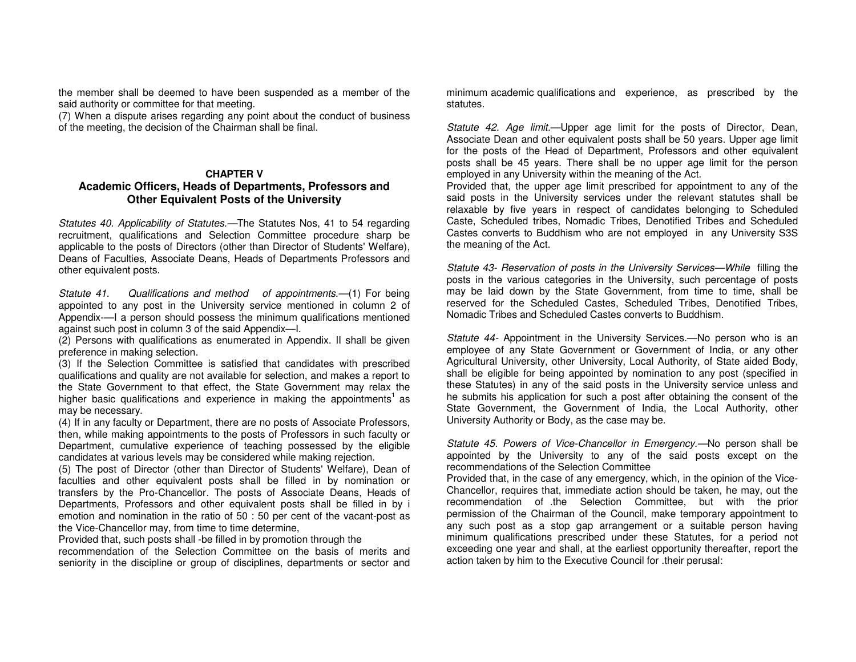the member shall be deemed to have been suspended as a member of the said authority or committee for that meeting.

 (7) When a dispute arises regarding any point about the conduct of business of the meeting, the decision of the Chairman shall be final.

#### **CHAPTER V**

## **Academic Officers, Heads of Departments, Professors and Other Equivalent Posts of the University**

Statutes 40. Applicability of Statutes.—The Statutes Nos, 41 to 54 regarding recruitment, qualifications and Selection Committee procedure sharp be applicable to the posts of Directors (other than Director of Students' Welfare), Deans of Faculties, Associate Deans, Heads of Departments Professors and other equivalent posts.

Statute 41. Qualifications and method of appointments.—(1) For being appointed to any post in the University service mentioned in column 2 of Appendix-—I a person should possess the minimum qualifications mentioned against such post in column 3 of the said Appendix—I.

 (2) Persons with qualifications as enumerated in Appendix. II shall be given preference in making selection.

 (3) If the Selection Committee is satisfied that candidates with prescribed qualifications and quality are not available for selection, and makes a report to the State Government to that effect, the State Government may relax the higher basic qualifications and experience in making the appointments<sup>1</sup> as may be necessary.

 (4) If in any faculty or Department, there are no posts of Associate Professors, then, while making appointments to the posts of Professors in such faculty or Department, cumulative experience of teaching possessed by the eligible candidates at various levels may be considered while making rejection.

 (5) The post of Director (other than Director of Students' Welfare), Dean of faculties and other equivalent posts shall be filled in by nomination or transfers by the Pro-Chancellor. The posts of Associate Deans, Heads of Departments, Professors and other equivalent posts shall be filled in by i emotion and nomination in the ratio of 50 : 50 per cent of the vacant-post as the Vice-Chancellor may, from time to time determine,

Provided that, such posts shall -be filled in by promotion through the

 recommendation of the Selection Committee on the basis of merits and seniority in the discipline or group of disciplines, departments or sector and minimum academic qualifications and experience, as prescribed by the statutes.

Statute 42. Age limit.—Upper age limit for the posts of Director, Dean, Associate Dean and other equivalent posts shall be 50 years. Upper age limit for the posts of the Head of Department, Professors and other equivalent posts shall be 45 years. There shall be no upper age limit for the person employed in any University within the meaning of the Act.

 Provided that, the upper age limit prescribed for appointment to any of the said posts in the University services under the relevant statutes shall be relaxable by five years in respect of candidates belonging to Scheduled Caste, Scheduled tribes, Nomadic Tribes, Denotified Tribes and Scheduled Castes converts to Buddhism who are not employed in any University S3S the meaning of the Act.

Statute 43- Reservation of posts in the University Services—While filling the posts in the various categories in the University, such percentage of posts may be laid down by the State Government, from time to time, shall be reserved for the Scheduled Castes, Scheduled Tribes, Denotified Tribes, Nomadic Tribes and Scheduled Castes converts to Buddhism.

Statute 44- Appointment in the University Services.—No person who is an employee of any State Government or Government of India, or any other Agricultural University, other University, Local Authority, of State aided Body, shall be eligible for being appointed by nomination to any post (specified in these Statutes) in any of the said posts in the University service unless and he submits his application for such a post after obtaining the consent of the State Government, the Government of India, the Local Authority, other University Authority or Body, as the case may be.

Statute 45. Powers of Vice-Chancellor in Emergency.—No person shall be appointed by the University to any of the said posts except on the recommendations of the Selection Committee

 Provided that, in the case of any emergency, which, in the opinion of the Vice-Chancellor, requires that, immediate action should be taken, he may, out the recommendation of .the Selection Committee, but with the prior permission of the Chairman of the Council, make temporary appointment to any such post as a stop gap arrangement or a suitable person having minimum qualifications prescribed under these Statutes, for a period not exceeding one year and shall, at the earliest opportunity thereafter, report the action taken by him to the Executive Council for .their perusal: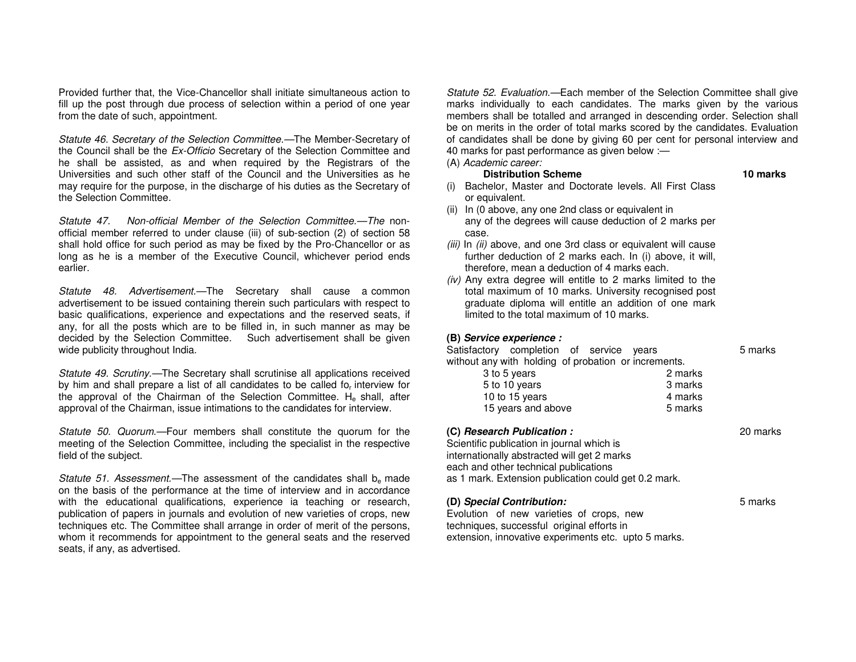Provided further that, the Vice-Chancellor shall initiate simultaneous action to fill up the post through due process of selection within a period of one year from the date of such, appointment.

Statute 46. Secretary of the Selection Committee.—The Member-Secretary of the Council shall be the Ex-Officio Secretary of the Selection Committee and he shall be assisted, as and when required by the Registrars of the Universities and such other staff of the Council and the Universities as he may require for the purpose, in the discharge of his duties as the Secretary of the Selection Committee.

Statute 47. Non-official Member of the Selection Committee.—The nonofficial member referred to under clause (iii) of sub-section (2) of section 58 shall hold office for such period as may be fixed by the Pro-Chancellor or as long as he is a member of the Executive Council, whichever period ends earlier.

Statute 48. Advertisement.—The Secretary shall cause a common advertisement to be issued containing therein such particulars with respect to basic qualifications, experience and expectations and the reserved seats, if any, for all the posts which are to be filled in, in such manner as may be decided by the Selection Committee. Such advertisement shall be givenwide publicity throughout India.

Statute 49. Scrutiny.—The Secretary shall scrutinise all applications received by him and shall prepare a list of all candidates to be called fo<sub>r</sub> interview for the approval of the Chairman of the Selection Committee. H<sub>e</sub> shall, after approval of the Chairman, issue intimations to the candidates for interview.

Statute 50. Quorum.—Four members shall constitute the quorum for the meeting of the Selection Committee, including the specialist in the respective field of the subject.

*Statute 51. Assessment.*—The assessment of the candidates shall  $b_e$  made on the basis of the performance at the time of interview and in accordance with the educational qualifications, experience ia teaching or research, publication of papers in journals and evolution of new varieties of crops, new techniques etc. The Committee shall arrange in order of merit of the persons, whom it recommends for appointment to the general seats and the reserved seats, if any, as advertised.

Statute 52. Evaluation.—Each member of the Selection Committee shall give marks individually to each candidates. The marks given by the various members shall be totalled and arranged in descending order. Selection shall be on merits in the order of total marks scored by the candidates. Evaluation of candidates shall be done by giving 60 per cent for personal interview and 40 marks for past performance as given below :—

(A) Academic career:

#### **Distribution Scheme** 10 marks

- (i) Bachelor, Master and Doctorate levels. All First Class or equivalent.
- (ii) In (0 above, any one 2nd class or equivalent in any of the degrees will cause deduction of 2 marks per case.
- (iii) In (ii) above, and one 3rd class or equivalent will cause further deduction of 2 marks each. In (i) above, it will, therefore, mean a deduction of 4 marks each.
- (iv) Any extra degree will entitle to 2 marks limited to the total maximum of 10 marks. University recognised post graduate diploma will entitle an addition of one mark limited to the total maximum of 10 marks.

#### **(B) Service experience :**

Satisfactory completion of service years **5 marks** without any with holding of probation or increments.

| 3 to 5 years       | 2 marks |
|--------------------|---------|
| 5 to 10 years      | 3 marks |
| 10 to 15 years     | 4 marks |
| 15 years and above | 5 marks |
|                    |         |

#### **(C) Research Publication :** 20 marks

Scientific publication in journal which is internationally abstracted will get 2 marks each and other technical publications as 1 mark. Extension publication could get 0.2 mark.

| (D) Special Contribution:<br>5 marks                 |  |
|------------------------------------------------------|--|
| Evolution of new varieties of crops, new             |  |
| techniques, successful original efforts in           |  |
| extension, innovative experiments etc. upto 5 marks. |  |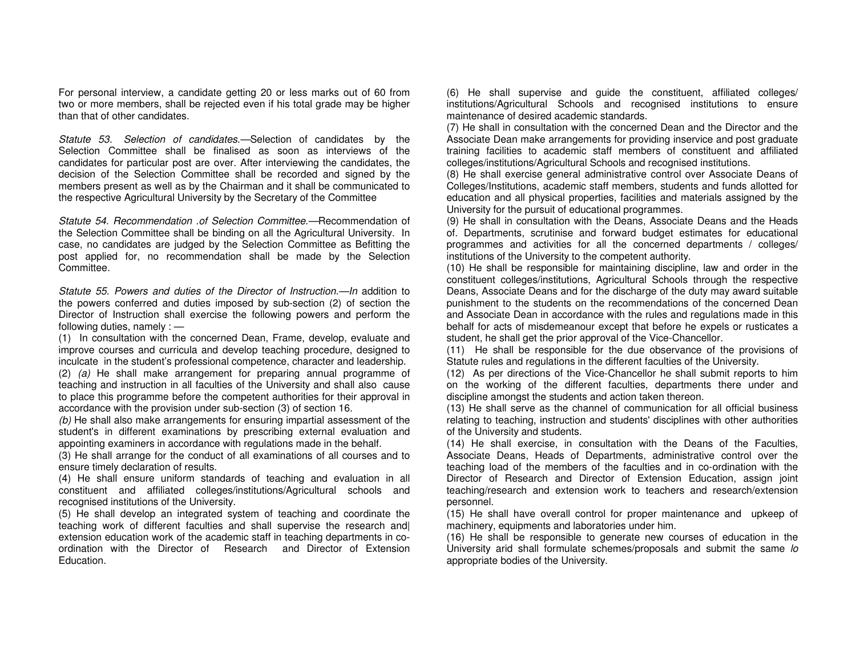For personal interview, a candidate getting 20 or less marks out of 60 from two or more members, shall be rejected even if his total grade may be higher than that of other candidates.

Statute 53. Selection of candidates.—Selection of candidates by the Selection Committee shall be finalised as soon as interviews of the candidates for particular post are over. After interviewing the candidates, the decision of the Selection Committee shall be recorded and signed by the members present as well as by the Chairman and it shall be communicated to the respective Agricultural University by the Secretary of the Committee

Statute 54. Recommendation .of Selection Committee.—Recommendation of the Selection Committee shall be binding on all the Agricultural University. In case, no candidates are judged by the Selection Committee as Befitting the post applied for, no recommendation shall be made by the Selection Committee.

Statute 55. Powers and duties of the Director of Instruction.—In addition to the powers conferred and duties imposed by sub-section (2) of section the Director of Instruction shall exercise the following powers and perform the following duties, namely : —

 (1) In consultation with the concerned Dean, Frame, develop, evaluate and improve courses and curricula and develop teaching procedure, designed to inculcate in the student's professional competence, character and leadership.

 (2) (a) He shall make arrangement for preparing annual programme of teaching and instruction in all faculties of the University and shall also cause to place this programme before the competent authorities for their approval in accordance with the provision under sub-section (3) of section 16.

 $(b)$  He shall also make arrangements for ensuring impartial assessment of the student's in different examinations by prescribing external evaluation and appointing examiners in accordance with regulations made in the behalf.

 (3) He shall arrange for the conduct of all examinations of all courses and to ensure timely declaration of results.

 (4) He shall ensure uniform standards of teaching and evaluation in all constituent and affiliated colleges/institutions/Agricultural schools and recognised institutions of the University.

 (5) He shall develop an integrated system of teaching and coordinate the teaching work of different faculties and shall supervise the research and| extension education work of the academic staff in teaching departments in coordination with the Director of Research and Director of Extension Education.

(6) He shall supervise and guide the constituent, affiliated colleges/ institutions/Agricultural Schools and recognised institutions to ensure maintenance of desired academic standards.

 (7) He shall in consultation with the concerned Dean and the Director and the Associate Dean make arrangements for providing inservice and post graduate training facilities to academic staff members of constituent and affiliated colleges/institutions/Agricultural Schools and recognised institutions.

 (8) He shall exercise general administrative control over Associate Deans of Colleges/Institutions, academic staff members, students and funds allotted for education and all physical properties, facilities and materials assigned by the University for the pursuit of educational programmes.

 (9) He shall in consultation with the Deans, Associate Deans and the Heads of. Departments, scrutinise and forward budget estimates for educational programmes and activities for all the concerned departments / colleges/ institutions of the University to the competent authority.

 (10) He shall be responsible for maintaining discipline, law and order in the constituent colleges/institutions, Agricultural Schools through the respective Deans, Associate Deans and for the discharge of the duty may award suitable punishment to the students on the recommendations of the concerned Dean and Associate Dean in accordance with the rules and regulations made in this behalf for acts of misdemeanour except that before he expels or rusticates a student, he shall get the prior approval of the Vice-Chancellor.

 (11) He shall be responsible for the due observance of the provisions of Statute rules and regulations in the different faculties of the University.

 (12) As per directions of the Vice-Chancellor he shall submit reports to him on the working of the different faculties, departments there under and discipline amongst the students and action taken thereon.

 (13) He shall serve as the channel of communication for all official business relating to teaching, instruction and students' disciplines with other authorities of the University and students.

 (14) He shall exercise, in consultation with the Deans of the Faculties, Associate Deans, Heads of Departments, administrative control over the teaching load of the members of the faculties and in co-ordination with the Director of Research and Director of Extension Education, assign joint teaching/research and extension work to teachers and research/extension personnel.

 (15) He shall have overall control for proper maintenance and upkeep of machinery, equipments and laboratories under him.

 (16) He shall be responsible to generate new courses of education in the University arid shall formulate schemes/proposals and submit the same lo appropriate bodies of the University.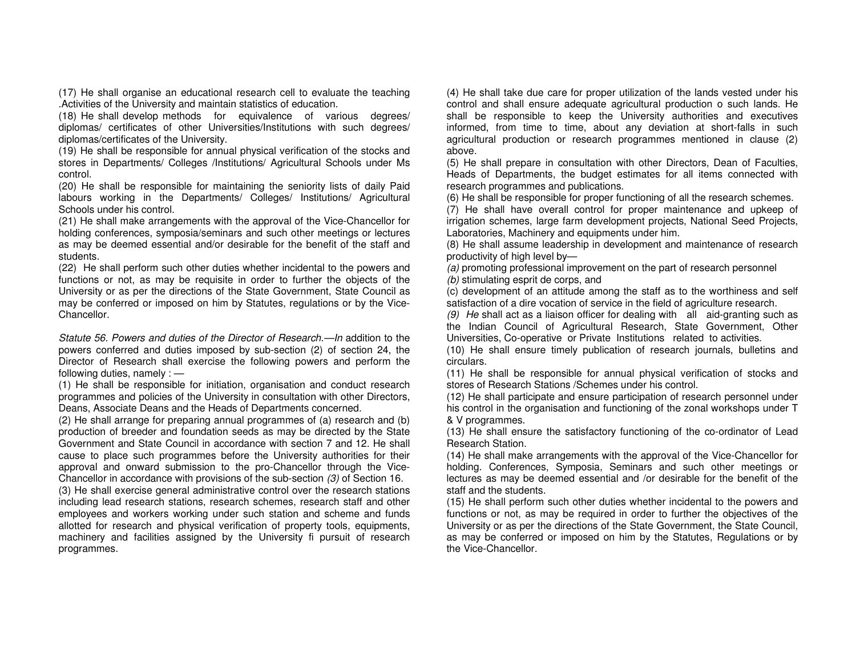(17) He shall organise an educational research cell to evaluate the teaching .Activities of the University and maintain statistics of education.

 (18) He shall develop methods for equivalence of various degrees/ diplomas/ certificates of other Universities/Institutions with such degrees/ diplomas/certificates of the University.

 (19) He shall be responsible for annual physical verification of the stocks and stores in Departments/ Colleges /Institutions/ Agricultural Schools under Ms control.

 (20) He shall be responsible for maintaining the seniority lists of daily Paid labours working in the Departments/ Colleges/ Institutions/ Agricultural Schools under his control.

 (21) He shall make arrangements with the approval of the Vice-Chancellor for holding conferences, symposia/seminars and such other meetings or lectures as may be deemed essential and/or desirable for the benefit of the staff and students.

 (22) He shall perform such other duties whether incidental to the powers and functions or not, as may be requisite in order to further the objects of the University or as per the directions of the State Government, State Council as may be conferred or imposed on him by Statutes, regulations or by the Vice-Chancellor.

Statute 56. Powers and duties of the Director of Research.—In addition to the powers conferred and duties imposed by sub-section (2) of section 24, the Director of Research shall exercise the following powers and perform the following duties, namely : —

 (1) He shall be responsible for initiation, organisation and conduct research programmes and policies of the University in consultation with other Directors, Deans, Associate Deans and the Heads of Departments concerned.

 (2) He shall arrange for preparing annual programmes of (a) research and (b) production of breeder and foundation seeds as may be directed by the State Government and State Council in accordance with section 7 and 12. He shall cause to place such programmes before the University authorities for their approval and onward submission to the pro-Chancellor through the Vice-Chancellor in accordance with provisions of the sub-section (3) of Section 16.

 (3) He shall exercise general administrative control over the research stations including lead research stations, research schemes, research staff and other employees and workers working under such station and scheme and funds allotted for research and physical verification of property tools, equipments, machinery and facilities assigned by the University fi pursuit of research programmes.

(4) He shall take due care for proper utilization of the lands vested under his control and shall ensure adequate agricultural production o such lands. He shall be responsible to keep the University authorities and executives informed, from time to time, about any deviation at short-falls in such agricultural production or research programmes mentioned in clause (2) above.

 (5) He shall prepare in consultation with other Directors, Dean of Faculties, Heads of Departments, the budget estimates for all items connected with research programmes and publications.

(6) He shall be responsible for proper functioning of all the research schemes.

 (7) He shall have overall control for proper maintenance and upkeep of irrigation schemes, large farm development projects, National Seed Projects, Laboratories, Machinery and equipments under him.

 (8) He shall assume leadership in development and maintenance of research productivity of high level by—

 (a) promoting professional improvement on the part of research personnel (b) stimulating esprit de corps, and

 (c) development of an attitude among the staff as to the worthiness and self satisfaction of a dire vocation of service in the field of agriculture research.

(9) He shall act as a liaison officer for dealing with all aid-granting such as the Indian Council of Agricultural Research, State Government, Other Universities, Co-operative or Private Institutions related to activities.

 (10) He shall ensure timely publication of research journals, bulletins and circulars.

 (11) He shall be responsible for annual physical verification of stocks and stores of Research Stations /Schemes under his control.

 (12) He shall participate and ensure participation of research personnel under his control in the organisation and functioning of the zonal workshops under T & V programmes.

 (13) He shall ensure the satisfactory functioning of the co-ordinator of Lead Research Station.

 (14) He shall make arrangements with the approval of the Vice-Chancellor for holding. Conferences, Symposia, Seminars and such other meetings or lectures as may be deemed essential and /or desirable for the benefit of the staff and the students.

 (15) He shall perform such other duties whether incidental to the powers and functions or not, as may be required in order to further the objectives of the University or as per the directions of the State Government, the State Council, as may be conferred or imposed on him by the Statutes, Regulations or by the Vice-Chancellor.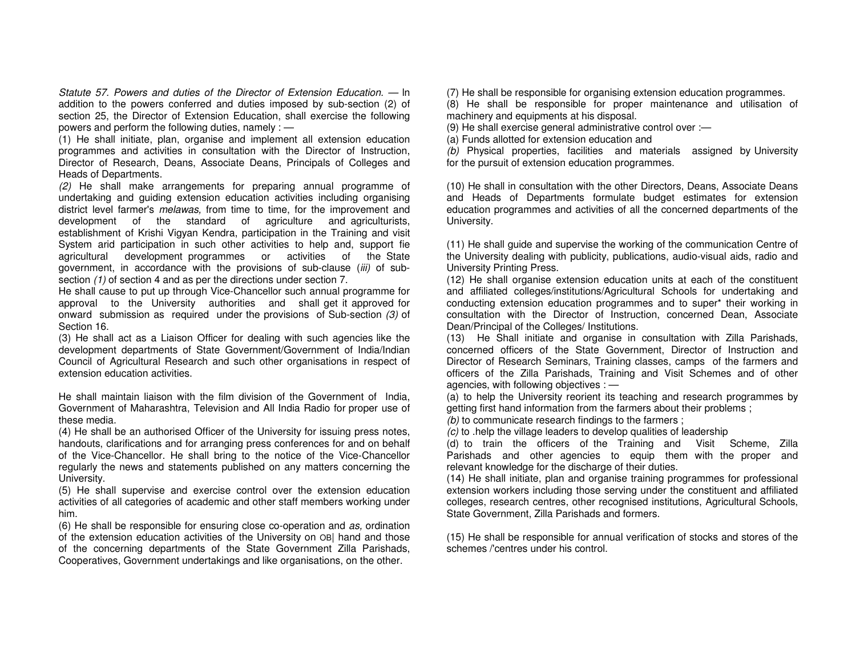Statute 57. Powers and duties of the Director of Extension Education. — ln addition to the powers conferred and duties imposed by sub-section (2) of section 25, the Director of Extension Education, shall exercise the following powers and perform the following duties, namely : —

 (1) He shall initiate, plan, organise and implement all extension education programmes and activities in consultation with the Director of Instruction, Director of Research, Deans, Associate Deans, Principals of Colleges and Heads of Departments.

 (2) He shall make arrangements for preparing annual programme of undertaking and guiding extension education activities including organising district level farmer's *melawas*, from time to time, for the improvement and development of the standard of agriculture and agriculturists, establishment of Krishi Vigyan Kendra, participation in the Training and visit System arid participation in such other activities to help and, support fie agricultural development programmes or activities of the State government, in accordance with the provisions of sub-clause (iii) of subsection (1) of section 4 and as per the directions under section 7.

 He shall cause to put up through Vice-Chancellor such annual programme for approval to the University authorities and shall get it approved for onward submission as required under the provisions of Sub-section (3) of Section 16.

 (3) He shall act as a Liaison Officer for dealing with such agencies like the development departments of State Government/Government of India/Indian Council of Agricultural Research and such other organisations in respect of extension education activities.

He shall maintain liaison with the film division of the Government of India, Government of Maharashtra, Television and All India Radio for proper use of these media.

 (4) He shall be an authorised Officer of the University for issuing press notes, handouts, clarifications and for arranging press conferences for and on behalf of the Vice-Chancellor. He shall bring to the notice of the Vice-Chancellor regularly the news and statements published on any matters concerning the University.

 (5) He shall supervise and exercise control over the extension education activities of all categories of academic and other staff members working under him.

(6) He shall be responsible for ensuring close co-operation and as, ordination of the extension education activities of the University on OB| hand and those of the concerning departments of the State Government Zilla Parishads, Cooperatives, Government undertakings and like organisations, on the other.

(7) He shall be responsible for organising extension education programmes.

 (8) He shall be responsible for proper maintenance and utilisation of machinery and equipments at his disposal.

(9) He shall exercise general administrative control over :—

(a) Funds allotted for extension education and

(b) Physical properties, facilities and materials assigned by University for the pursuit of extension education programmes.

(10) He shall in consultation with the other Directors, Deans, Associate Deans and Heads of Departments formulate budget estimates for extension education programmes and activities of all the concerned departments of the University.

(11) He shall guide and supervise the working of the communication Centre of the University dealing with publicity, publications, audio-visual aids, radio and University Printing Press.

 (12) He shall organise extension education units at each of the constituent and affiliated colleges/institutions/Agricultural Schools for undertaking and conducting extension education programmes and to super\* their working in consultation with the Director of Instruction, concerned Dean, Associate Dean/Principal of the Colleges/ Institutions.

 (13) He Shall initiate and organise in consultation with Zilla Parishads, concerned officers of the State Government, Director of Instruction and Director of Research Seminars, Training classes, camps of the farmers and officers of the Zilla Parishads, Training and Visit Schemes and of other agencies, with following objectives : —

 (a) to help the University reorient its teaching and research programmes by getting first hand information from the farmers about their problems ;

(b) to communicate research findings to the farmers ;

 $(c)$  to .help the village leaders to develop qualities of leadership

 (d) to train the officers of the Training and Visit Scheme, Zilla Parishads and other agencies to equip them with the proper and relevant knowledge for the discharge of their duties.

 (14) He shall initiate, plan and organise training programmes for professional extension workers including those serving under the constituent and affiliated colleges, research centres, other recognised institutions, Agricultural Schools, State Government, Zilla Parishads and formers.

(15) He shall be responsible for annual verification of stocks and stores of the schemes /'centres under his control.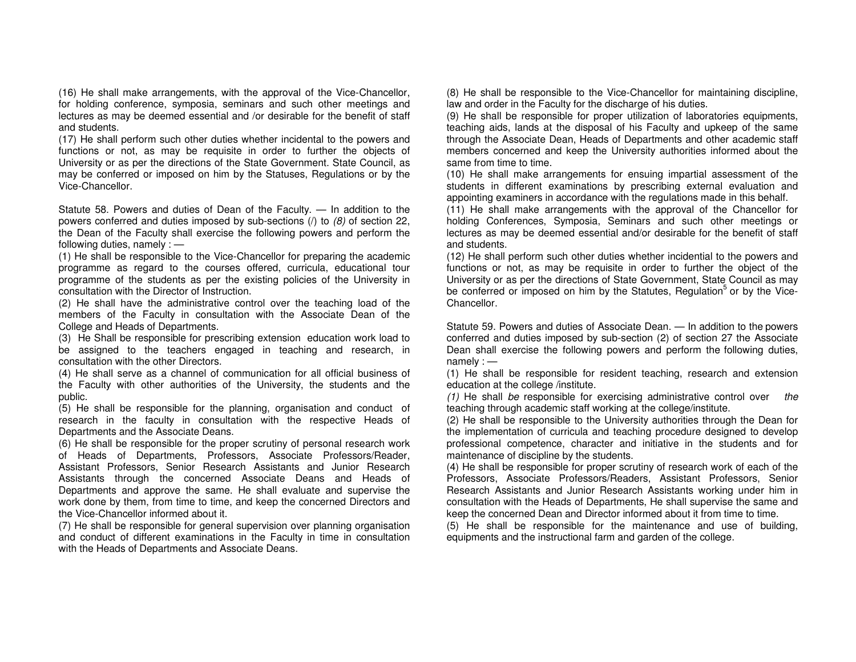(16) He shall make arrangements, with the approval of the Vice-Chancellor, for holding conference, symposia, seminars and such other meetings and lectures as may be deemed essential and /or desirable for the benefit of staff and students.

 (17) He shall perform such other duties whether incidental to the powers and functions or not, as may be requisite in order to further the objects of University or as per the directions of the State Government. State Council, as may be conferred or imposed on him by the Statuses, Regulations or by the Vice-Chancellor.

Statute 58. Powers and duties of Dean of the Faculty. — In addition to the powers conferred and duties imposed by sub-sections  $(1)$  to  $(8)$  of section 22, the Dean of the Faculty shall exercise the following powers and perform the following duties, namely : —

 (1) He shall be responsible to the Vice-Chancellor for preparing the academic programme as regard to the courses offered, curricula, educational tour programme of the students as per the existing policies of the University in consultation with the Director of Instruction.

 (2) He shall have the administrative control over the teaching load of the members of the Faculty in consultation with the Associate Dean of the College and Heads of Departments.

 (3) He Shall be responsible for prescribing extension education work load to be assigned to the teachers engaged in teaching and research, in consultation with the other Directors.

 (4) He shall serve as a channel of communication for all official business of the Faculty with other authorities of the University, the students and the public.

 (5) He shall be responsible for the planning, organisation and conduct of research in the faculty in consultation with the respective Heads ofDepartments and the Associate Deans.

 (6) He shall be responsible for the proper scrutiny of personal research work of Heads of Departments, Professors, Associate Professors/Reader, Assistant Professors, Senior Research Assistants and Junior Research Assistants through the concerned Associate Deans and Heads of Departments and approve the same. He shall evaluate and supervise the work done by them, from time to time, and keep the concerned Directors and the Vice-Chancellor informed about it.

 (7) He shall be responsible for general supervision over planning organisation and conduct of different examinations in the Faculty in time in consultation with the Heads of Departments and Associate Deans.

(8) He shall be responsible to the Vice-Chancellor for maintaining discipline, law and order in the Faculty for the discharge of his duties.

 (9) He shall be responsible for proper utilization of laboratories equipments, teaching aids, lands at the disposal of his Faculty and upkeep of the same through the Associate Dean, Heads of Departments and other academic staff members concerned and keep the University authorities informed about the same from time to time.

 (10) He shall make arrangements for ensuing impartial assessment of the students in different examinations by prescribing external evaluation and appointing examiners in accordance with the regulations made in this behalf.

 (11) He shall make arrangements with the approval of the Chancellor for holding Conferences, Symposia, Seminars and such other meetings or lectures as may be deemed essential and/or desirable for the benefit of staff and students.

 (12) He shall perform such other duties whether incidential to the powers and functions or not, as may be requisite in order to further the object of the University or as per the directions of State Government, State Council as may be conferred or imposed on him by the Statutes, Regulation<sup>5</sup> or by the Vice-Chancellor.

Statute 59. Powers and duties of Associate Dean. — In addition to the powers conferred and duties imposed by sub-section (2) of section 27 the Associate Dean shall exercise the following powers and perform the following duties, namely : —

 (1) He shall be responsible for resident teaching, research and extension education at the college /institute.

 $(1)$  He shall be responsible for exercising administrative control over the teaching through academic staff working at the college/institute.

 (2) He shall be responsible to the University authorities through the Dean for the implementation of curricula and teaching procedure designed to develop professional competence, character and initiative in the students and for maintenance of discipline by the students.

 (4) He shall be responsible for proper scrutiny of research work of each of the Professors, Associate Professors/Readers, Assistant Professors, Senior Research Assistants and Junior Research Assistants working under him in consultation with the Heads of Departments, He shall supervise the same and keep the concerned Dean and Director informed about it from time to time.

 (5) He shall be responsible for the maintenance and use of building, equipments and the instructional farm and garden of the college.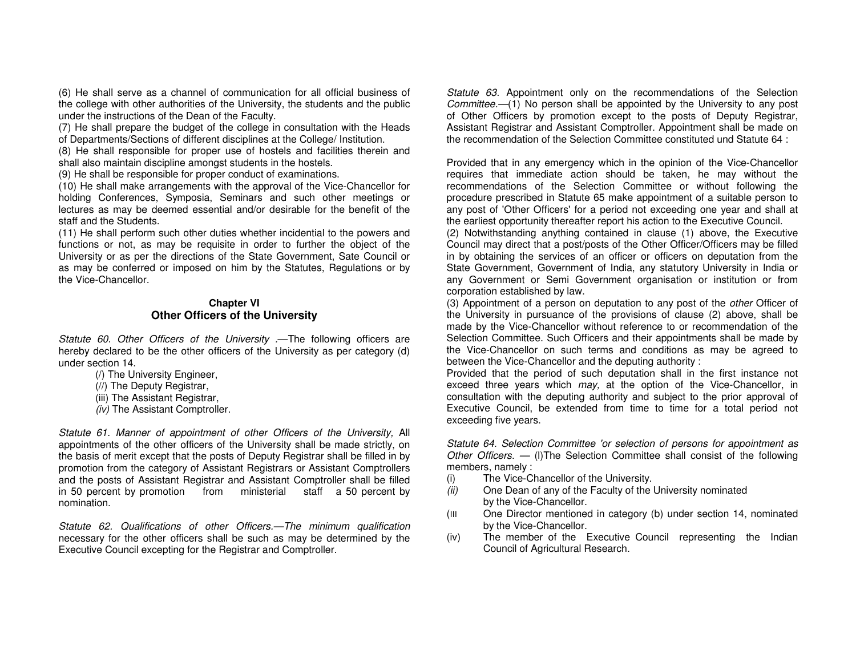(6) He shall serve as a channel of communication for all official business of the college with other authorities of the University, the students and the public under the instructions of the Dean of the Faculty.

 (7) He shall prepare the budget of the college in consultation with the Heads of Departments/Sections of different disciplines at the College/ Institution.

 (8) He shall responsible for proper use of hostels and facilities therein and shall also maintain discipline amongst students in the hostels.

(9) He shall be responsible for proper conduct of examinations.

 (10) He shall make arrangements with the approval of the Vice-Chancellor for holding Conferences, Symposia, Seminars and such other meetings or lectures as may be deemed essential and/or desirable for the benefit of the staff and the Students.

 (11) He shall perform such other duties whether incidential to the powers and functions or not, as may be requisite in order to further the object of the University or as per the directions of the State Government, Sate Council or as may be conferred or imposed on him by the Statutes, Regulations or by the Vice-Chancellor.

### **Chapter VI Other Officers of the University**

Statute 60. Other Officers of the University .—The following officers are hereby declared to be the other officers of the University as per category (d) under section 14.

- (/) The University Engineer,
- (//) The Deputy Registrar,
- (iii) The Assistant Registrar,
- (iv) The Assistant Comptroller.

Statute 61. Manner of appointment of other Officers of the University, All appointments of the other officers of the University shall be made strictly, on the basis of merit except that the posts of Deputy Registrar shall be filled in by promotion from the category of Assistant Registrars or Assistant Comptrollers and the posts of Assistant Registrar and Assistant Comptroller shall be filled in 50 percent by promotion from ministerial staff a 50 percent by nomination.

Statute 62. Qualifications of other Officers.—The minimum qualification necessary for the other officers shall be such as may be determined by the Executive Council excepting for the Registrar and Comptroller.

Statute 63. Appointment only on the recommendations of the Selection Committee.-(1) No person shall be appointed by the University to any post of Other Officers by promotion except to the posts of Deputy Registrar, Assistant Registrar and Assistant Comptroller. Appointment shall be made on the recommendation of the Selection Committee constituted und Statute 64 :

Provided that in any emergency which in the opinion of the Vice-Chancellor requires that immediate action should be taken, he may without the recommendations of the Selection Committee or without following the procedure prescribed in Statute 65 make appointment of a suitable person to any post of 'Other Officers' for a period not exceeding one year and shall at the earliest opportunity thereafter report his action to the Executive Council.

 (2) Notwithstanding anything contained in clause (1) above, the Executive Council may direct that a post/posts of the Other Officer/Officers may be filled in by obtaining the services of an officer or officers on deputation from the State Government, Government of India, any statutory University in India or any Government or Semi Government organisation or institution or from corporation established by law.

(3) Appointment of a person on deputation to any post of the other Officer of the University in pursuance of the provisions of clause (2) above, shall be made by the Vice-Chancellor without reference to or recommendation of the Selection Committee. Such Officers and their appointments shall be made by the Vice-Chancellor on such terms and conditions as may be agreed to between the Vice-Chancellor and the deputing authority :

 Provided that the period of such deputation shall in the first instance not exceed three years which may, at the option of the Vice-Chancellor, in consultation with the deputing authority and subject to the prior approval of Executive Council, be extended from time to time for a total period not exceeding five years.

Statute 64. Selection Committee 'or selection of persons for appointment as Other Officers. - (I) The Selection Committee shall consist of the following members, namely :

- (i) The Vice-Chancellor of the University.
- (ii) One Dean of any of the Faculty of the University nominated by the Vice-Chancellor.
- (III One Director mentioned in category (b) under section 14, nominated by the Vice-Chancellor.
- (iv) The member of the Executive Council representing the Indian Council of Agricultural Research.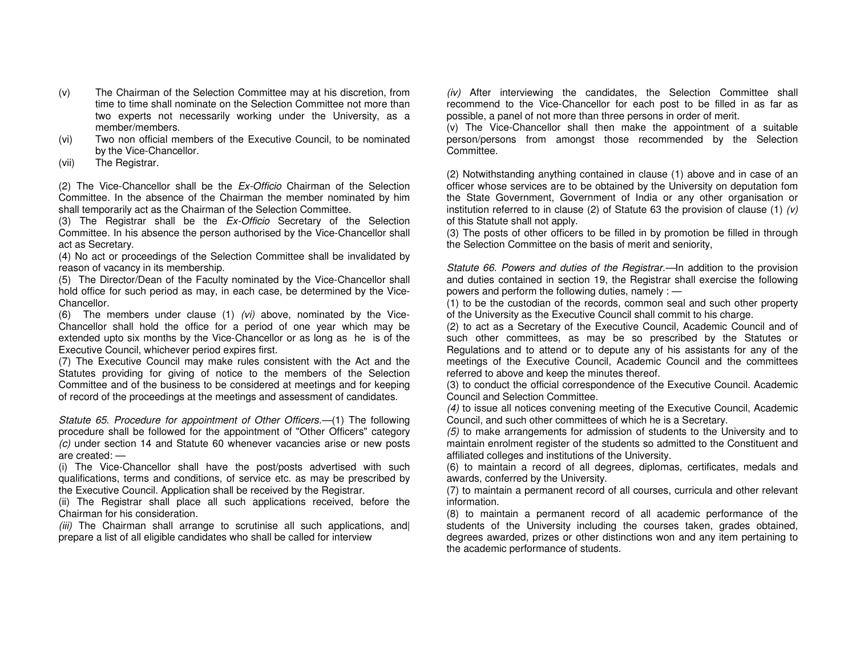- (v) The Chairman of the Selection Committee may at his discretion, from time to time shall nominate on the Selection Committee not more than two experts not necessarily working under the University, as a member/members.
- (vi) Two non official members of the Executive Council, to be nominated by the Vice-Chancellor.
- (vii) The Registrar.

(2) The Vice-Chancellor shall be the  $Ex$ -Officio Chairman of the Selection Committee. In the absence of the Chairman the member nominated by him shall temporarily act as the Chairman of the Selection Committee.

(3) The Registrar shall be the Ex-Officio Secretary of the Selection Committee. In his absence the person authorised by the Vice-Chancellor shall act as Secretary.

 (4) No act or proceedings of the Selection Committee shall be invalidated by reason of vacancy in its membership.

 (5) The Director/Dean of the Faculty nominated by the Vice-Chancellor shall hold office for such period as may, in each case, be determined by the Vice-Chancellor.

(6) The members under clause  $(1)$   $(vi)$  above, nominated by the Vice-Chancellor shall hold the office for a period of one year which may be extended upto six months by the Vice-Chancellor or as long as he is of the Executive Council, whichever period expires first.

 (7) The Executive Council may make rules consistent with the Act and the Statutes providing for giving of notice to the members of the Selection Committee and of the business to be considered at meetings and for keeping of record of the proceedings at the meetings and assessment of candidates.

Statute 65. Procedure for appointment of Other Officers.—(1) The following procedure shall be followed for the appointment of "Other Officers" category (c) under section 14 and Statute 60 whenever vacancies arise or new posts are created: —

 (i) The Vice-Chancellor shall have the post/posts advertised with such qualifications, terms and conditions, of service etc. as may be prescribed by the Executive Council. Application shall be received by the Registrar.

 (ii) The Registrar shall place all such applications received, before the Chairman for his consideration.

(iii) The Chairman shall arrange to scrutinise all such applications, and prepare a list of all eligible candidates who shall be called for interview

 $(iv)$  After interviewing the candidates, the Selection Committee shall recommend to the Vice-Chancellor for each post to be filled in as far as possible, a panel of not more than three persons in order of merit.

 (v) The Vice-Chancellor shall then make the appointment of a suitable person/persons from amongst those recommended by the Selection Committee.

(2) Notwithstanding anything contained in clause (1) above and in case of an officer whose services are to be obtained by the University on deputation fom the State Government, Government of India or any other organisation or institution referred to in clause (2) of Statute 63 the provision of clause (1)  $(v)$ of this Statute shall not apply.

 (3) The posts of other officers to be filled in by promotion be filled in through the Selection Committee on the basis of merit and seniority,

Statute 66. Powers and duties of the Registrar.—In addition to the provision and duties contained in section 19, the Registrar shall exercise the following powers and perform the following duties, namely : —

 (1) to be the custodian of the records, common seal and such other property of the University as the Executive Council shall commit to his charge.

 (2) to act as a Secretary of the Executive Council, Academic Council and of such other committees, as may be so prescribed by the Statutes or Regulations and to attend or to depute any of his assistants for any of the meetings of the Executive Council, Academic Council and the committees referred to above and keep the minutes thereof.

 (3) to conduct the official correspondence of the Executive Council. Academic Council and Selection Committee.

 (4) to issue all notices convening meeting of the Executive Council, Academic Council, and such other committees of which he is a Secretary.

 (5) to make arrangements for admission of students to the University and to maintain enrolment register of the students so admitted to the Constituent and affiliated colleges and institutions of the University.

 (6) to maintain a record of all degrees, diplomas, certificates, medals and awards, conferred by the University.

 (7) to maintain a permanent record of all courses, curricula and other relevant information.

 (8) to maintain a permanent record of all academic performance of the students of the University including the courses taken, grades obtained, degrees awarded, prizes or other distinctions won and any item pertaining to the academic performance of students.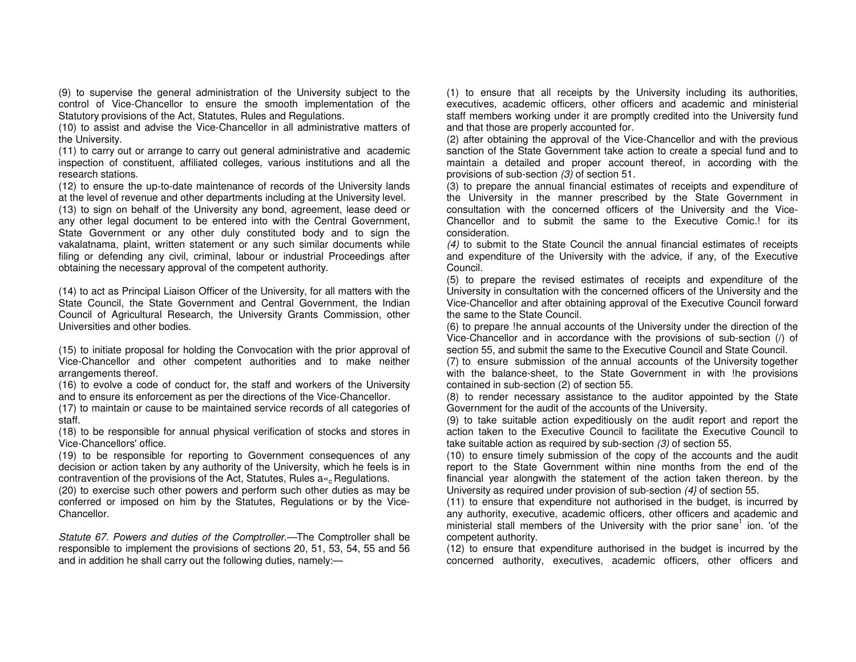(9) to supervise the general administration of the University subject to the control of Vice-Chancellor to ensure the smooth implementation of the Statutory provisions of the Act, Statutes, Rules and Regulations.

 (10) to assist and advise the Vice-Chancellor in all administrative matters of the University.

 (11) to carry out or arrange to carry out general administrative and academic inspection of constituent, affiliated colleges, various institutions and all the research stations.

 (12) to ensure the up-to-date maintenance of records of the University lands at the level of revenue and other departments including at the University level. (13) to sign on behalf of the University any bond, agreement, lease deed or any other legal document to be entered into with the Central Government, State Government or any other duly constituted body and to sign the vakalatnama, plaint, written statement or any such similar documents while filing or defending any civil, criminal, labour or industrial Proceedings after obtaining the necessary approval of the competent authority.

(14) to act as Principal Liaison Officer of the University, for all matters with the State Council, the State Government and Central Government, the Indian Council of Agricultural Research, the University Grants Commission, other Universities and other bodies.

(15) to initiate proposal for holding the Convocation with the prior approval of Vice-Chancellor and other competent authorities and to make neither arrangements thereof.

 (16) to evolve a code of conduct for, the staff and workers of the University and to ensure its enforcement as per the directions of the Vice-Chancellor.

 (17) to maintain or cause to be maintained service records of all categories of staff.

 (18) to be responsible for annual physical verification of stocks and stores in Vice-Chancellors' office.

 (19) to be responsible for reporting to Government consequences of any decision or action taken by any authority of the University, which he feels is in contravention of the provisions of the Act, Statutes, Rules  $a_{\alpha}$  Regulations.

 (20) to exercise such other powers and perform such other duties as may be conferred or imposed on him by the Statutes, Regulations or by the Vice-Chancellor.

Statute 67. Powers and duties of the Comptroller.—The Comptroller shall be responsible to implement the provisions of sections 20, 51, 53, 54, 55 and 56 and in addition he shall carry out the following duties, namely:—

(1) to ensure that all receipts by the University including its authorities, executives, academic officers, other officers and academic and ministerial staff members working under it are promptly credited into the University fund and that those are properly accounted for.

 (2) after obtaining the approval of the Vice-Chancellor and with the previous sanction of the State Government take action to create a special fund and to maintain a detailed and proper account thereof, in according with the provisions of sub-section (3) of section 51.

 (3) to prepare the annual financial estimates of receipts and expenditure of the University in the manner prescribed by the State Government in consultation with the concerned officers of the University and the Vice-Chancellor and to submit the same to the Executive Comic.! for its consideration.

 (4) to submit to the State Council the annual financial estimates of receipts and expenditure of the University with the advice, if any, of the Executive Council.

 (5) to prepare the revised estimates of receipts and expenditure of the University in consultation with the concerned officers of the University and the Vice-Chancellor and after obtaining approval of the Executive Council forward the same to the State Council.

 (6) to prepare !he annual accounts of the University under the direction of the Vice-Chancellor and in accordance with the provisions of sub-section (/) of section 55, and submit the same to the Executive Council and State Council.

 (7) to ensure submission of the annual accounts of the University together with the balance-sheet, to the State Government in with !he provisions contained in sub-section (2) of section 55.

 (8) to render necessary assistance to the auditor appointed by the State Government for the audit of the accounts of the University.

 (9) to take suitable action expeditiously on the audit report and report the action taken to the Executive Council to facilitate the Executive Council to take suitable action as required by sub-section (3) of section 55.

 (10) to ensure timely submission of the copy of the accounts and the audit report to the State Government within nine months from the end of the financial year alongwith the statement of the action taken thereon. by the University as required under provision of sub-section (4} of section 55.

 (11) to ensure that expenditure not authorised in the budget, is incurred by any authority, executive, academic officers, other officers and academic and ministerial stall members of the University with the prior sane<sup>1</sup> ion. 'of the competent authority.

 (12) to ensure that expenditure authorised in the budget is incurred by the concerned authority, executives, academic officers, other officers and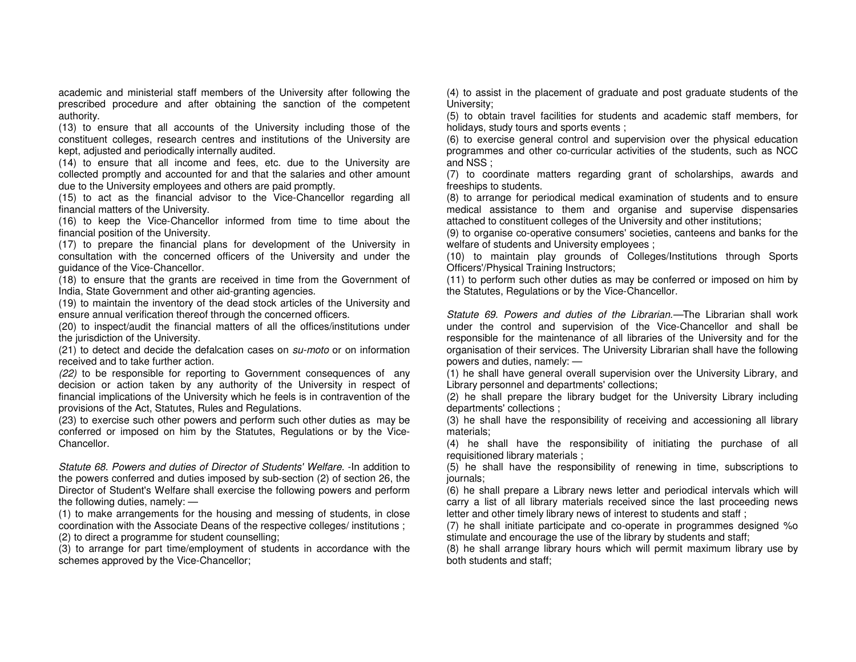academic and ministerial staff members of the University after following the prescribed procedure and after obtaining the sanction of the competent authority.

 (13) to ensure that all accounts of the University including those of the constituent colleges, research centres and institutions of the University are kept, adjusted and periodically internally audited.

 (14) to ensure that all income and fees, etc. due to the University are collected promptly and accounted for and that the salaries and other amount due to the University employees and others are paid promptly.

 (15) to act as the financial advisor to the Vice-Chancellor regarding all financial matters of the University.

 (16) to keep the Vice-Chancellor informed from time to time about the financial position of the University.

 (17) to prepare the financial plans for development of the University in consultation with the concerned officers of the University and under the guidance of the Vice-Chancellor.

 (18) to ensure that the grants are received in time from the Government of India, State Government and other aid-granting agencies.

 (19) to maintain the inventory of the dead stock articles of the University and ensure annual verification thereof through the concerned officers.

 (20) to inspect/audit the financial matters of all the offices/institutions under the jurisdiction of the University.

(21) to detect and decide the defalcation cases on su-moto or on information received and to take further action.

(22) to be responsible for reporting to Government consequences of any decision or action taken by any authority of the University in respect of financial implications of the University which he feels is in contravention of the provisions of the Act, Statutes, Rules and Regulations.

 (23) to exercise such other powers and perform such other duties as may be conferred or imposed on him by the Statutes, Regulations or by the Vice-Chancellor.

Statute 68. Powers and duties of Director of Students' Welfare. -In addition to the powers conferred and duties imposed by sub-section (2) of section 26, the Director of Student's Welfare shall exercise the following powers and perform the following duties, namely: —

 (1) to make arrangements for the housing and messing of students, in close coordination with the Associate Deans of the respective colleges/ institutions ; (2) to direct a programme for student counselling;

 (3) to arrange for part time/employment of students in accordance with the schemes approved by the Vice-Chancellor;

(4) to assist in the placement of graduate and post graduate students of the University;

 (5) to obtain travel facilities for students and academic staff members, for holidays, study tours and sports events ;

 (6) to exercise general control and supervision over the physical education programmes and other co-curricular activities of the students, such as NCC and NSS ;

 (7) to coordinate matters regarding grant of scholarships, awards and freeships to students.

 (8) to arrange for periodical medical examination of students and to ensure medical assistance to them and organise and supervise dispensaries attached to constituent colleges of the University and other institutions;

 (9) to organise co-operative consumers' societies, canteens and banks for the welfare of students and University employees ;

 (10) to maintain play grounds of Colleges/Institutions through Sports Officers'/Physical Training Instructors;

 (11) to perform such other duties as may be conferred or imposed on him by the Statutes, Regulations or by the Vice-Chancellor.

Statute 69. Powers and duties of the Librarian.—The Librarian shall work under the control and supervision of the Vice-Chancellor and shall be responsible for the maintenance of all libraries of the University and for the organisation of their services. The University Librarian shall have the following powers and duties, namely: —

 (1) he shall have general overall supervision over the University Library, and Library personnel and departments' collections;

 (2) he shall prepare the library budget for the University Library including departments' collections ;

 (3) he shall have the responsibility of receiving and accessioning all library materials;

 (4) he shall have the responsibility of initiating the purchase of all requisitioned library materials ;

 (5) he shall have the responsibility of renewing in time, subscriptions to journals;

 (6) he shall prepare a Library news letter and periodical intervals which will carry a list of all library materials received since the last proceeding news letter and other timely library news of interest to students and staff;

 (7) he shall initiate participate and co-operate in programmes designed %o stimulate and encourage the use of the library by students and staff;

 (8) he shall arrange library hours which will permit maximum library use by both students and staff;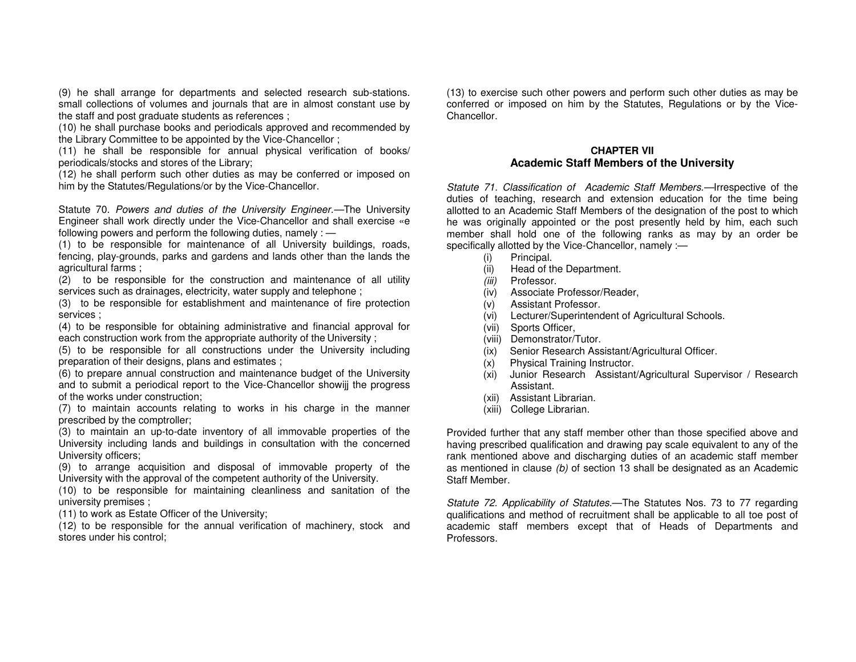(9) he shall arrange for departments and selected research sub-stations. small collections of volumes and journals that are in almost constant use by the staff and post graduate students as references ;

 (10) he shall purchase books and periodicals approved and recommended by the Library Committee to be appointed by the Vice-Chancellor ;

 (11) he shall be responsible for annual physical verification of books/ periodicals/stocks and stores of the Library;

 (12) he shall perform such other duties as may be conferred or imposed on him by the Statutes/Regulations/or by the Vice-Chancellor.

Statute 70. Powers and duties of the University Engineer.—The University Engineer shall work directly under the Vice-Chancellor and shall exercise «e following powers and perform the following duties, namely : —

 (1) to be responsible for maintenance of all University buildings, roads, fencing, play-grounds, parks and gardens and lands other than the lands the agricultural farms ;

 (2) to be responsible for the construction and maintenance of all utility services such as drainages, electricity, water supply and telephone ;

 (3) to be responsible for establishment and maintenance of fire protection services ;

 (4) to be responsible for obtaining administrative and financial approval for each construction work from the appropriate authority of the University ;

(5) to be responsible for all constructions under the University including preparation of their designs, plans and estimates ;

 (6) to prepare annual construction and maintenance budget of the University and to submit a periodical report to the Vice-Chancellor showijj the progress of the works under construction;

 (7) to maintain accounts relating to works in his charge in the manner prescribed by the comptroller;

 (3) to maintain an up-to-date inventory of all immovable properties of the University including lands and buildings in consultation with the concerned University officers;

 (9) to arrange acquisition and disposal of immovable property of the University with the approval of the competent authority of the University.

 (10) to be responsible for maintaining cleanliness and sanitation of the university premises ;

(11) to work as Estate Officer of the University;

 (12) to be responsible for the annual verification of machinery, stock and stores under his control;

(13) to exercise such other powers and perform such other duties as may be conferred or imposed on him by the Statutes, Regulations or by the Vice-**Chancellor** 

## **CHAPTER VII Academic Staff Members of the University**

Statute 71. Classification of Academic Staff Members.—Irrespective of the duties of teaching, research and extension education for the time being allotted to an Academic Staff Members of the designation of the post to which he was originally appointed or the post presently held by him, each such member shall hold one of the following ranks as may by an order be specifically allotted by the Vice-Chancellor, namely :-

- (i) Principal.
- (ii) Head of the Department.
- (iii) Professor.
- (iv) Associate Professor/Reader,
- (v) Assistant Professor.
- (vi) Lecturer/Superintendent of Agricultural Schools.
- (vii) Sports Officer,
- (viii) Demonstrator/Tutor.
- (ix) Senior Research Assistant/Agricultural Officer.
- (x) Physical Training Instructor.
- (xi) Junior Research Assistant/Agricultural Supervisor / Research Assistant.
- (xii) Assistant Librarian.
- (xiii) College Librarian.

Provided further that any staff member other than those specified above and having prescribed qualification and drawing pay scale equivalent to any of the rank mentioned above and discharging duties of an academic staff member as mentioned in clause (b) of section 13 shall be designated as an Academic Staff Member.

Statute 72. Applicability of Statutes.-The Statutes Nos. 73 to 77 regarding qualifications and method of recruitment shall be applicable to all toe post of academic staff members except that of Heads of Departments and Professors.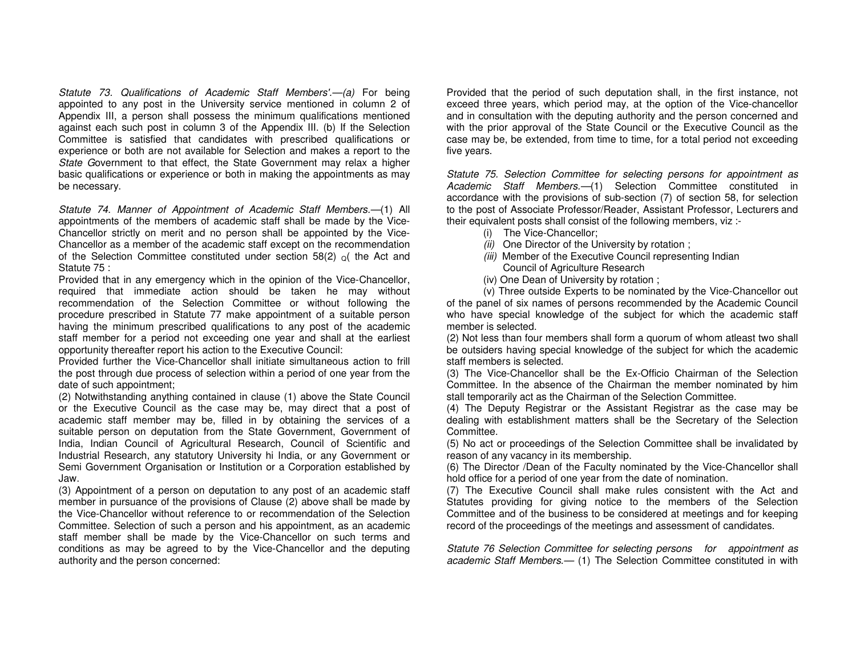Statute 73. Qualifications of Academic Staff Members'.—(a) For being appointed to any post in the University service mentioned in column 2 of Appendix III, a person shall possess the minimum qualifications mentioned against each such post in column 3 of the Appendix III. (b) If the Selection Committee is satisfied that candidates with prescribed qualifications or experience or both are not available for Selection and makes a report to the State Government to that effect, the State Government may relax a higher basic qualifications or experience or both in making the appointments as may be necessary.

Statute 74. Manner of Appointment of Academic Staff Members.—(1) All appointments of the members of academic staff shall be made by the Vice-Chancellor strictly on merit and no person shall be appointed by the Vice-Chancellor as a member of the academic staff except on the recommendation of the Selection Committee constituted under section 58(2)  $_{\mathcal{Q}}($  the Act and Statute 75 :

 Provided that in any emergency which in the opinion of the Vice-Chancellor, required that immediate action should be taken he may without recommendation of the Selection Committee or without following the procedure prescribed in Statute 77 make appointment of a suitable person having the minimum prescribed qualifications to any post of the academic staff member for a period not exceeding one year and shall at the earliest opportunity thereafter report his action to the Executive Council:

 Provided further the Vice-Chancellor shall initiate simultaneous action to frill the post through due process of selection within a period of one year from the date of such appointment;

 (2) Notwithstanding anything contained in clause (1) above the State Council or the Executive Council as the case may be, may direct that a post of academic staff member may be, filled in by obtaining the services of a suitable person on deputation from the State Government, Government of India, Indian Council of Agricultural Research, Council of Scientific and Industrial Research, any statutory University hi India, or any Government or Semi Government Organisation or Institution or a Corporation established by Jaw.

 (3) Appointment of a person on deputation to any post of an academic staff member in pursuance of the provisions of Clause (2) above shall be made by the Vice-Chancellor without reference to or recommendation of the Selection Committee. Selection of such a person and his appointment, as an academic staff member shall be made by the Vice-Chancellor on such terms and conditions as may be agreed to by the Vice-Chancellor and the deputing authority and the person concerned:

Provided that the period of such deputation shall, in the first instance, not exceed three years, which period may, at the option of the Vice-chancellor and in consultation with the deputing authority and the person concerned and with the prior approval of the State Council or the Executive Council as the case may be, be extended, from time to time, for a total period not exceeding five years.

Statute 75. Selection Committee for selecting persons for appointment as Academic Staff Members.-(1) Selection Committee constituted in accordance with the provisions of sub-section (7) of section 58, for selection to the post of Associate Professor/Reader, Assistant Professor, Lecturers and their equivalent posts shall consist of the following members, viz :-

- (i) The Vice-Chancellor;
- (ii) One Director of the University by rotation;
- (iii) Member of the Executive Council representing Indian
	- Council of Agriculture Research
- (iv) One Dean of University by rotation ;

 (v) Three outside Experts to be nominated by the Vice-Chancellor out of the panel of six names of persons recommended by the Academic Council who have special knowledge of the subject for which the academic staff member is selected.

 (2) Not less than four members shall form a quorum of whom atleast two shall be outsiders having special knowledge of the subject for which the academic staff members is selected.

 (3) The Vice-Chancellor shall be the Ex-Officio Chairman of the Selection Committee. In the absence of the Chairman the member nominated by him stall temporarily act as the Chairman of the Selection Committee.

 (4) The Deputy Registrar or the Assistant Registrar as the case may be dealing with establishment matters shall be the Secretary of the Selection Committee.

 (5) No act or proceedings of the Selection Committee shall be invalidated by reason of any vacancy in its membership.

 (6) The Director /Dean of the Faculty nominated by the Vice-Chancellor shall hold office for a period of one year from the date of nomination.

 (7) The Executive Council shall make rules consistent with the Act and Statutes providing for giving notice to the members of the Selection Committee and of the business to be considered at meetings and for keeping record of the proceedings of the meetings and assessment of candidates.

Statute 76 Selection Committee for selecting persons for appointment as academic Staff Members.- (1) The Selection Committee constituted in with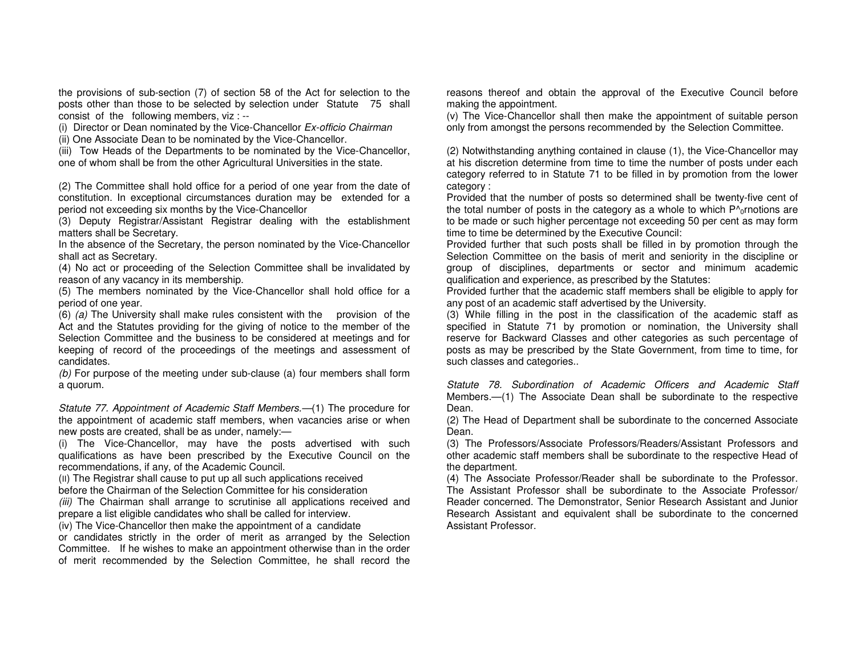the provisions of sub-section (7) of section 58 of the Act for selection to the posts other than those to be selected by selection under Statute 75 shall consist of the following members, viz : --

(i) Director or Dean nominated by the Vice-Chancellor Ex-officio Chairman

(ii) One Associate Dean to be nominated by the Vice-Chancellor.

 (iii) Tow Heads of the Departments to be nominated by the Vice-Chancellor, one of whom shall be from the other Agricultural Universities in the state.

(2) The Committee shall hold office for a period of one year from the date of constitution. In exceptional circumstances duration may be extended for a period not exceeding six months by the Vice-Chancellor

 (3) Deputy Registrar/Assistant Registrar dealing with the establishment matters shall be Secretary.

 In the absence of the Secretary, the person nominated by the Vice-Chancellor shall act as Secretary.

 (4) No act or proceeding of the Selection Committee shall be invalidated by reason of any vacancy in its membership.

 (5) The members nominated by the Vice-Chancellor shall hold office for a period of one year.

(6) (a) The University shall make rules consistent with the provision of the Act and the Statutes providing for the giving of notice to the member of the Selection Committee and the business to be considered at meetings and for keeping of record of the proceedings of the meetings and assessment of candidates.

(b) For purpose of the meeting under sub-clause (a) four members shall form a quorum.

Statute 77. Appointment of Academic Staff Members.—(1) The procedure for the appointment of academic staff members, when vacancies arise or when new posts are created, shall be as under, namely:—

 (i) The Vice-Chancellor, may have the posts advertised with such qualifications as have been prescribed by the Executive Council on the recommendations, if any, of the Academic Council.

 (II) The Registrar shall cause to put up all such applications received before the Chairman of the Selection Committee for his consideration

(iii) The Chairman shall arrange to scrutinise all applications received and prepare a list eligible candidates who shall be called for interview.

(iv) The Vice-Chancellor then make the appointment of a candidate

 or candidates strictly in the order of merit as arranged by the Selection Committee. If he wishes to make an appointment otherwise than in the order of merit recommended by the Selection Committee, he shall record the reasons thereof and obtain the approval of the Executive Council before making the appointment.

 (v) The Vice-Chancellor shall then make the appointment of suitable person only from amongst the persons recommended by the Selection Committee.

(2) Notwithstanding anything contained in clause (1), the Vice-Chancellor may at his discretion determine from time to time the number of posts under each category referred to in Statute 71 to be filled in by promotion from the lower category :

 Provided that the number of posts so determined shall be twenty-five cent of the total number of posts in the category as a whole to which  $P^{\wedge}{}_{0}$ rnotions are to be made or such higher percentage not exceeding 50 per cent as may form time to time be determined by the Executive Council:

 Provided further that such posts shall be filled in by promotion through the Selection Committee on the basis of merit and seniority in the discipline or group of disciplines, departments or sector and minimum academic qualification and experience, as prescribed by the Statutes:

 Provided further that the academic staff members shall be eligible to apply for any post of an academic staff advertised by the University.

 (3) While filling in the post in the classification of the academic staff as specified in Statute 71 by promotion or nomination, the University shall reserve for Backward Classes and other categories as such percentage of posts as may be prescribed by the State Government, from time to time, for such classes and categories..

Statute 78. Subordination of Academic Officers and Academic Staff Members.—(1) The Associate Dean shall be subordinate to the respective Dean.

 (2) The Head of Department shall be subordinate to the concerned Associate Dean.

 (3) The Professors/Associate Professors/Readers/Assistant Professors and other academic staff members shall be subordinate to the respective Head of the department.

 (4) The Associate Professor/Reader shall be subordinate to the Professor. The Assistant Professor shall be subordinate to the Associate Professor/ Reader concerned. The Demonstrator, Senior Research Assistant and Junior Research Assistant and equivalent shall be subordinate to the concerned Assistant Professor.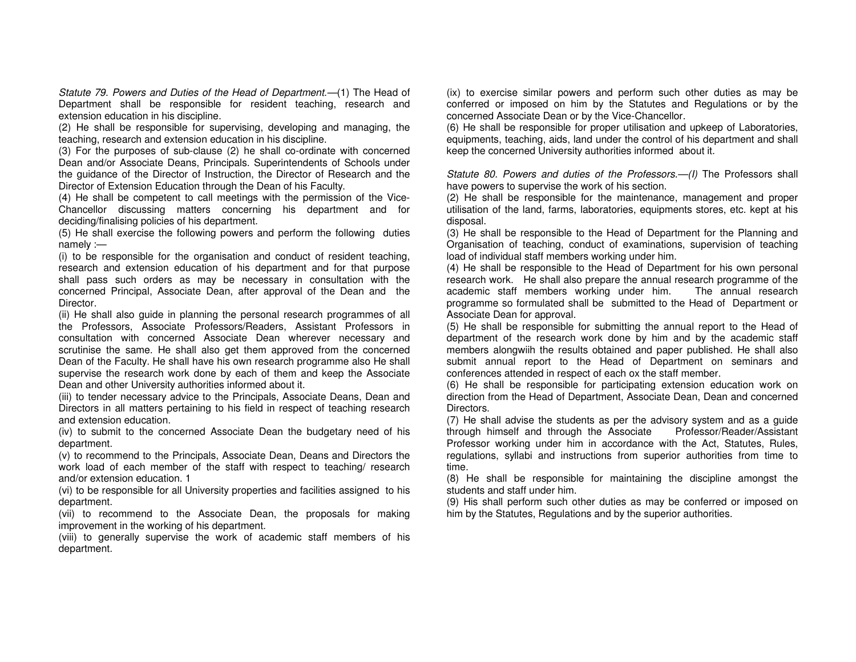Statute 79. Powers and Duties of the Head of Department.—(1) The Head of Department shall be responsible for resident teaching, research and extension education in his discipline.

 (2) He shall be responsible for supervising, developing and managing, the teaching, research and extension education in his discipline.

 (3) For the purposes of sub-clause (2) he shall co-ordinate with concerned Dean and/or Associate Deans, Principals. Superintendents of Schools under the guidance of the Director of Instruction, the Director of Research and the Director of Extension Education through the Dean of his Faculty.

 (4) He shall be competent to call meetings with the permission of the Vice-Chancellor discussing matters concerning his department and for deciding/finalising policies of his department.

 (5) He shall exercise the following powers and perform the following duties namely :—

 (i) to be responsible for the organisation and conduct of resident teaching, research and extension education of his department and for that purpose shall pass such orders as may be necessary in consultation with the concerned Principal, Associate Dean, after approval of the Dean and the Director.

 (ii) He shall also guide in planning the personal research programmes of all the Professors, Associate Professors/Readers, Assistant Professors in consultation with concerned Associate Dean wherever necessary and scrutinise the same. He shall also get them approved from the concerned Dean of the Faculty. He shall have his own research programme also He shall supervise the research work done by each of them and keep the Associate Dean and other University authorities informed about it.

 (iii) to tender necessary advice to the Principals, Associate Deans, Dean and Directors in all matters pertaining to his field in respect of teaching research and extension education.

 (iv) to submit to the concerned Associate Dean the budgetary need of his department.

 (v) to recommend to the Principals, Associate Dean, Deans and Directors the work load of each member of the staff with respect to teaching/ research and/or extension education. 1

 (vi) to be responsible for all University properties and facilities assigned to his department.

 (vii) to recommend to the Associate Dean, the proposals for making improvement in the working of his department.

 (viii) to generally supervise the work of academic staff members of his department.

(ix) to exercise similar powers and perform such other duties as may be conferred or imposed on him by the Statutes and Regulations or by the concerned Associate Dean or by the Vice-Chancellor.

 (6) He shall be responsible for proper utilisation and upkeep of Laboratories, equipments, teaching, aids, land under the control of his department and shall keep the concerned University authorities informed about it.

Statute 80. Powers and duties of the Professors.—(I) The Professors shall have powers to supervise the work of his section.

 (2) He shall be responsible for the maintenance, management and proper utilisation of the land, farms, laboratories, equipments stores, etc. kept at his disposal.

 (3) He shall be responsible to the Head of Department for the Planning and Organisation of teaching, conduct of examinations, supervision of teaching load of individual staff members working under him.

 (4) He shall be responsible to the Head of Department for his own personal research work. He shall also prepare the annual research programme of the The annual research academic staff members working under him. programme so formulated shall be submitted to the Head of Department or Associate Dean for approval.

 (5) He shall be responsible for submitting the annual report to the Head of department of the research work done by him and by the academic staff members alongwiih the results obtained and paper published. He shall also submit annual report to the Head of Department on seminars and conferences attended in respect of each ox the staff member.

 (6) He shall be responsible for participating extension education work on direction from the Head of Department, Associate Dean, Dean and concerned Directors.

 (7) He shall advise the students as per the advisory system and as a guide Professor/Reader/Assistant through himself and through the Associate Professor working under him in accordance with the Act, Statutes, Rules, regulations, syllabi and instructions from superior authorities from time to time.

 (8) He shall be responsible for maintaining the discipline amongst the students and staff under him.

 (9) His shall perform such other duties as may be conferred or imposed on him by the Statutes, Regulations and by the superior authorities.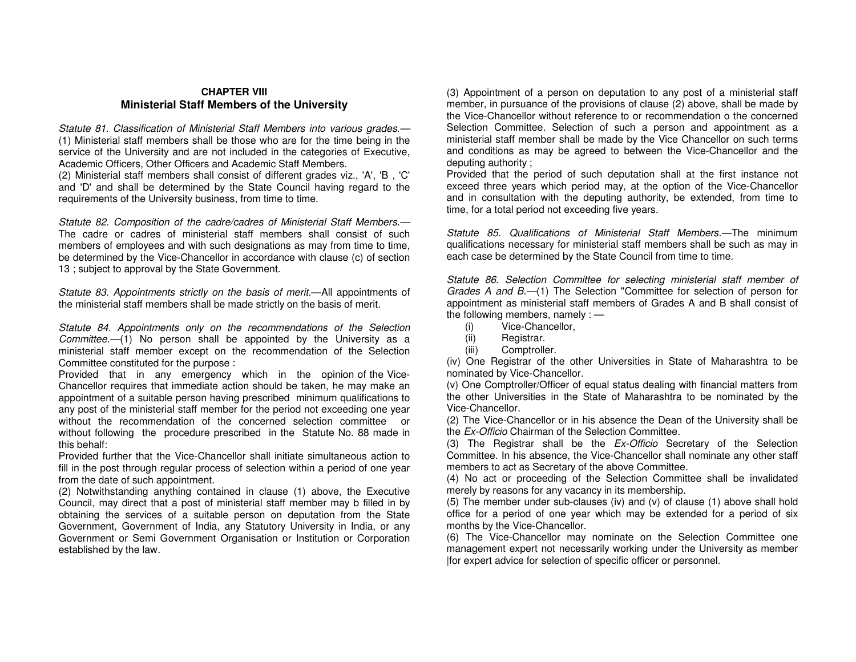#### **CHAPTER VIII Ministerial Staff Members of the University**

Statute 81. Classification of Ministerial Staff Members into various grades.— (1) Ministerial staff members shall be those who are for the time being in the service of the University and are not included in the categories of Executive, Academic Officers, Other Officers and Academic Staff Members.

 (2) Ministerial staff members shall consist of different grades viz., 'A', 'B , 'C' and 'D' and shall be determined by the State Council having regard to the requirements of the University business, from time to time.

Statute 82. Composition of the cadre/cadres of Ministerial Staff Members.— The cadre or cadres of ministerial staff members shall consist of such members of employees and with such designations as may from time to time, be determined by the Vice-Chancellor in accordance with clause (c) of section 13 ; subject to approval by the State Government.

Statute 83. Appointments strictly on the basis of merit.—All appointments of the ministerial staff members shall be made strictly on the basis of merit.

Statute 84. Appointments only on the recommendations of the Selection Committee.—(1) No person shall be appointed by the University as a ministerial staff member except on the recommendation of the Selection Committee constituted for the purpose :

 Provided that in any emergency which in the opinion of the Vice-Chancellor requires that immediate action should be taken, he may make an appointment of a suitable person having prescribed minimum qualifications to any post of the ministerial staff member for the period not exceeding one year without the recommendation of the concerned selection committee or without following the procedure prescribed in the Statute No. 88 made in this behalf:

 Provided further that the Vice-Chancellor shall initiate simultaneous action to fill in the post through regular process of selection within a period of one year from the date of such appointment.

 (2) Notwithstanding anything contained in clause (1) above, the Executive Council, may direct that a post of ministerial staff member may b filled in by obtaining the services of a suitable person on deputation from the State Government, Government of India, any Statutory University in India, or any Government or Semi Government Organisation or Institution or Corporation established by the law.

(3) Appointment of a person on deputation to any post of a ministerial staff member, in pursuance of the provisions of clause (2) above, shall be made by the Vice-Chancellor without reference to or recommendation o the concerned Selection Committee. Selection of such a person and appointment as a ministerial staff member shall be made by the Vice Chancellor on such terms and conditions as may be agreed to between the Vice-Chancellor and the deputing authority ;

 Provided that the period of such deputation shall at the first instance not exceed three years which period may, at the option of the Vice-Chancellor and in consultation with the deputing authority, be extended, from time to time, for a total period not exceeding five years.

Statute 85. Qualifications of Ministerial Staff Members.—The minimum qualifications necessary for ministerial staff members shall be such as may in each case be determined by the State Council from time to time.

Statute 86. Selection Committee for selecting ministerial staff member of Grades A and B.-(1) The Selection "Committee for selection of person for appointment as ministerial staff members of Grades A and B shall consist of the following members, namely  $:=$ 

- (i) Vice-Chancellor,
- (ii) Registrar.
- (iii) Comptroller.

 (iv) One Registrar of the other Universities in State of Maharashtra to be nominated by Vice-Chancellor.

 (v) One Comptroller/Officer of equal status dealing with financial matters from the other Universities in the State of Maharashtra to be nominated by the Vice-Chancellor.

 (2) The Vice-Chancellor or in his absence the Dean of the University shall be the Ex-Officio Chairman of the Selection Committee.

(3) The Registrar shall be the Ex-Officio Secretary of the Selection Committee. In his absence, the Vice-Chancellor shall nominate any other staff members to act as Secretary of the above Committee.

 (4) No act or proceeding of the Selection Committee shall be invalidated merely by reasons for any vacancy in its membership.

 (5) The member under sub-clauses (iv) and (v) of clause (1) above shall hold office for a period of one year which may be extended for a period of six months by the Vice-Chancellor.

 (6) The Vice-Chancellor may nominate on the Selection Committee one management expert not necessarily working under the University as member |for expert advice for selection of specific officer or personnel.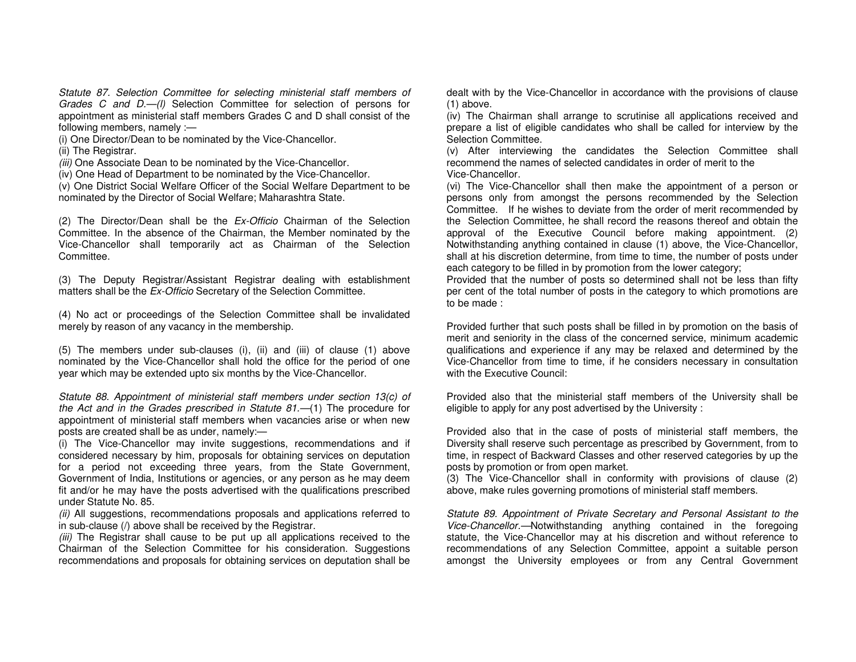Statute 87. Selection Committee for selecting ministerial staff members of Grades C and D.-(I) Selection Committee for selection of persons for appointment as ministerial staff members Grades C and D shall consist of the following members, namely :—

(i) One Director/Dean to be nominated by the Vice-Chancellor.

(ii) The Registrar.

(iii) One Associate Dean to be nominated by the Vice-Chancellor.

(iv) One Head of Department to be nominated by the Vice-Chancellor.

 (v) One District Social Welfare Officer of the Social Welfare Department to be nominated by the Director of Social Welfare; Maharashtra State.

(2) The Director/Dean shall be the  $Ex$ -Officio Chairman of the Selection Committee. In the absence of the Chairman, the Member nominated by the Vice-Chancellor shall temporarily act as Chairman of the Selection Committee.

(3) The Deputy Registrar/Assistant Registrar dealing with establishment matters shall be the *Ex-Officio* Secretary of the Selection Committee.

(4) No act or proceedings of the Selection Committee shall be invalidated merely by reason of any vacancy in the membership.

(5) The members under sub-clauses (i), (ii) and (iii) of clause (1) above nominated by the Vice-Chancellor shall hold the office for the period of one year which may be extended upto six months by the Vice-Chancellor.

Statute 88. Appointment of ministerial staff members under section 13(c) of the Act and in the Grades prescribed in Statute 81.—(1) The procedure for appointment of ministerial staff members when vacancies arise or when new posts are created shall be as under, namely:—

 (i) The Vice-Chancellor may invite suggestions, recommendations and if considered necessary by him, proposals for obtaining services on deputation for a period not exceeding three years, from the State Government, Government of India, Institutions or agencies, or any person as he may deem fit and/or he may have the posts advertised with the qualifications prescribed under Statute No. 85.

(ii) All suggestions, recommendations proposals and applications referred to in sub-clause (/) above shall be received by the Registrar.

(iii) The Registrar shall cause to be put up all applications received to the Chairman of the Selection Committee for his consideration. Suggestions recommendations and proposals for obtaining services on deputation shall be dealt with by the Vice-Chancellor in accordance with the provisions of clause (1) above.

 (iv) The Chairman shall arrange to scrutinise all applications received and prepare a list of eligible candidates who shall be called for interview by the Selection Committee.

 (v) After interviewing the candidates the Selection Committee shall recommend the names of selected candidates in order of merit to the Vice-Chancellor.

 (vi) The Vice-Chancellor shall then make the appointment of a person or persons only from amongst the persons recommended by the Selection Committee. If he wishes to deviate from the order of merit recommended by the Selection Committee, he shall record the reasons thereof and obtain the approval of the Executive Council before making appointment. (2) Notwithstanding anything contained in clause (1) above, the Vice-Chancellor, shall at his discretion determine, from time to time, the number of posts under each category to be filled in by promotion from the lower category;

 Provided that the number of posts so determined shall not be less than fifty per cent of the total number of posts in the category to which promotions are to be made :

Provided further that such posts shall be filled in by promotion on the basis of merit and seniority in the class of the concerned service, minimum academic qualifications and experience if any may be relaxed and determined by the Vice-Chancellor from time to time, if he considers necessary in consultation with the Executive Council:

Provided also that the ministerial staff members of the University shall be eligible to apply for any post advertised by the University :

Provided also that in the case of posts of ministerial staff members, the Diversity shall reserve such percentage as prescribed by Government, from to time, in respect of Backward Classes and other reserved categories by up the posts by promotion or from open market.

 (3) The Vice-Chancellor shall in conformity with provisions of clause (2) above, make rules governing promotions of ministerial staff members.

Statute 89. Appointment of Private Secretary and Personal Assistant to the Vice-Chancellor.—Notwithstanding anything contained in the foregoing statute, the Vice-Chancellor may at his discretion and without reference to recommendations of any Selection Committee, appoint a suitable person amongst the University employees or from any Central Government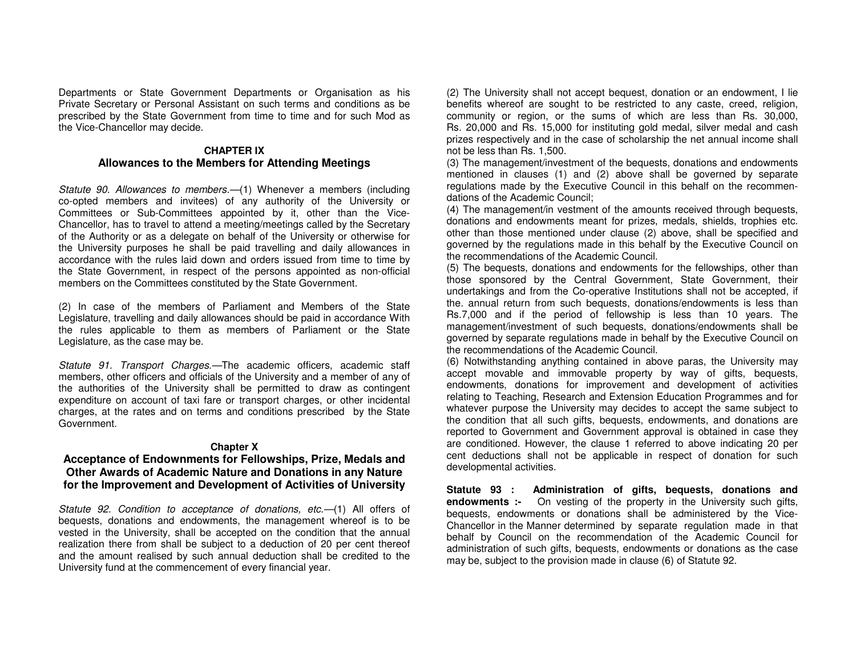Departments or State Government Departments or Organisation as his Private Secretary or Personal Assistant on such terms and conditions as be prescribed by the State Government from time to time and for such Mod as the Vice-Chancellor may decide.

#### **CHAPTER IX Allowances to the Members for Attending Meetings**

Statute 90. Allowances to members.—(1) Whenever a members (including co-opted members and invitees) of any authority of the University or Committees or Sub-Committees appointed by it, other than the Vice-Chancellor, has to travel to attend a meeting/meetings called by the Secretary of the Authority or as a delegate on behalf of the University or otherwise for the University purposes he shall be paid travelling and daily allowances in accordance with the rules laid down and orders issued from time to time by the State Government, in respect of the persons appointed as non-official members on the Committees constituted by the State Government.

(2) In case of the members of Parliament and Members of the State Legislature, travelling and daily allowances should be paid in accordance With the rules applicable to them as members of Parliament or the State Legislature, as the case may be.

Statute 91. Transport Charges.—The academic officers, academic staff members, other officers and officials of the University and a member of any of the authorities of the University shall be permitted to draw as contingent expenditure on account of taxi fare or transport charges, or other incidental charges, at the rates and on terms and conditions prescribed by the State Government.

#### **Chapter X**

## **Acceptance of Endownments for Fellowships, Prize, Medals and Other Awards of Academic Nature and Donations in any Nature for the Improvement and Development of Activities of University**

Statute 92. Condition to acceptance of donations, etc.—(1) All offers of bequests, donations and endowments, the management whereof is to be vested in the University, shall be accepted on the condition that the annual realization there from shall be subject to a deduction of 20 per cent thereof and the amount realised by such annual deduction shall be credited to the University fund at the commencement of every financial year.

(2) The University shall not accept bequest, donation or an endowment, I lie benefits whereof are sought to be restricted to any caste, creed, religion, community or region, or the sums of which are less than Rs. 30,000, Rs. 20,000 and Rs. 15,000 for instituting gold medal, silver medal and cash prizes respectively and in the case of scholarship the net annual income shall not be less than Rs. 1,500.

 (3) The management/investment of the bequests, donations and endowments mentioned in clauses (1) and (2) above shall be governed by separate regulations made by the Executive Council in this behalf on the recommendations of the Academic Council;

 (4) The management/in vestment of the amounts received through bequests, donations and endowments meant for prizes, medals, shields, trophies etc. other than those mentioned under clause (2) above, shall be specified and governed by the regulations made in this behalf by the Executive Council on the recommendations of the Academic Council.

 (5) The bequests, donations and endowments for the fellowships, other than those sponsored by the Central Government, State Government, their undertakings and from the Co-operative Institutions shall not be accepted, if the. annual return from such bequests, donations/endowments is less than Rs.7,000 and if the period of fellowship is less than 10 years. The management/investment of such bequests, donations/endowments shall be governed by separate regulations made in behalf by the Executive Council on the recommendations of the Academic Council.

 (6) Notwithstanding anything contained in above paras, the University may accept movable and immovable property by way of gifts, bequests, endowments, donations for improvement and development of activities relating to Teaching, Research and Extension Education Programmes and for whatever purpose the University may decides to accept the same subject to the condition that all such gifts, bequests, endowments, and donations are reported to Government and Government approval is obtained in case they are conditioned. However, the clause 1 referred to above indicating 20 per cent deductions shall not be applicable in respect of donation for such developmental activities.

**Statute 93 : Administration of gifts, bequests, donations and endowments :-** On vesting of the property in the University such gifts, bequests, endowments or donations shall be administered by the Vice-Chancellor in the Manner determined by separate regulation made in that behalf by Council on the recommendation of the Academic Council for administration of such gifts, bequests, endowments or donations as the case may be, subject to the provision made in clause (6) of Statute 92.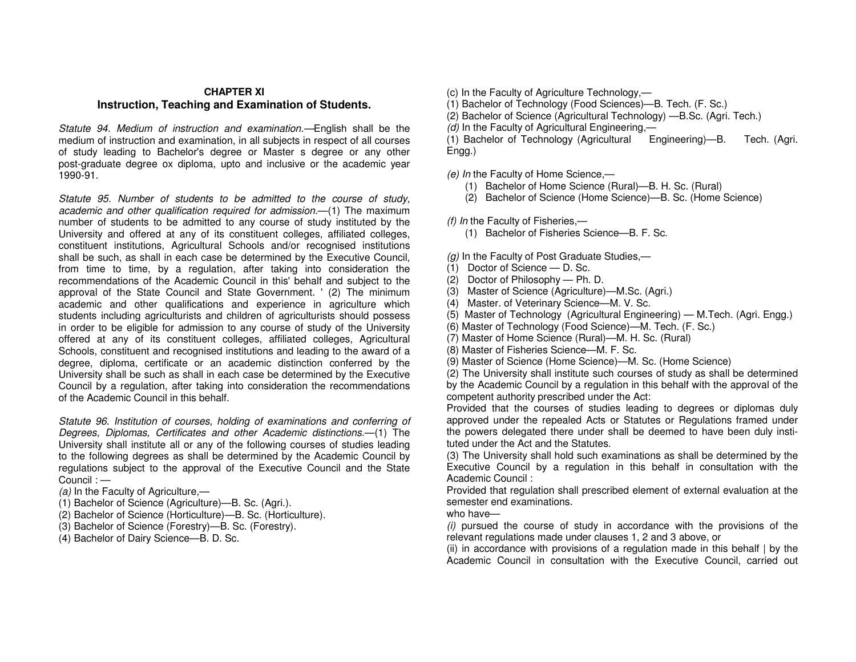#### **CHAPTER XI Instruction, Teaching and Examination of Students.**

Statute 94. Medium of instruction and examination.—English shall be the medium of instruction and examination, in all subjects in respect of all courses of study leading to Bachelor's degree or Master s degree or any other post-graduate degree ox diploma, upto and inclusive or the academic year 1990-91.

Statute 95. Number of students to be admitted to the course of study, academic and other qualification required for admission.—(1) The maximum number of students to be admitted to any course of study instituted by the University and offered at any of its constituent colleges, affiliated colleges, constituent institutions, Agricultural Schools and/or recognised institutions shall be such, as shall in each case be determined by the Executive Council, from time to time, by a regulation, after taking into consideration the recommendations of the Academic Council in this' behalf and subject to the approval of the State Council and State Government. ' (2) The minimum academic and other qualifications and experience in agriculture which students including agriculturists and children of agriculturists should possess in order to be eligible for admission to any course of study of the University offered at any of its constituent colleges, affiliated colleges, Agricultural Schools, constituent and recognised institutions and leading to the award of a degree, diploma, certificate or an academic distinction conferred by the University shall be such as shall in each case be determined by the Executive Council by a regulation, after taking into consideration the recommendations of the Academic Council in this behalf.

Statute 96. Institution of courses, holding of examinations and conferring of Degrees, Diplomas, Certificates and other Academic distinctions.—(1) The University shall institute all or any of the following courses of studies leading to the following degrees as shall be determined by the Academic Council by regulations subject to the approval of the Executive Council and the State Council : —

(a) In the Faculty of Agriculture, $-$ 

- (1) Bachelor of Science (Agriculture)—B. Sc. (Agri.).
- (2) Bachelor of Science (Horticulture)—B. Sc. (Horticulture).
- (3) Bachelor of Science (Forestry)—B. Sc. (Forestry).
- (4) Bachelor of Dairy Science—B. D. Sc.
- (c) In the Faculty of Agriculture Technology,—
- (1) Bachelor of Technology (Food Sciences)—B. Tech. (F. Sc.)
- (2) Bachelor of Science (Agricultural Technology) —B.Sc. (Agri. Tech.)
- (d) In the Faculty of Agricultural Engineering,-

 (1) Bachelor of Technology (Agricultural Engineering)—B. Tech. (Agri. Engg.)

(e) In the Faculty of Home Science,—

- (1) Bachelor of Home Science (Rural)—B. H. Sc. (Rural)
- (2) Bachelor of Science (Home Science)—B. Sc. (Home Science)

(f) In the Faculty of Fisheries,—

(1) Bachelor of Fisheries Science—B. F. Sc.

 $(q)$  In the Faculty of Post Graduate Studies.—

- (1) Doctor of Science D. Sc.
- (2) Doctor of Philosophy Ph. D.
- (3) Master of Science (Agriculture)—M.Sc. (Agri.)
- (4) Master. of Veterinary Science—M. V. Sc.
- (5) Master of Technology (Agricultural Engineering) M.Tech. (Agri. Engg.)
- (6) Master of Technology (Food Science)—M. Tech. (F. Sc.)
- (7) Master of Home Science (Rural)—M. H. Sc. (Rural)
- (8) Master of Fisheries Science—M. F. Sc.
- (9) Master of Science (Home Science)—M. Sc. (Home Science)

 (2) The University shall institute such courses of study as shall be determined by the Academic Council by a regulation in this behalf with the approval of the competent authority prescribed under the Act:

 Provided that the courses of studies leading to degrees or diplomas duly approved under the repealed Acts or Statutes or Regulations framed under the powers delegated there under shall be deemed to have been duly instituted under the Act and the Statutes.

 (3) The University shall hold such examinations as shall be determined by the Executive Council by a regulation in this behalf in consultation with the Academic Council :

 Provided that regulation shall prescribed element of external evaluation at the semester end examinations.

who have—

 (i) pursued the course of study in accordance with the provisions of the relevant regulations made under clauses 1, 2 and 3 above, or

 (ii) in accordance with provisions of a regulation made in this behalf | by the Academic Council in consultation with the Executive Council, carried out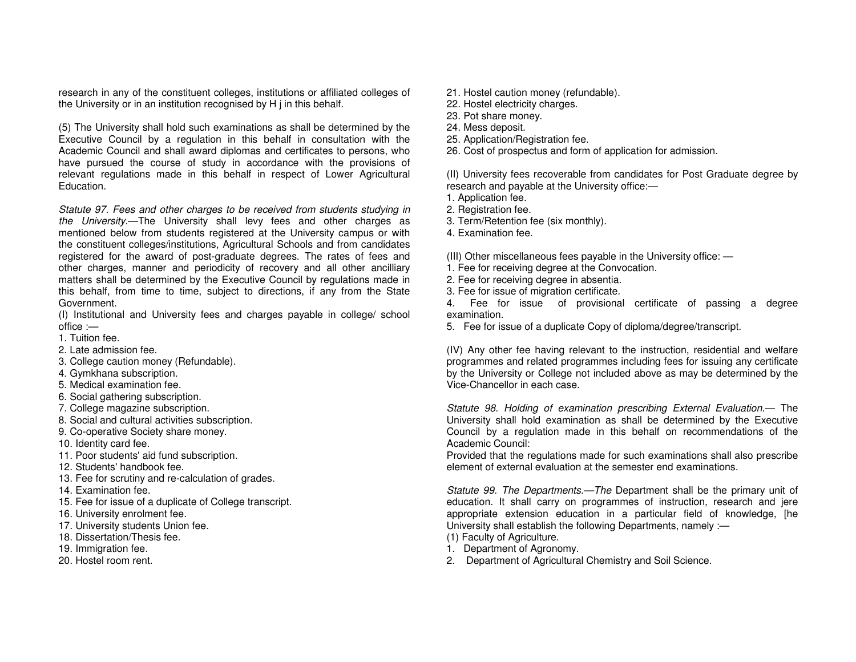research in any of the constituent colleges, institutions or affiliated colleges of the University or in an institution recognised by H j in this behalf.

(5) The University shall hold such examinations as shall be determined by the Executive Council by a regulation in this behalf in consultation with the Academic Council and shall award diplomas and certificates to persons, who have pursued the course of study in accordance with the provisions of relevant regulations made in this behalf in respect of Lower Agricultural Education.

Statute 97. Fees and other charges to be received from students studying in the University.—The University shall levy fees and other charges as mentioned below from students registered at the University campus or with the constituent colleges/institutions, Agricultural Schools and from candidates registered for the award of post-graduate degrees. The rates of fees and other charges, manner and periodicity of recovery and all other ancilliary matters shall be determined by the Executive Council by regulations made in this behalf, from time to time, subject to directions, if any from the State Government.

 (I) Institutional and University fees and charges payable in college/ school office :—

- 1. Tuition fee.
- 2. Late admission fee.
- 3. College caution money (Refundable).
- 4. Gymkhana subscription.
- 5. Medical examination fee.
- 6. Social gathering subscription.
- 7. College magazine subscription.
- 8. Social and cultural activities subscription.
- 9. Co-operative Society share money.
- 10. Identity card fee.
- 11. Poor students' aid fund subscription.
- 12. Students' handbook fee.
- 13. Fee for scrutiny and re-calculation of grades.
- 14. Examination fee.
- 15. Fee for issue of a duplicate of College transcript.
- 16. University enrolment fee.
- 17. University students Union fee.
- 18. Dissertation/Thesis fee.
- 19. Immigration fee.
- 20. Hostel room rent.
- 21. Hostel caution money (refundable).
- 22. Hostel electricity charges.
- 23. Pot share money.
- 24. Mess deposit.
- 25. Application/Registration fee.
- 26. Cost of prospectus and form of application for admission.

(II) University fees recoverable from candidates for Post Graduate degree by research and payable at the University office:—

- 1. Application fee.
- 2. Registration fee.
- 3. Term/Retention fee (six monthly).
- 4. Examination fee.

(III) Other miscellaneous fees payable in the University office: —

- 1. Fee for receiving degree at the Convocation.
- 2. Fee for receiving degree in absentia.
- 3. Fee for issue of migration certificate.

 4. Fee for issue of provisional certificate of passing a degree examination.

5. Fee for issue of a duplicate Copy of diploma/degree/transcript.

(IV) Any other fee having relevant to the instruction, residential and welfare programmes and related programmes including fees for issuing any certificate by the University or College not included above as may be determined by the Vice-Chancellor in each case.

Statute 98. Holding of examination prescribing External Evaluation.— The University shall hold examination as shall be determined by the Executive Council by a regulation made in this behalf on recommendations of the Academic Council:

 Provided that the regulations made for such examinations shall also prescribe element of external evaluation at the semester end examinations.

Statute 99. The Departments.—The Department shall be the primary unit of education. It shall carry on programmes of instruction, research and jere appropriate extension education in a particular field of knowledge, [he University shall establish the following Departments, namely :—

- (1) Faculty of Agriculture.
- 1. Department of Agronomy.
- 2. Department of Agricultural Chemistry and Soil Science.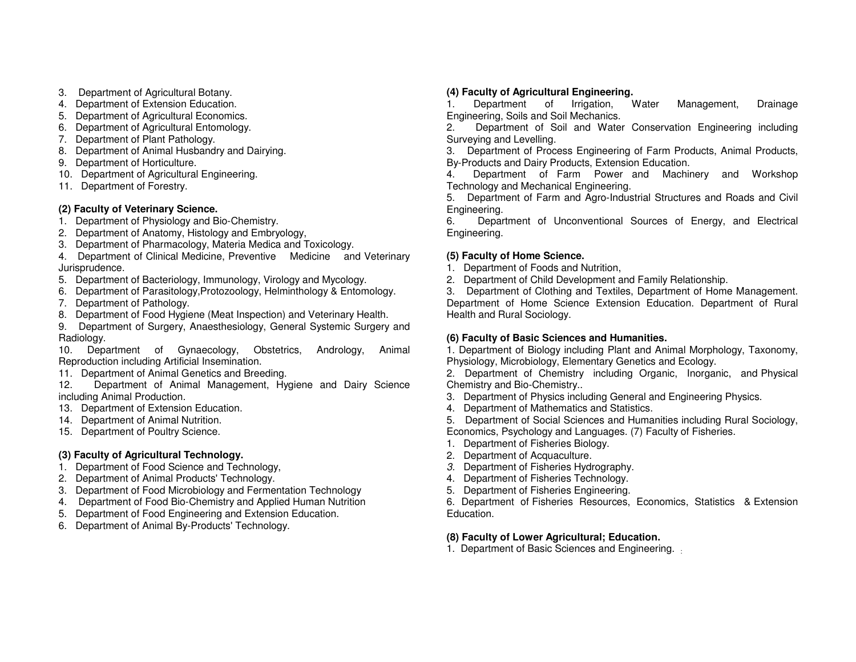- 3. Department of Agricultural Botany.
- 4. Department of Extension Education.
- 5. Department of Agricultural Economics.
- 6. Department of Agricultural Entomology.
- 7. Department of Plant Pathology.
- 8. Department of Animal Husbandry and Dairying.
- 9. Department of Horticulture.
- 10. Department of Agricultural Engineering.
- 11. Department of Forestry.

# **(2) Faculty of Veterinary Science.**

- 1. Department of Physiology and Bio-Chemistry.
- 2. Department of Anatomy, Histology and Embryology,
- 3. Department of Pharmacology, Materia Medica and Toxicology.
- 4. Department of Clinical Medicine, Preventive Medicine and Veterinary Jurisprudence.
- 5. Department of Bacteriology, Immunology, Virology and Mycology.
- 6. Department of Parasitology,Protozoology, Helminthology & Entomology.
- 7. Department of Pathology.
- 8. Department of Food Hygiene (Meat Inspection) and Veterinary Health.

 9. Department of Surgery, Anaesthesiology, General Systemic Surgery and Radiology.

 10. Department of Gynaecology, Obstetrics, Andrology, Animal Reproduction including Artificial Insemination.

- 11. Department of Animal Genetics and Breeding.
- 12. Department of Animal Management, Hygiene and Dairy Science including Animal Production.
- 13. Department of Extension Education.
- 14. Department of Animal Nutrition.
- 15. Department of Poultry Science.

# **(3) Faculty of Agricultural Technology.**

- 1. Department of Food Science and Technology,
- 2. Department of Animal Products' Technology.
- 3. Department of Food Microbiology and Fermentation Technology
- 4. Department of Food Bio-Chemistry and Applied Human Nutrition
- 5. Department of Food Engineering and Extension Education.
- 6. Department of Animal By-Products' Technology.

# **(4) Faculty of Agricultural Engineering.**

Water 1. Department of Irrigation, Water Management, Drainage Engineering, Soils and Soil Mechanics.

 2. Department of Soil and Water Conservation Engineering including Surveying and Levelling.

 3. Department of Process Engineering of Farm Products, Animal Products, By-Products and Dairy Products, Extension Education.

 4. Department of Farm Power and Machinery and Workshop Technology and Mechanical Engineering.

 5. Department of Farm and Agro-Industrial Structures and Roads and Civil Engineering.

 6. Department of Unconventional Sources of Energy, and Electrical Engineering.

# **(5) Faculty of Home Science.**

1. Department of Foods and Nutrition,

2. Department of Child Development and Family Relationship.

 3. Department of Clothing and Textiles, Department of Home Management. Department of Home Science Extension Education. Department of Rural Health and Rural Sociology.

# **(6) Faculty of Basic Sciences and Humanities.**

 1. Department of Biology including Plant and Animal Morphology, Taxonomy, Physiology, Microbiology, Elementary Genetics and Ecology.

 2. Department of Chemistry including Organic, Inorganic, and Physical Chemistry and Bio-Chemistry..

- 3. Department of Physics including General and Engineering Physics.
- 4. Department of Mathematics and Statistics.
- 5. Department of Social Sciences and Humanities including Rural Sociology, Economics, Psychology and Languages. (7) Faculty of Fisheries.
- 1. Department of Fisheries Biology.
- 2. Department of Acquaculture.
- 3. Department of Fisheries Hydrography.
- 4. Department of Fisheries Technology.
- 5. Department of Fisheries Engineering.

 6. Department of Fisheries Resources, Economics, Statistics & Extension Education.

# **(8) Faculty of Lower Agricultural; Education.**

1. Department of Basic Sciences and Engineering.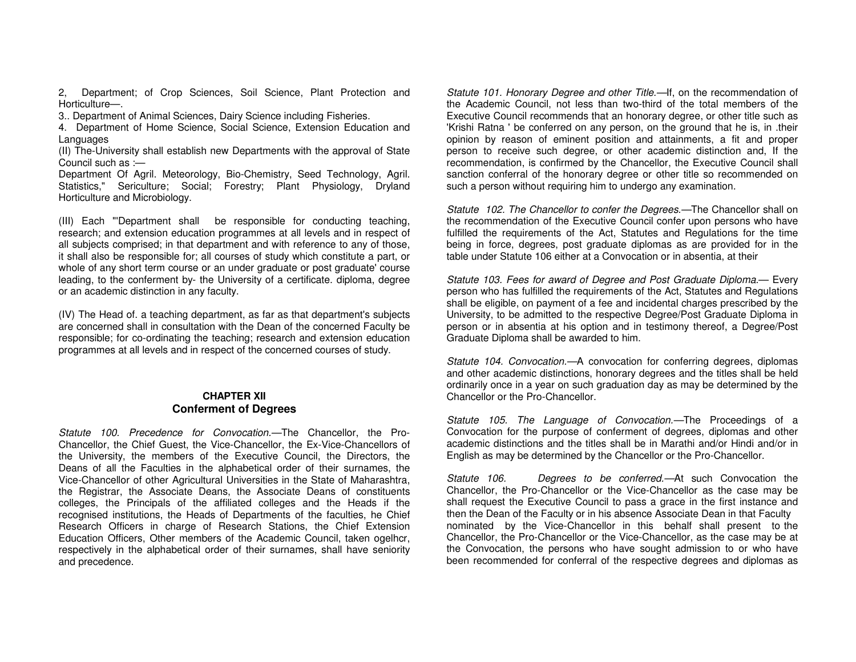2, Department; of Crop Sciences, Soil Science, Plant Protection and Horticulture—.

3.. Department of Animal Sciences, Dairy Science including Fisheries.

 4. Department of Home Science, Social Science, Extension Education and Languages

 (II) The-University shall establish new Departments with the approval of State Council such as :—

 Department Of Agril. Meteorology, Bio-Chemistry, Seed Technology, Agril. Statistics," Sericulture; Social; Forestry; Plant Physiology, Dryland Horticulture and Microbiology.

(III) Each "'Department shall be responsible for conducting teaching, research; and extension education programmes at all levels and in respect of all subjects comprised; in that department and with reference to any of those, it shall also be responsible for; all courses of study which constitute a part, or whole of any short term course or an under graduate or post graduate' course leading, to the conferment by- the University of a certificate. diploma, degree or an academic distinction in any faculty.

(IV) The Head of. a teaching department, as far as that department's subjects are concerned shall in consultation with the Dean of the concerned Faculty be responsible; for co-ordinating the teaching; research and extension education programmes at all levels and in respect of the concerned courses of study.

## **CHAPTER XII Conferment of Degrees**

Statute 100. Precedence for Convocation.—The Chancellor, the Pro-Chancellor, the Chief Guest, the Vice-Chancellor, the Ex-Vice-Chancellors of the University, the members of the Executive Council, the Directors, the Deans of all the Faculties in the alphabetical order of their surnames, the Vice-Chancellor of other Agricultural Universities in the State of Maharashtra, the Registrar, the Associate Deans, the Associate Deans of constituents colleges, the Principals of the affiliated colleges and the Heads if the recognised institutions, the Heads of Departments of the faculties, he Chief Research Officers in charge of Research Stations, the Chief Extension Education Officers, Other members of the Academic Council, taken ogelhcr, respectively in the alphabetical order of their surnames, shall have seniority and precedence.

Statute 101. Honorary Degree and other Title.—If, on the recommendation of the Academic Council, not less than two-third of the total members of the Executive Council recommends that an honorary degree, or other title such as 'Krishi Ratna ' be conferred on any person, on the ground that he is, in .their opinion by reason of eminent position and attainments, a fit and proper person to receive such degree, or other academic distinction and, If the recommendation, is confirmed by the Chancellor, the Executive Council shall sanction conferral of the honorary degree or other title so recommended on such a person without requiring him to undergo any examination.

Statute 102. The Chancellor to confer the Degrees.—The Chancellor shall on the recommendation of the Executive Council confer upon persons who have fulfilled the requirements of the Act, Statutes and Regulations for the time being in force, degrees, post graduate diplomas as are provided for in the table under Statute 106 either at a Convocation or in absentia, at their

Statute 103. Fees for award of Degree and Post Graduate Diploma.— Every person who has fulfilled the requirements of the Act, Statutes and Regulations shall be eligible, on payment of a fee and incidental charges prescribed by the University, to be admitted to the respective Degree/Post Graduate Diploma in person or in absentia at his option and in testimony thereof, a Degree/Post Graduate Diploma shall be awarded to him.

Statute 104. Convocation.—A convocation for conferring degrees, diplomas and other academic distinctions, honorary degrees and the titles shall be held ordinarily once in a year on such graduation day as may be determined by the Chancellor or the Pro-Chancellor.

Statute 105. The Language of Convocation.—The Proceedings of a Convocation for the purpose of conferment of degrees, diplomas and other academic distinctions and the titles shall be in Marathi and/or Hindi and/or in English as may be determined by the Chancellor or the Pro-Chancellor.

Statute 106. Degrees to be conferred.—At such Convocation the Chancellor, the Pro-Chancellor or the Vice-Chancellor as the case may be shall request the Executive Council to pass a grace in the first instance and then the Dean of the Faculty or in his absence Associate Dean in that Faculty nominated by the Vice-Chancellor in this behalf shall present to the Chancellor, the Pro-Chancellor or the Vice-Chancellor, as the case may be at the Convocation, the persons who have sought admission to or who have been recommended for conferral of the respective degrees and diplomas as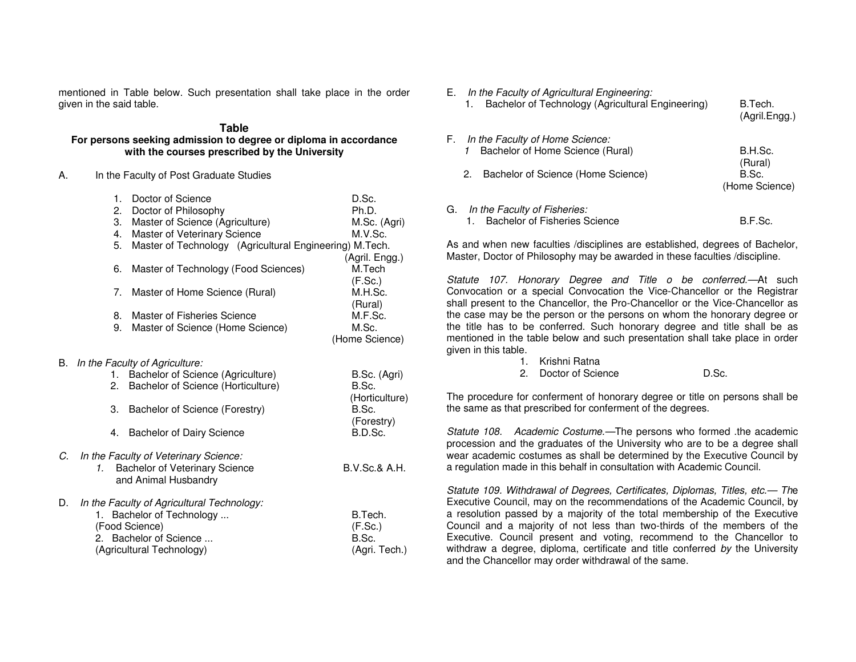mentioned in Table below. Such presentation shall take place in the order given in the said table.

#### **Table For persons seeking admission to degree or diploma in accordance with the courses prescribed by the University**

A. In the Faculty of Post Graduate Studies

|    | 1.           | Doctor of Science                                       | D.Sc.                    |
|----|--------------|---------------------------------------------------------|--------------------------|
|    | 2.           | Doctor of Philosophy                                    | Ph.D.                    |
|    | 3.           | Master of Science (Agriculture)                         | M.Sc. (Agri)             |
|    | 4.           | Master of Veterinary Science                            | M.V.Sc.                  |
|    | 5.           | Master of Technology (Agricultural Engineering) M.Tech. |                          |
|    |              |                                                         | (Agril. Engg.)           |
|    | 6.           | Master of Technology (Food Sciences)                    | M.Tech                   |
|    |              |                                                         | (F.Sc.)                  |
|    | 7.           | Master of Home Science (Rural)                          | M.H.Sc.                  |
|    |              |                                                         | (Rural)                  |
|    | 8.           | Master of Fisheries Science                             | M.F.Sc.                  |
|    | 9.           | Master of Science (Home Science)                        | M.Sc.                    |
|    |              |                                                         | (Home Science)           |
|    |              |                                                         |                          |
| В. |              | In the Faculty of Agriculture:                          |                          |
|    | 1.           | Bachelor of Science (Agriculture)                       | B.Sc. (Agri)             |
|    | 2.           | Bachelor of Science (Horticulture)                      | B.Sc.                    |
|    |              |                                                         | (Horticulture)           |
|    | 3.           | Bachelor of Science (Forestry)                          | B.Sc.                    |
|    |              |                                                         | (Forestry)               |
|    |              | 4. Bachelor of Dairy Science                            | B.D.Sc.                  |
|    |              |                                                         |                          |
| С. | $\mathbf{1}$ | In the Faculty of Veterinary Science:                   | <b>B.V.Sc.&amp; A.H.</b> |
|    |              | Bachelor of Veterinary Science                          |                          |
|    |              | and Animal Husbandry                                    |                          |
| D. |              | In the Faculty of Agricultural Technology:              |                          |
|    |              | 1. Bachelor of Technology                               | B.Tech.                  |
|    |              | (Food Science)                                          | (F.Sc.)                  |
|    | 2.           | Bachelor of Science                                     | B.Sc.                    |
|    |              | (Agricultural Technology)                               | (Agri. Tech.)            |

| E. In the Faculty of Agricultural Engineering:<br>Bachelor of Technology (Agricultural Engineering)<br>1. | B.Tech.<br>(Agril.Engg.) |
|-----------------------------------------------------------------------------------------------------------|--------------------------|
| F. In the Faculty of Home Science:<br>Bachelor of Home Science (Rural)                                    | B.H.Sc.                  |
|                                                                                                           | (Rural)                  |
| Bachelor of Science (Home Science)<br>2.                                                                  | B.Sc.<br>(Home Science)  |
| G. In the Faculty of Fisheries:<br><b>Bachelor of Fisheries Science</b>                                   | B.F.Sc.                  |

As and when new faculties /disciplines are established, degrees of Bachelor, Master, Doctor of Philosophy may be awarded in these faculties /discipline.

Statute 107. Honorary Degree and Title o be conferred.—At such Convocation or a special Convocation the Vice-Chancellor or the Registrar shall present to the Chancellor, the Pro-Chancellor or the Vice-Chancellor as the case may be the person or the persons on whom the honorary degree or the title has to be conferred. Such honorary degree and title shall be as mentioned in the table below and such presentation shall take place in order given in this table.

- 1. Krishni Ratna
- 2. Doctor of Science **D.Sc.**

The procedure for conferment of honorary degree or title on persons shall be the same as that prescribed for conferment of the degrees.

Statute 108. Academic Costume.—The persons who formed .the academic procession and the graduates of the University who are to be a degree shall wear academic costumes as shall be determined by the Executive Council by a regulation made in this behalf in consultation with Academic Council.

Statute 109. Withdrawal of Degrees, Certificates, Diplomas, Titles, etc.— The Executive Council, may on the recommendations of the Academic Council, by a resolution passed by a majority of the total membership of the Executive Council and a majority of not less than two-thirds of the members of the Executive. Council present and voting, recommend to the Chancellor to withdraw a degree, diploma, certificate and title conferred by the University and the Chancellor may order withdrawal of the same.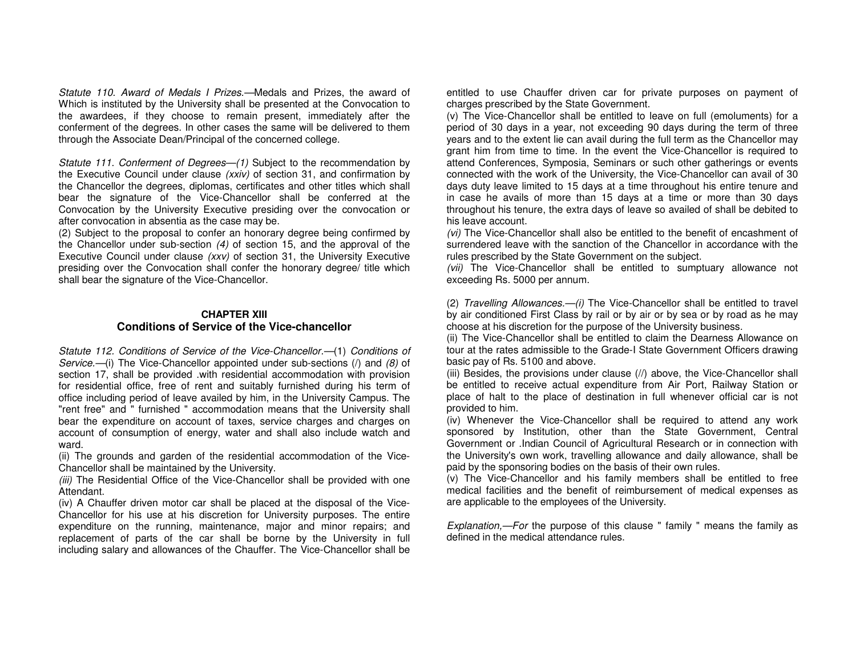Statute 110. Award of Medals I Prizes.—Medals and Prizes, the award of Which is instituted by the University shall be presented at the Convocation to the awardees, if they choose to remain present, immediately after the conferment of the degrees. In other cases the same will be delivered to them through the Associate Dean/Principal of the concerned college.

Statute 111. Conferment of Degrees—(1) Subject to the recommendation by the Executive Council under clause (xxiv) of section 31, and confirmation by the Chancellor the degrees, diplomas, certificates and other titles which shall bear the signature of the Vice-Chancellor shall be conferred at the Convocation by the University Executive presiding over the convocation or after convocation in absentia as the case may be.

 (2) Subject to the proposal to confer an honorary degree being confirmed by the Chancellor under sub-section (4) of section 15, and the approval of the Executive Council under clause (xxv) of section 31, the University Executive presiding over the Convocation shall confer the honorary degree/ title which shall bear the signature of the Vice-Chancellor.

## **CHAPTER XIII Conditions of Service of the Vice-chancellor**

Statute 112. Conditions of Service of the Vice-Chancellor.—(1) Conditions of Service.-(i) The Vice-Chancellor appointed under sub-sections (/) and (8) of section 17, shall be provided .with residential accommodation with provision for residential office, free of rent and suitably furnished during his term of office including period of leave availed by him, in the University Campus. The "rent free" and " furnished " accommodation means that the University shall bear the expenditure on account of taxes, service charges and charges on account of consumption of energy, water and shall also include watch and ward.

 (ii) The grounds and garden of the residential accommodation of the Vice-Chancellor shall be maintained by the University.

(iii) The Residential Office of the Vice-Chancellor shall be provided with one Attendant.

 (iv) A Chauffer driven motor car shall be placed at the disposal of the Vice-Chancellor for his use at his discretion for University purposes. The entire expenditure on the running, maintenance, major and minor repairs; and replacement of parts of the car shall be borne by the University in full including salary and allowances of the Chauffer. The Vice-Chancellor shall be entitled to use Chauffer driven car for private purposes on payment of charges prescribed by the State Government.

 (v) The Vice-Chancellor shall be entitled to leave on full (emoluments) for a period of 30 days in a year, not exceeding 90 days during the term of three years and to the extent lie can avail during the full term as the Chancellor may grant him from time to time. In the event the Vice-Chancellor is required to attend Conferences, Symposia, Seminars or such other gatherings or events connected with the work of the University, the Vice-Chancellor can avail of 30 days duty leave limited to 15 days at a time throughout his entire tenure and in case he avails of more than 15 days at a time or more than 30 days throughout his tenure, the extra days of leave so availed of shall be debited to his leave account.

(vi) The Vice-Chancellor shall also be entitled to the benefit of encashment of surrendered leave with the sanction of the Chancellor in accordance with the rules prescribed by the State Government on the subject.

(vii) The Vice-Chancellor shall be entitled to sumptuary allowance not exceeding Rs. 5000 per annum.

(2) Travelling Allowances.—(i) The Vice-Chancellor shall be entitled to travel by air conditioned First Class by rail or by air or by sea or by road as he may choose at his discretion for the purpose of the University business.

 (ii) The Vice-Chancellor shall be entitled to claim the Dearness Allowance on tour at the rates admissible to the Grade-I State Government Officers drawing basic pay of Rs. 5100 and above.

 (iii) Besides, the provisions under clause (//) above, the Vice-Chancellor shall be entitled to receive actual expenditure from Air Port, Railway Station or place of halt to the place of destination in full whenever official car is not provided to him.

 (iv) Whenever the Vice-Chancellor shall be required to attend any work sponsored by Institution, other than the State Government, Central Government or .Indian Council of Agricultural Research or in connection with the University's own work, travelling allowance and daily allowance, shall be paid by the sponsoring bodies on the basis of their own rules.

 (v) The Vice-Chancellor and his family members shall be entitled to free medical facilities and the benefit of reimbursement of medical expenses as are applicable to the employees of the University.

Explanation,—For the purpose of this clause " family " means the family as defined in the medical attendance rules.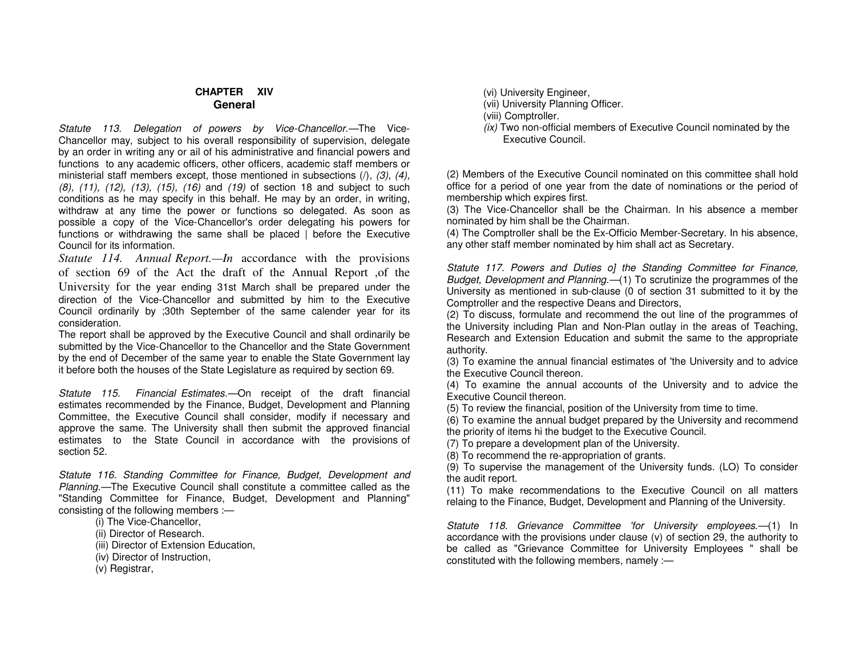## **CHAPTER XIV General**

Statute 113. Delegation of powers by Vice-Chancellor.—The Vice-Chancellor may, subject to his overall responsibility of supervision, delegate by an order in writing any or ail of his administrative and financial powers and functions to any academic officers, other officers, academic staff members or ministerial staff members except, those mentioned in subsections  $(1)$ ,  $(3)$ ,  $(4)$ , (8), (11), (12), (13), (15), (16) and (19) of section 18 and subject to such conditions as he may specify in this behalf. He may by an order, in writing, withdraw at any time the power or functions so delegated. As soon as possible a copy of the Vice-Chancellor's order delegating his powers for functions or withdrawing the same shall be placed | before the Executive Council for its information.

*Statute 114. Annual Report.—In* accordance with the provisions of section 69 of the Act the draft of the Annual Report ,of the University for the year ending 31st March shall be prepared under the direction of the Vice-Chancellor and submitted by him to the Executive Council ordinarily by ;30th September of the same calender year for its consideration.

 The report shall be approved by the Executive Council and shall ordinarily be submitted by the Vice-Chancellor to the Chancellor and the State Government by the end of December of the same year to enable the State Government lay it before both the houses of the State Legislature as required by section 69.

Statute 115. Financial Estimates.—On receipt of the draft financial estimates recommended by the Finance, Budget, Development and Planning Committee, the Executive Council shall consider, modify if necessary and approve the same. The University shall then submit the approved financial estimates to the State Council in accordance with the provisions of section 52.

Statute 116. Standing Committee for Finance, Budget, Development and Planning.—The Executive Council shall constitute a committee called as the "Standing Committee for Finance, Budget, Development and Planning" consisting of the following members :—

- (i) The Vice-Chancellor,
- (ii) Director of Research.
- (iii) Director of Extension Education,
- (iv) Director of Instruction,
- (v) Registrar,

(vi) University Engineer,

- (vii) University Planning Officer.
- (viii) Comptroller.
- (ix) Two non-official members of Executive Council nominated by the Executive Council.

(2) Members of the Executive Council nominated on this committee shall hold office for a period of one year from the date of nominations or the period of membership which expires first.

 (3) The Vice-Chancellor shall be the Chairman. In his absence a member nominated by him shall be the Chairman.

 (4) The Comptroller shall be the Ex-Officio Member-Secretary. In his absence, any other staff member nominated by him shall act as Secretary.

Statute 117. Powers and Duties of the Standing Committee for Finance, Budget, Development and Planning.—(1) To scrutinize the programmes of the University as mentioned in sub-clause (0 of section 31 submitted to it by the Comptroller and the respective Deans and Directors,

 (2) To discuss, formulate and recommend the out line of the programmes of the University including Plan and Non-Plan outlay in the areas of Teaching, Research and Extension Education and submit the same to the appropriate authority.

 (3) To examine the annual financial estimates of 'the University and to advice the Executive Council thereon.

 (4) To examine the annual accounts of the University and to advice the Executive Council thereon.

(5) To review the financial, position of the University from time to time.

 (6) To examine the annual budget prepared by the University and recommend the priority of items hi the budget to the Executive Council.

(7) To prepare a development plan of the University.

(8) To recommend the re-appropriation of grants.

 (9) To supervise the management of the University funds. (LO) To consider the audit report.

 (11) To make recommendations to the Executive Council on all matters relaing to the Finance, Budget, Development and Planning of the University.

Statute 118. Grievance Committee 'for University employees.—(1) In accordance with the provisions under clause (v) of section 29, the authority to be called as "Grievance Committee for University Employees " shall be constituted with the following members, namely :—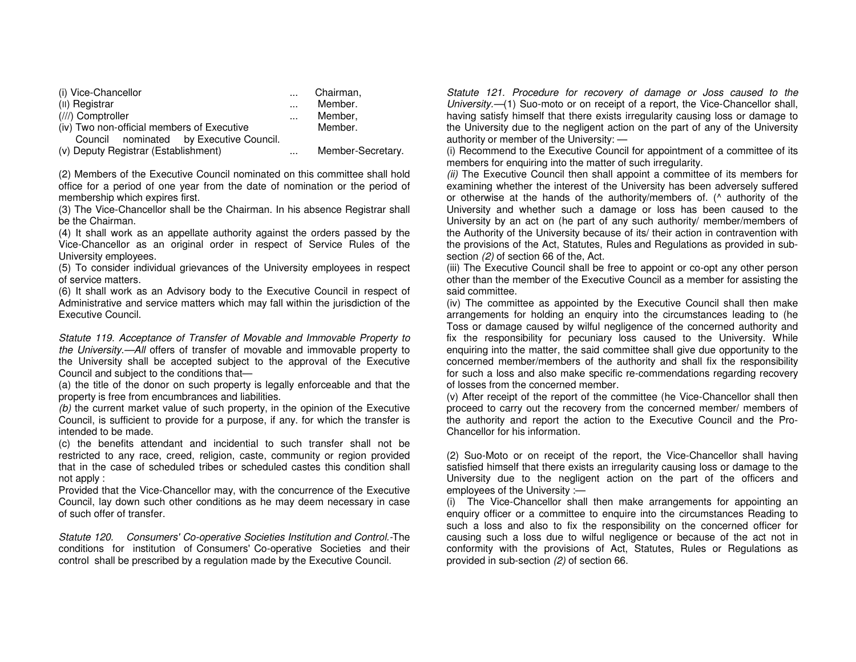| (i) Vice-Chancellor                        | $\cdots$ | Chairman,         |
|--------------------------------------------|----------|-------------------|
| (II) Registrar                             | $\cdots$ | Member.           |
| (///) Comptroller                          | $\cdots$ | Member,           |
| (iv) Two non-official members of Executive |          | Member.           |
| Council nominated by Executive Council.    |          |                   |
| (v) Deputy Registrar (Establishment)       |          | Member-Secretary. |

(2) Members of the Executive Council nominated on this committee shall hold office for a period of one year from the date of nomination or the period of membership which expires first.

 (3) The Vice-Chancellor shall be the Chairman. In his absence Registrar shall be the Chairman.

 (4) It shall work as an appellate authority against the orders passed by the Vice-Chancellor as an original order in respect of Service Rules of the University employees.

 (5) To consider individual grievances of the University employees in respect of service matters.

 (6) It shall work as an Advisory body to the Executive Council in respect of Administrative and service matters which may fall within the jurisdiction of the Executive Council.

Statute 119. Acceptance of Transfer of Movable and Immovable Property to the University.—All offers of transfer of movable and immovable property to the University shall be accepted subject to the approval of the Executive Council and subject to the conditions that—

 (a) the title of the donor on such property is legally enforceable and that the property is free from encumbrances and liabilities.

(b) the current market value of such property, in the opinion of the Executive Council, is sufficient to provide for a purpose, if any. for which the transfer is intended to be made.

 (c) the benefits attendant and incidential to such transfer shall not be restricted to any race, creed, religion, caste, community or region provided that in the case of scheduled tribes or scheduled castes this condition shall not apply :

 Provided that the Vice-Chancellor may, with the concurrence of the Executive Council, lay down such other conditions as he may deem necessary in case of such offer of transfer.

Statute 120. Consumers' Co-operative Societies Institution and Control.-The conditions for institution of Consumers' Co-operative Societies and their control shall be prescribed by a regulation made by the Executive Council.

Statute 121. Procedure for recovery of damage or Joss caused to the University.—(1) Suo-moto or on receipt of a report, the Vice-Chancellor shall, having satisfy himself that there exists irregularity causing loss or damage to the University due to the negligent action on the part of any of the University authority or member of the University: —

 (i) Recommend to the Executive Council for appointment of a committee of its members for enquiring into the matter of such irregularity.

(ii) The Executive Council then shall appoint a committee of its members for examining whether the interest of the University has been adversely suffered or otherwise at the hands of the authority/members of. (^ authority of the University and whether such a damage or loss has been caused to the University by an act on (he part of any such authority/ member/members of the Authority of the University because of its/ their action in contravention with the provisions of the Act, Statutes, Rules and Regulations as provided in subsection (2) of section 66 of the, Act.

 (iii) The Executive Council shall be free to appoint or co-opt any other person other than the member of the Executive Council as a member for assisting the said committee.

 (iv) The committee as appointed by the Executive Council shall then make arrangements for holding an enquiry into the circumstances leading to (he Toss or damage caused by wilful negligence of the concerned authority and fix the responsibility for pecuniary loss caused to the University. While enquiring into the matter, the said committee shall give due opportunity to the concerned member/members of the authority and shall fix the responsibility for such a loss and also make specific re-commendations regarding recovery of losses from the concerned member.

 (v) After receipt of the report of the committee (he Vice-Chancellor shall then proceed to carry out the recovery from the concerned member/ members of the authority and report the action to the Executive Council and the Pro-Chancellor for his information.

(2) Suo-Moto or on receipt of the report, the Vice-Chancellor shall having satisfied himself that there exists an irregularity causing loss or damage to the University due to the negligent action on the part of the officers and employees of the University :—

 (i) The Vice-Chancellor shall then make arrangements for appointing an enquiry officer or a committee to enquire into the circumstances Reading to such a loss and also to fix the responsibility on the concerned officer for causing such a loss due to wilful negligence or because of the act not in conformity with the provisions of Act, Statutes, Rules or Regulations as provided in sub-section (2) of section 66.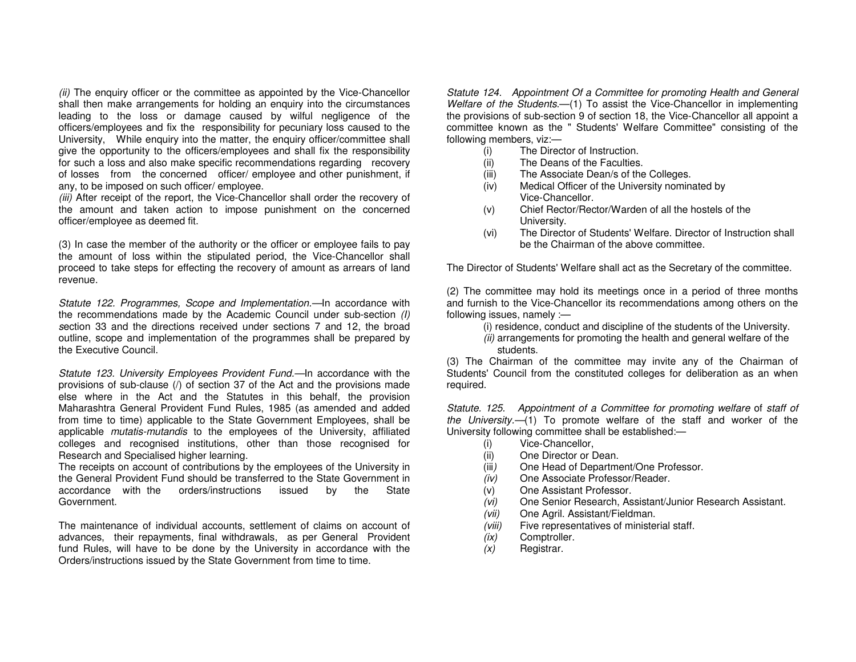(ii) The enquiry officer or the committee as appointed by the Vice-Chancellor shall then make arrangements for holding an enquiry into the circumstances leading to the loss or damage caused by wilful negligence of the officers/employees and fix the responsibility for pecuniary loss caused to the University, While enquiry into the matter, the enquiry officer/committee shall give the opportunity to the officers/employees and shall fix the responsibility for such a loss and also make specific recommendations regarding recovery of losses from the concerned officer/ employee and other punishment, if any, to be imposed on such officer/ employee.

(iii) After receipt of the report, the Vice-Chancellor shall order the recovery of the amount and taken action to impose punishment on the concerned officer/employee as deemed fit.

(3) In case the member of the authority or the officer or employee fails to pay the amount of loss within the stipulated period, the Vice-Chancellor shall proceed to take steps for effecting the recovery of amount as arrears of land revenue.

Statute 122. Programmes, Scope and Implementation.—In accordance with the recommendations made by the Academic Council under sub-section (I) section 33 and the directions received under sections 7 and 12, the broad outline, scope and implementation of the programmes shall be prepared by the Executive Council.

Statute 123. University Employees Provident Fund.—In accordance with the provisions of sub-clause (/) of section 37 of the Act and the provisions made else where in the Act and the Statutes in this behalf, the provision Maharashtra General Provident Fund Rules, 1985 (as amended and added from time to time) applicable to the State Government Employees, shall be applicable mutatis-mutandis to the employees of the University, affiliated colleges and recognised institutions, other than those recognised for Research and Specialised higher learning.

 The receipts on account of contributions by the employees of the University in the General Provident Fund should be transferred to the State Government in issued by the State accordance with the orders/instructions Government.

The maintenance of individual accounts, settlement of claims on account of advances, their repayments, final withdrawals, as per General Provident fund Rules, will have to be done by the University in accordance with the Orders/instructions issued by the State Government from time to time.

Statute 124. Appointment Of a Committee for promoting Health and General Welfare of the Students.—(1) To assist the Vice-Chancellor in implementing the provisions of sub-section 9 of section 18, the Vice-Chancellor all appoint a committee known as the " Students' Welfare Committee" consisting of the following members, viz:—

- (i) The Director of Instruction.
- (ii) The Deans of the Faculties.
- (iii) The Associate Dean/s of the Colleges.
- (iv) Medical Officer of the University nominated byVice-Chancellor.
- (v) Chief Rector/Rector/Warden of all the hostels of the University.
- (vi) The Director of Students' Welfare. Director of Instruction shall be the Chairman of the above committee.

The Director of Students' Welfare shall act as the Secretary of the committee.

(2) The committee may hold its meetings once in a period of three months and furnish to the Vice-Chancellor its recommendations among others on the following issues, namely :—

- (i) residence, conduct and discipline of the students of the University.
- (ii) arrangements for promoting the health and general welfare of the students.

 (3) The Chairman of the committee may invite any of the Chairman of Students' Council from the constituted colleges for deliberation as an when required.

Statute. 125. Appointment of a Committee for promoting welfare of staff of the University.—(1) To promote welfare of the staff and worker of the University following committee shall be established:—

- (i) Vice-Chancellor,
- (ii) One Director or Dean.
- (iii) One Head of Department/One Professor.
- (iv) One Associate Professor/Reader.
- (v) One Assistant Professor.
- (vi) One Senior Research, Assistant/Junior Research Assistant.
- (vii) One Agril. Assistant/Fieldman.
- (viii) Five representatives of ministerial staff.
- (ix) Comptroller.
- (x) Registrar.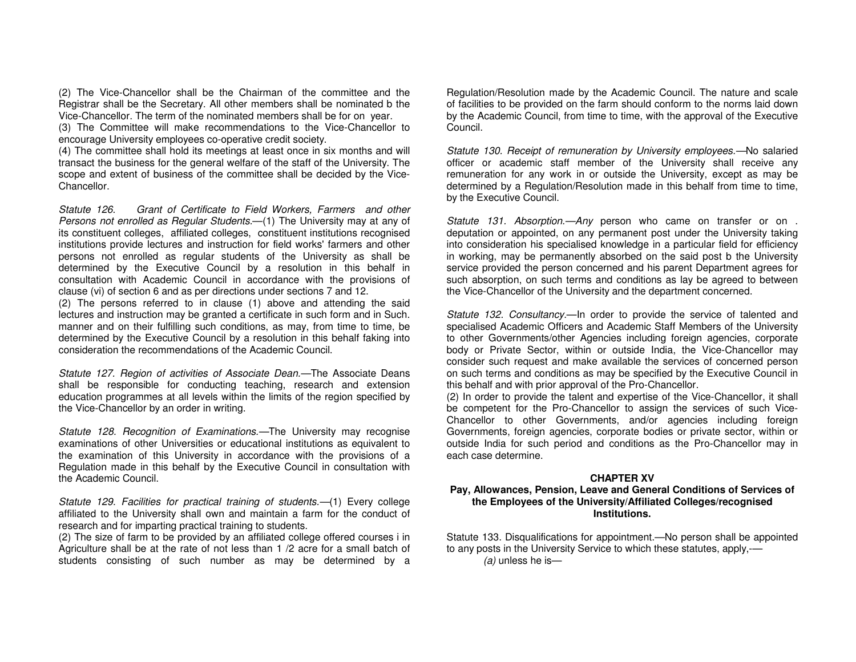(2) The Vice-Chancellor shall be the Chairman of the committee and the Registrar shall be the Secretary. All other members shall be nominated b the Vice-Chancellor. The term of the nominated members shall be for on year.

 (3) The Committee will make recommendations to the Vice-Chancellor to encourage University employees co-operative credit society.

 (4) The committee shall hold its meetings at least once in six months and will transact the business for the general welfare of the staff of the University. The scope and extent of business of the committee shall be decided by the Vice-Chancellor.

Statute 126. Grant of Certificate to Field Workers, Farmers and other Persons not enrolled as Regular Students.-- (1) The University may at any of its constituent colleges, affiliated colleges, constituent institutions recognised institutions provide lectures and instruction for field works' farmers and other persons not enrolled as regular students of the University as shall be determined by the Executive Council by a resolution in this behalf in consultation with Academic Council in accordance with the provisions of clause (vi) of section 6 and as per directions under sections 7 and 12.

 (2) The persons referred to in clause (1) above and attending the said lectures and instruction may be granted a certificate in such form and in Such. manner and on their fulfilling such conditions, as may, from time to time, be determined by the Executive Council by a resolution in this behalf faking into consideration the recommendations of the Academic Council.

Statute 127. Region of activities of Associate Dean.—The Associate Deans shall be responsible for conducting teaching, research and extension education programmes at all levels within the limits of the region specified by the Vice-Chancellor by an order in writing.

Statute 128. Recognition of Examinations.—The University may recognise examinations of other Universities or educational institutions as equivalent to the examination of this University in accordance with the provisions of a Regulation made in this behalf by the Executive Council in consultation with the Academic Council.

Statute 129. Facilities for practical training of students.—(1) Every college affiliated to the University shall own and maintain a farm for the conduct of research and for imparting practical training to students.

 (2) The size of farm to be provided by an affiliated college offered courses i in Agriculture shall be at the rate of not less than 1 /2 acre for a small batch of students consisting of such number as may be determined by a

Regulation/Resolution made by the Academic Council. The nature and scale of facilities to be provided on the farm should conform to the norms laid down by the Academic Council, from time to time, with the approval of the Executive Council.

Statute 130. Receipt of remuneration by University employees.—No salaried officer or academic staff member of the University shall receive any remuneration for any work in or outside the University, except as may be determined by a Regulation/Resolution made in this behalf from time to time, by the Executive Council.

Statute 131. Absorption.—Any person who came on transfer or on. deputation or appointed, on any permanent post under the University taking into consideration his specialised knowledge in a particular field for efficiency in working, may be permanently absorbed on the said post b the University service provided the person concerned and his parent Department agrees for such absorption, on such terms and conditions as lay be agreed to between the Vice-Chancellor of the University and the department concerned.

Statute 132. Consultancy.—In order to provide the service of talented and specialised Academic Officers and Academic Staff Members of the University to other Governments/other Agencies including foreign agencies, corporate body or Private Sector, within or outside India, the Vice-Chancellor may consider such request and make available the services of concerned person on such terms and conditions as may be specified by the Executive Council in this behalf and with prior approval of the Pro-Chancellor.

 (2) In order to provide the talent and expertise of the Vice-Chancellor, it shall be competent for the Pro-Chancellor to assign the services of such Vice-Chancellor to other Governments, and/or agencies including foreign Governments, foreign agencies, corporate bodies or private sector, within or outside India for such period and conditions as the Pro-Chancellor may in each case determine.

#### **CHAPTER XV**

#### **Pay, Allowances, Pension, Leave and General Conditions of Services of the Employees of the University/Affiliated Colleges/recognised Institutions.**

Statute 133. Disqualifications for appointment.—No person shall be appointed to any posts in the University Service to which these statutes, apply,-—  $(a)$  unless he is-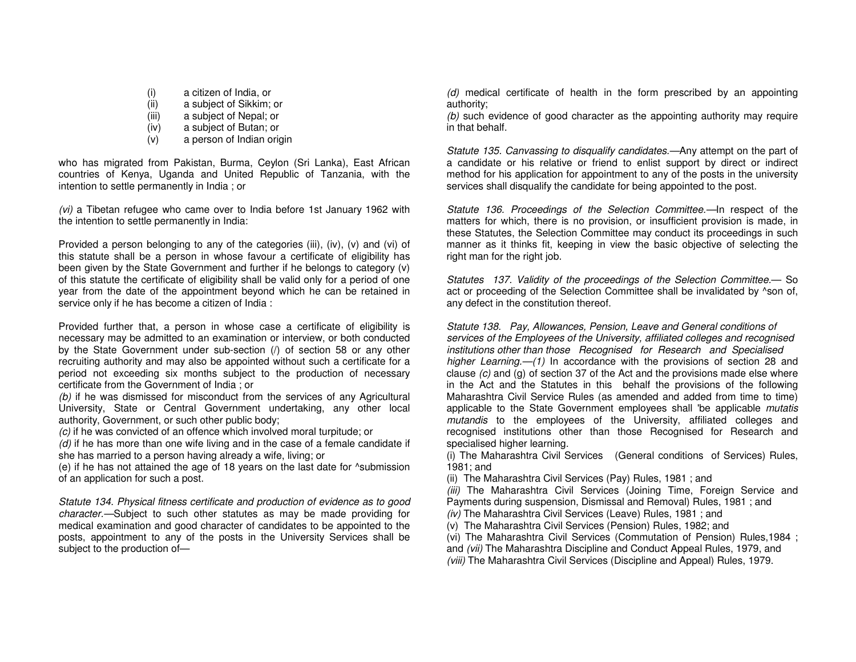- (i) a citizen of India, or
- (ii) a subject of Sikkim; or
- (iii) a subject of Nepal; or
- (iv) a subject of Butan; or
- (v) a person of Indian origin

who has migrated from Pakistan, Burma, Ceylon (Sri Lanka), East African countries of Kenya, Uganda and United Republic of Tanzania, with the intention to settle permanently in India ; or

(vi) a Tibetan refugee who came over to India before 1st January 1962 with the intention to settle permanently in India:

Provided a person belonging to any of the categories (iii), (iv), (v) and (vi) of this statute shall be a person in whose favour a certificate of eligibility has been given by the State Government and further if he belongs to category (v) of this statute the certificate of eligibility shall be valid only for a period of one year from the date of the appointment beyond which he can be retained in service only if he has become a citizen of India :

Provided further that, a person in whose case a certificate of eligibility is necessary may be admitted to an examination or interview, or both conducted by the State Government under sub-section (/) of section 58 or any other recruiting authority and may also be appointed without such a certificate for a period not exceeding six months subject to the production of necessary certificate from the Government of India ; or

 (b) if he was dismissed for misconduct from the services of any Agricultural University, State or Central Government undertaking, any other local authority, Government, or such other public body;

(c) if he was convicted of an offence which involved moral turpitude; or

 $(d)$  if he has more than one wife living and in the case of a female candidate if she has married to a person having already a wife, living; or

 (e) if he has not attained the age of 18 years on the last date for ^submission of an application for such a post.

Statute 134. Physical fitness certificate and production of evidence as to good character.—Subject to such other statutes as may be made providing for medical examination and good character of candidates to be appointed to the posts, appointment to any of the posts in the University Services shall be subject to the production of—

(d) medical certificate of health in the form prescribed by an appointing authority;

 (b) such evidence of good character as the appointing authority may require in that behalf.

Statute 135. Canvassing to disqualify candidates.—Any attempt on the part of a candidate or his relative or friend to enlist support by direct or indirect method for his application for appointment to any of the posts in the university services shall disqualify the candidate for being appointed to the post.

Statute 136. Proceedings of the Selection Committee.—In respect of the matters for which, there is no provision, or insufficient provision is made, in these Statutes, the Selection Committee may conduct its proceedings in such manner as it thinks fit, keeping in view the basic objective of selecting the right man for the right job.

Statutes 137. Validity of the proceedings of the Selection Committee.— So act or proceeding of the Selection Committee shall be invalidated by ^son of, any defect in the constitution thereof.

Statute 138. Pay, Allowances, Pension, Leave and General conditions of services of the Employees of the University, affiliated colleges and recognisedinstitutions other than those Recognised for Research and Specialisedhigher Learning.—(1) In accordance with the provisions of section 28 and clause (c) and (g) of section 37 of the Act and the provisions made else where in the Act and the Statutes in this behalf the provisions of the following Maharashtra Civil Service Rules (as amended and added from time to time) applicable to the State Government employees shall 'be applicable *mutatis* mutandis to the employees of the University, affiliated colleges and recognised institutions other than those Recognised for Research and specialised higher learning.

 (i) The Maharashtra Civil Services (General conditions of Services) Rules, 1981; and

(ii) The Maharashtra Civil Services (Pay) Rules, 1981 ; and

(iii) The Maharashtra Civil Services (Joining Time, Foreign Service and Payments during suspension, Dismissal and Removal) Rules, 1981 ; and

(iv) The Maharashtra Civil Services (Leave) Rules, 1981; and

(v) The Maharashtra Civil Services (Pension) Rules, 1982; and

(vi) The Maharashtra Civil Services (Commutation of Pension) Rules,1984 ;

and (vii) The Maharashtra Discipline and Conduct Appeal Rules, 1979, and

(viii) The Maharashtra Civil Services (Discipline and Appeal) Rules, 1979.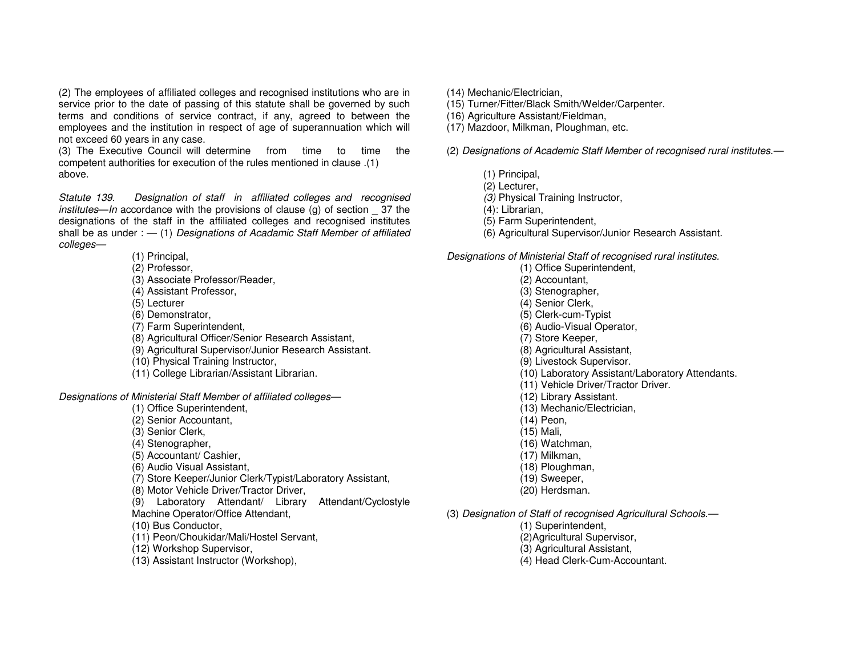(2) The employees of affiliated colleges and recognised institutions who are in service prior to the date of passing of this statute shall be governed by such terms and conditions of service contract, if any, agreed to between the employees and the institution in respect of age of superannuation which will not exceed 60 years in any case.

 (3) The Executive Council will determine from time to time the competent authorities for execution of the rules mentioned in clause .(1) above.

Statute 139. Designation of staff in affiliated colleges and recognised institutes—In accordance with the provisions of clause (g) of section \_ 37 the designations of the staff in the affiliated colleges and recognised institutes shall be as under :  $-$  (1) Designations of Acadamic Staff Member of affiliated colleges—

(1) Principal,

- (2) Professor,
- (3) Associate Professor/Reader,
- (4) Assistant Professor,
- (5) Lecturer
- (6) Demonstrator,
- (7) Farm Superintendent,
- (8) Agricultural Officer/Senior Research Assistant,
- (9) Agricultural Supervisor/Junior Research Assistant.
- (10) Physical Training Instructor,
- (11) College Librarian/Assistant Librarian.

Designations of Ministerial Staff Member of affiliated colleges—

- (1) Office Superintendent,
- (2) Senior Accountant,
- (3) Senior Clerk,
- (4) Stenographer,
- (5) Accountant/ Cashier,
- (6) Audio Visual Assistant,
- (7) Store Keeper/Junior Clerk/Typist/Laboratory Assistant,
- (8) Motor Vehicle Driver/Tractor Driver,
- (9) Laboratory Attendant/ Library Attendant/Cyclostyle Machine Operator/Office Attendant,
- (10) Bus Conductor,
- (11) Peon/Choukidar/Mali/Hostel Servant,
- (12) Workshop Supervisor,
- (13) Assistant Instructor (Workshop),
- (14) Mechanic/Electrician,
- (15) Turner/Fitter/Black Smith/Welder/Carpenter.
- (16) Agriculture Assistant/Fieldman,
- (17) Mazdoor, Milkman, Ploughman, etc.

(2) Designations of Academic Staff Member of recognised rural institutes.—

- (1) Principal,
- (2) Lecturer,
- (3) Physical Training Instructor,
- (4): Librarian,
- (5) Farm Superintendent,
- (6) Agricultural Supervisor/Junior Research Assistant.

Designations of Ministerial Staff of recognised rural institutes.

- (1) Office Superintendent, (2) Accountant, (3) Stenographer, (4) Senior Clerk, (5) Clerk-cum-Typist (6) Audio-Visual Operator, (7) Store Keeper, (8) Agricultural Assistant, (9) Livestock Supervisor. (10) Laboratory Assistant/Laboratory Attendants. (11) Vehicle Driver/Tractor Driver. (12) Library Assistant. (13) Mechanic/Electrician,
	- (14) Peon,
	- (15) Mali,
	- (16) Watchman,
	- (17) Milkman,
	- (18) Ploughman,
	- (19) Sweeper,
	- (20) Herdsman.
- (3) Designation of Staff of recognised Agricultural Schools.—
	- (1) Superintendent,
	- (2)Agricultural Supervisor,
	- (3) Agricultural Assistant,
	- (4) Head Clerk-Cum-Accountant.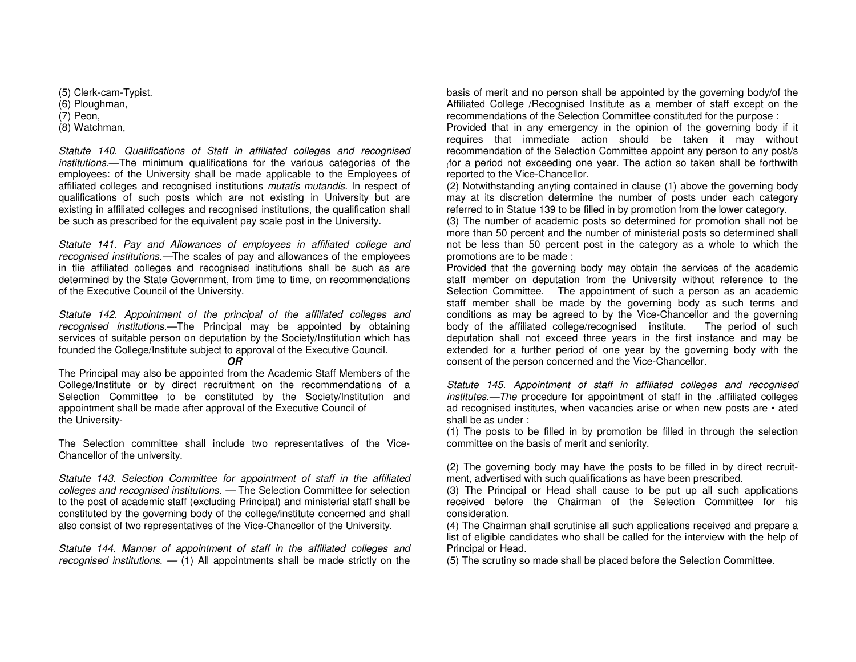(5) Clerk-cam-Typist. (6) Ploughman, (7) Peon, (8) Watchman,

Statute 140. Qualifications of Staff in affiliated colleges and recognised institutions.—The minimum qualifications for the various categories of the employees: of the University shall be made applicable to the Employees of affiliated colleges and recognised institutions mutatis mutandis. In respect of qualifications of such posts which are not existing in University but are existing in affiliated colleges and recognised institutions, the qualification shall be such as prescribed for the equivalent pay scale post in the University.

Statute 141. Pay and Allowances of employees in affiliated college and recognised institutions.—The scales of pay and allowances of the employees in tlie affiliated colleges and recognised institutions shall be such as are determined by the State Government, from time to time, on recommendations of the Executive Council of the University.

Statute 142. Appointment of the principal of the affiliated colleges and recognised institutions.—The Principal may be appointed by obtaining services of suitable person on deputation by the Society/Institution which has founded the College/Institute subject to approval of the Executive Council.

#### **OR**

 The Principal may also be appointed from the Academic Staff Members of the College/Institute or by direct recruitment on the recommendations of a Selection Committee to be constituted by the Society/Institution and appointment shall be made after approval of the Executive Council of the University-

The Selection committee shall include two representatives of the Vice-Chancellor of the university.

Statute 143. Selection Committee for appointment of staff in the affiliated colleges and recognised institutions. — The Selection Committee for selection to the post of academic staff (excluding Principal) and ministerial staff shall be constituted by the governing body of the college/institute concerned and shall also consist of two representatives of the Vice-Chancellor of the University.

Statute 144. Manner of appointment of staff in the affiliated colleges and recognised institutions.  $-$  (1) All appointments shall be made strictly on the

basis of merit and no person shall be appointed by the governing body/of the Affiliated College /Recognised Institute as a member of staff except on the recommendations of the Selection Committee constituted for the purpose :

 Provided that in any emergency in the opinion of the governing body if it requires that immediate action should be taken it may without recommendation of the Selection Committee appoint any person to any post/s (for a period not exceeding one year. The action so taken shall be forthwith reported to the Vice-Chancellor.

 (2) Notwithstanding anyting contained in clause (1) above the governing body may at its discretion determine the number of posts under each category referred to in Statue 139 to be filled in by promotion from the lower category.

 (3) The number of academic posts so determined for promotion shall not be more than 50 percent and the number of ministerial posts so determined shall not be less than 50 percent post in the category as a whole to which the promotions are to be made :

 Provided that the governing body may obtain the services of the academic staff member on deputation from the University without reference to the Selection Committee. The appointment of such a person as an academic staff member shall be made by the governing body as such terms and conditions as may be agreed to by the Vice-Chancellor and the governing body of the affiliated college/recognised institute. The period of such deputation shall not exceed three years in the first instance and may be extended for a further period of one year by the governing body with the consent of the person concerned and the Vice-Chancellor.

Statute 145. Appointment of staff in affiliated colleges and recognised institutes.—The procedure for appointment of staff in the .affiliated colleges ad recognised institutes, when vacancies arise or when new posts are • ated shall be as under :

 (1) The posts to be filled in by promotion be filled in through the selection committee on the basis of merit and seniority.

(2) The governing body may have the posts to be filled in by direct recruitment, advertised with such qualifications as have been prescribed.

 (3) The Principal or Head shall cause to be put up all such applications received before the Chairman of the Selection Committee for his consideration.

 (4) The Chairman shall scrutinise all such applications received and prepare a list of eligible candidates who shall be called for the interview with the help of Principal or Head.

(5) The scrutiny so made shall be placed before the Selection Committee.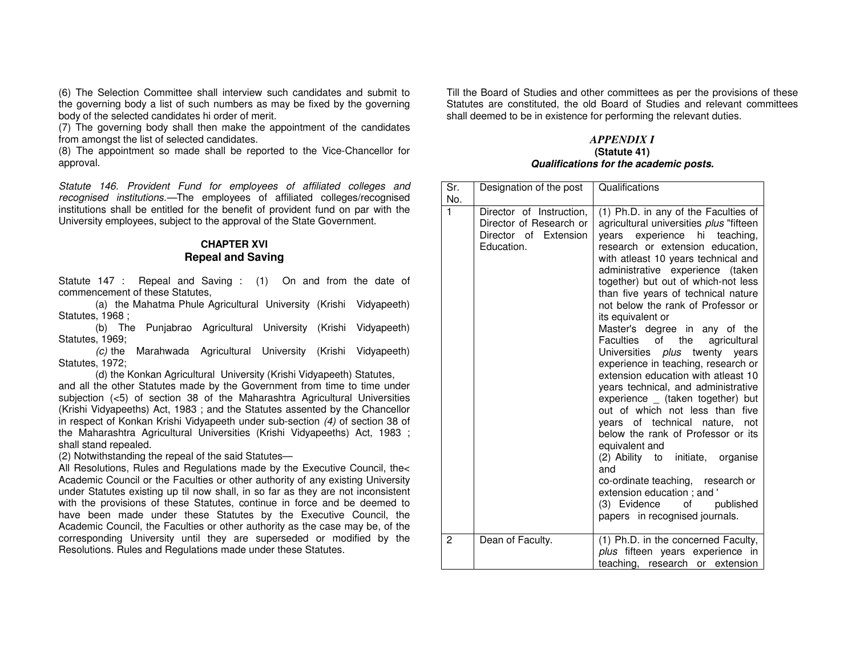(6) The Selection Committee shall interview such candidates and submit to the governing body a list of such numbers as may be fixed by the governing body of the selected candidates hi order of merit.

 (7) The governing body shall then make the appointment of the candidates from amongst the list of selected candidates.

 (8) The appointment so made shall be reported to the Vice-Chancellor for approval.

Statute 146. Provident Fund for employees of affiliated colleges and recognised institutions.—The employees of affiliated colleges/recognised institutions shall be entitled for the benefit of provident fund on par with the University employees, subject to the approval of the State Government.

## **CHAPTER XVI Repeal and Saving**

Statute 147 : Repeal and Saving : (1) On and from the date of commencement of these Statutes,

 (a) the Mahatma Phule Agricultural University (Krishi Vidyapeeth) Statutes, 1968 ;

 (b) The Punjabrao Agricultural University (Krishi Vidyapeeth) Statutes, 1969;

 (c) the Marahwada Agricultural University (Krishi Vidyapeeth) Statutes, 1972;

(d) the Konkan Agricultural University (Krishi Vidyapeeth) Statutes,

 and all the other Statutes made by the Government from time to time under subjection (<5) of section 38 of the Maharashtra Agricultural Universities (Krishi Vidyapeeths) Act, 1983 ; and the Statutes assented by the Chancellor in respect of Konkan Krishi Vidyapeeth under sub-section (4) of section 38 of the Maharashtra Agricultural Universities (Krishi Vidyapeeths) Act, 1983 ; shall stand repealed.

(2) Notwithstanding the repeal of the said Statutes—

 All Resolutions, Rules and Regulations made by the Executive Council, the< Academic Council or the Faculties or other authority of any existing University under Statutes existing up til now shall, in so far as they are not inconsistent with the provisions of these Statutes, continue in force and be deemed to have been made under these Statutes by the Executive Council, the Academic Council, the Faculties or other authority as the case may be, of the corresponding University until they are superseded or modified by the Resolutions. Rules and Regulations made under these Statutes.

Till the Board of Studies and other committees as per the provisions of these Statutes are constituted, the old Board of Studies and relevant committees shall deemed to be in existence for performing the relevant duties.

#### *APPENDIX I* **(Statute 41) Qualifications for the academic posts.**

| Sr.<br>No.   | Designation of the post                                                                    | Qualifications                                                                                                                                                                                                                                                                                                                                                                                                                                                                                                                                                                                                                                                                                                                                                                                                                                                                                                                                                   |
|--------------|--------------------------------------------------------------------------------------------|------------------------------------------------------------------------------------------------------------------------------------------------------------------------------------------------------------------------------------------------------------------------------------------------------------------------------------------------------------------------------------------------------------------------------------------------------------------------------------------------------------------------------------------------------------------------------------------------------------------------------------------------------------------------------------------------------------------------------------------------------------------------------------------------------------------------------------------------------------------------------------------------------------------------------------------------------------------|
| $\mathbf{1}$ | Director of Instruction,<br>Director of Research or<br>Director of Extension<br>Education. | (1) Ph.D. in any of the Faculties of<br>agricultural universities plus "fifteen<br>years experience hi teaching,<br>research or extension education,<br>with atleast 10 years technical and<br>administrative experience (taken<br>together) but out of which-not less<br>than five years of technical nature<br>not below the rank of Professor or<br>its equivalent or<br>Master's degree in any of the<br>of the<br>Faculties<br>agricultural<br>Universities plus twenty years<br>experience in teaching, research or<br>extension education with atleast 10<br>years technical, and administrative<br>experience _ (taken together) but<br>out of which not less than<br>five<br>years of technical nature,<br>not<br>below the rank of Professor or its<br>equivalent and<br>(2) Ability to initiate, organise<br>and<br>co-ordinate teaching, research or<br>extension education; and '<br>(3) Evidence of<br>published<br>papers in recognised journals. |
| 2            | Dean of Faculty.                                                                           | (1) Ph.D. in the concerned Faculty,<br>plus fifteen years experience in<br>teaching, research or extension                                                                                                                                                                                                                                                                                                                                                                                                                                                                                                                                                                                                                                                                                                                                                                                                                                                       |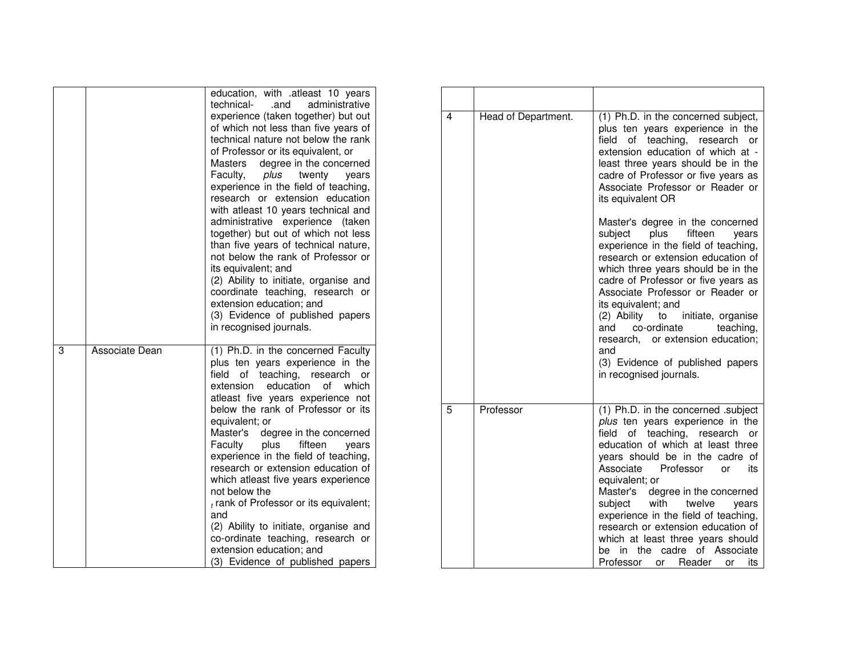|   |                | education, with .atleast 10 years<br>technical-<br>.and<br>administrative<br>experience (taken together) but out<br>of which not less than five years of<br>technical nature not below the rank<br>of Professor or its equivalent, or<br>Masters<br>degree in the concerned<br>Faculty,<br>plus twenty<br>vears<br>experience in the field of teaching,<br>research or extension education<br>with atleast 10 years technical and<br>administrative experience<br>(taken<br>together) but out of which not less<br>than five years of technical nature,<br>not below the rank of Professor or<br>its equivalent; and<br>(2) Ability to initiate, organise and<br>coordinate teaching, research or<br>extension education; and<br>(3) Evidence of published papers<br>in recognised journals. |  |
|---|----------------|----------------------------------------------------------------------------------------------------------------------------------------------------------------------------------------------------------------------------------------------------------------------------------------------------------------------------------------------------------------------------------------------------------------------------------------------------------------------------------------------------------------------------------------------------------------------------------------------------------------------------------------------------------------------------------------------------------------------------------------------------------------------------------------------|--|
| 3 | Associate Dean | (1) Ph.D. in the concerned Faculty<br>plus ten years experience in the<br>teaching, research<br>field<br>of<br>or<br>extension<br>education<br>which<br>οf<br>atleast five years experience not<br>below the rank of Professor or its<br>equivalent; or<br>Master's degree in the concerned<br>Faculty<br>plus<br>fifteen<br>vears<br>experience in the field of teaching,<br>research or extension education of<br>which atleast five years experience<br>not below the<br>$t$ rank of Professor or its equivalent;<br>and<br>(2) Ability to initiate, organise and<br>co-ordinate teaching, research or<br>extension education; and<br>(3) Evidence of published papers                                                                                                                    |  |

| 4 | Head of Department. | (1) Ph.D. in the concerned subject,<br>plus ten years experience in the<br>field<br>of<br>teaching,<br>research<br>or<br>extension education of which at -<br>least three years should be in the<br>cadre of Professor or five years as<br>Associate Professor or Reader or<br>its equivalent OR                                                                                                                                                                                                                                          |
|---|---------------------|-------------------------------------------------------------------------------------------------------------------------------------------------------------------------------------------------------------------------------------------------------------------------------------------------------------------------------------------------------------------------------------------------------------------------------------------------------------------------------------------------------------------------------------------|
|   |                     | Master's degree in the concerned<br>fifteen<br>subject<br>plus<br>vears<br>experience in the field of teaching,<br>research or extension education of<br>which three years should be in the<br>cadre of Professor or five years as<br>Associate Professor or Reader or<br>its equivalent; and<br>(2) Ability<br>to<br>initiate, organise<br>co-ordinate<br>and<br>teaching,<br>research, or extension education;<br>and<br>(3) Evidence of published papers<br>in recognised journals.                                                    |
| 5 | Professor           | (1) Ph.D. in the concerned .subject<br>plus ten years experience in the<br>of teaching,<br>field<br>research<br>or<br>education of which at least three<br>years should be in the cadre of<br>Associate<br>Professor<br>its<br>or<br>equivalent; or<br>degree in the concerned<br>Master's<br>subject with<br>twelve<br>years<br>experience in the field of teaching,<br>research or extension education of<br>which at least three years should<br>the<br>cadre<br>of<br>Associate<br>be<br>in<br>Professor<br>Reader<br>or<br>or<br>its |